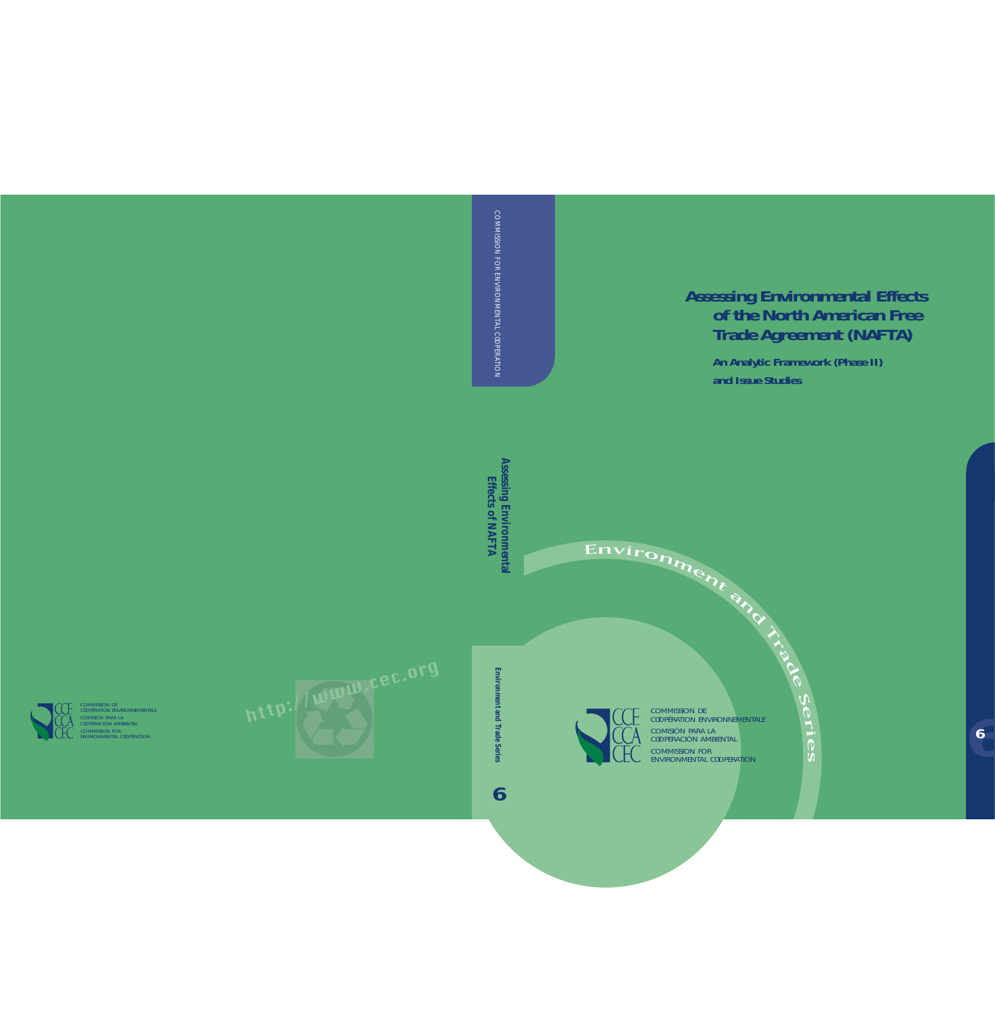**Assessing Environmental Effects of the North American Free Trade Agreement (NAFTA)** 

> **An Analytic Framework (Phase II) and Issue Studies**



Environment

CODERACION AMBIENTAL<br>COMMISSION FOR SEMIMISSION TON<br>ENVIRONMENTAL COOPERATION COMISIÓN PARA LA COOPERACIÓN AMBIENTAL COMMISSION DE COOPÉRATION ENVIRONNEMENTALE **6** COMMISSION FARALA COMMISSION FOR ENVIRONMENTAL COMMISSION FOR ENVIRONMENTAL CONTINUES.

<sup>a</sup>n<sup>d</sup>

**Trade** 

Se

 $\blacktriangleright$ i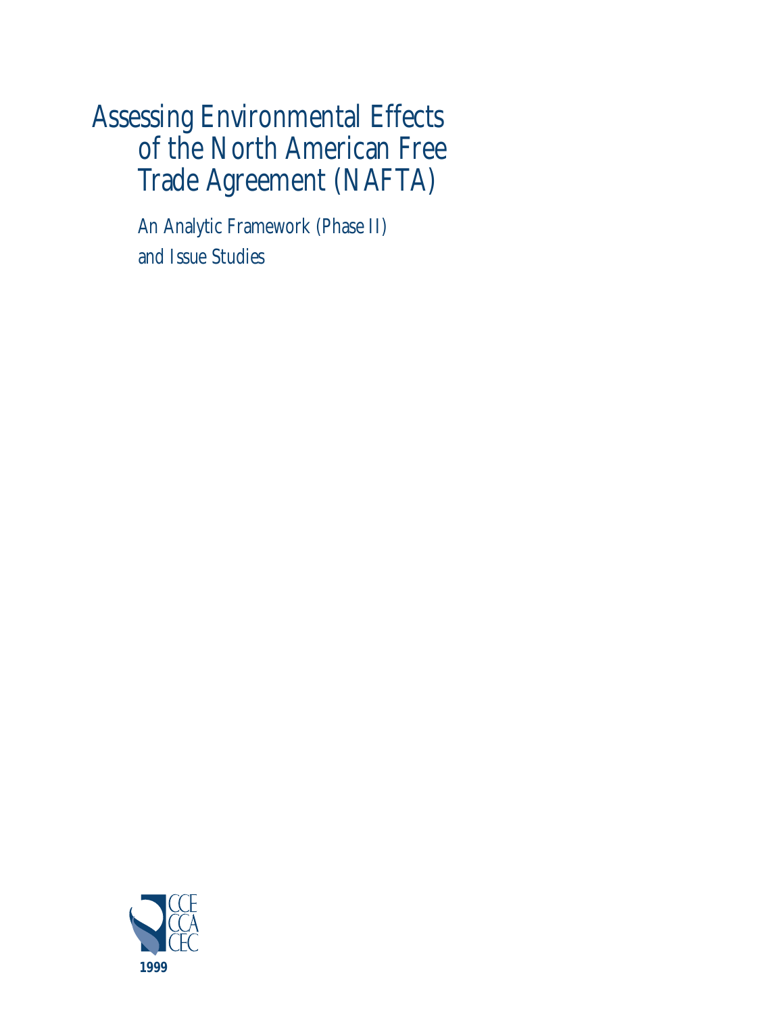# Assessing Environmental Effects of the North American Free Trade Agreement (NAFTA)

An Analytic Framework (Phase II) and Issue Studies

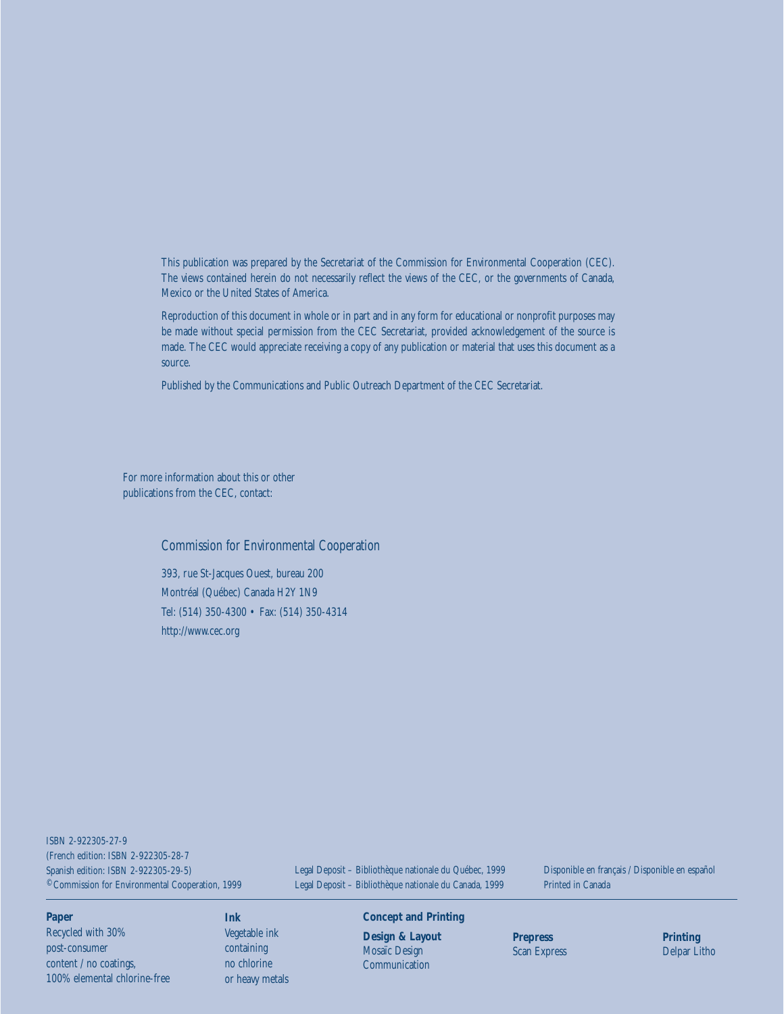This publication was prepared by the Secretariat of the Commission for Environmental Cooperation (CEC). The views contained herein do not necessarily reflect the views of the CEC, or the governments of Canada, Mexico or the United States of America.

Reproduction of this document in whole or in part and in any form for educational or nonprofit purposes may be made without special permission from the CEC Secretariat, provided acknowledgement of the source is made. The CEC would appreciate receiving a copy of any publication or material that uses this document as a source.

Published by the Communications and Public Outreach Department of the CEC Secretariat.

For more information about this or other publications from the CEC, contact:

#### Commission for Environmental Cooperation

393, rue St-Jacques Ouest, bureau 200 Montréal (Québec) Canada H2Y 1N9 Tel: (514) 350-4300 • Fax: (514) 350-4314 <http://www.cec.org>

©Commission for Environmental Cooperation, 1999 ISBN 2-922305-27-9 (French edition: ISBN 2-922305-28-7 Spanish edition: ISBN 2-922305-29-5)

Legal Deposit – Bibliothèque nationale du Québec, 1999 Legal Deposit – Bibliothèque nationale du Canada, 1999

Disponible en français / Disponible en español Printed in Canada

#### **Paper**

Recycled with 30% post-consumer content / no coatings, 100% elemental chlorine-free

#### **Ink**

Vegetable ink containing no chlorine or heavy metals

#### **Concept and Printing**

**Design & Layout** Mosaïc Design Communication

**Prepress**  Scan Express **Printing** Delpar Litho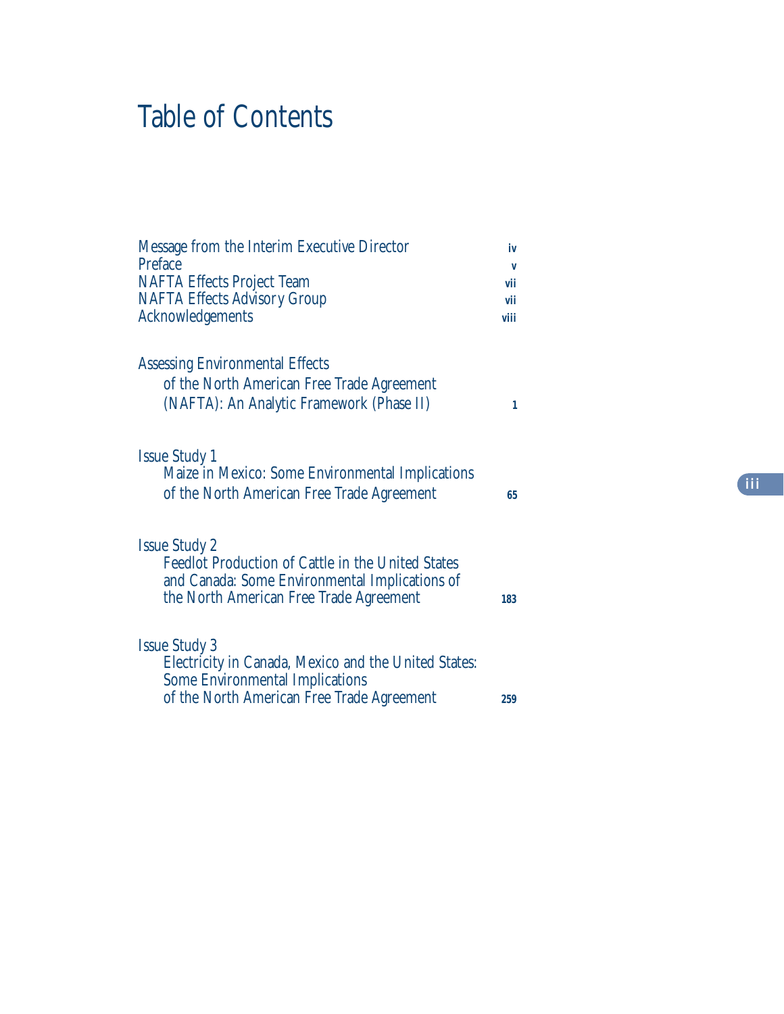# Table of Contents

| <b>Message from the Interim Executive Director</b><br>Preface<br><b>NAFTA Effects Project Team</b><br><b>NAFTA Effects Advisory Group</b><br><b>Acknowledgements</b>          | iv<br>v<br>vii<br>vii<br>viii |
|-------------------------------------------------------------------------------------------------------------------------------------------------------------------------------|-------------------------------|
| <b>Assessing Environmental Effects</b><br>of the North American Free Trade Agreement<br>(NAFTA): An Analytic Framework (Phase II)                                             | 1                             |
| <b>Issue Study 1</b><br>Maize in Mexico: Some Environmental Implications<br>of the North American Free Trade Agreement                                                        | 65                            |
| <b>Issue Study 2</b><br><b>Feedlot Production of Cattle in the United States</b><br>and Canada: Some Environmental Implications of<br>the North American Free Trade Agreement |                               |
| <b>Issue Study 3</b><br>Electricity in Canada, Mexico and the United States:<br><b>Some Environmental Implications</b><br>of the North American Free Trade Agreement          | 259                           |

**iii**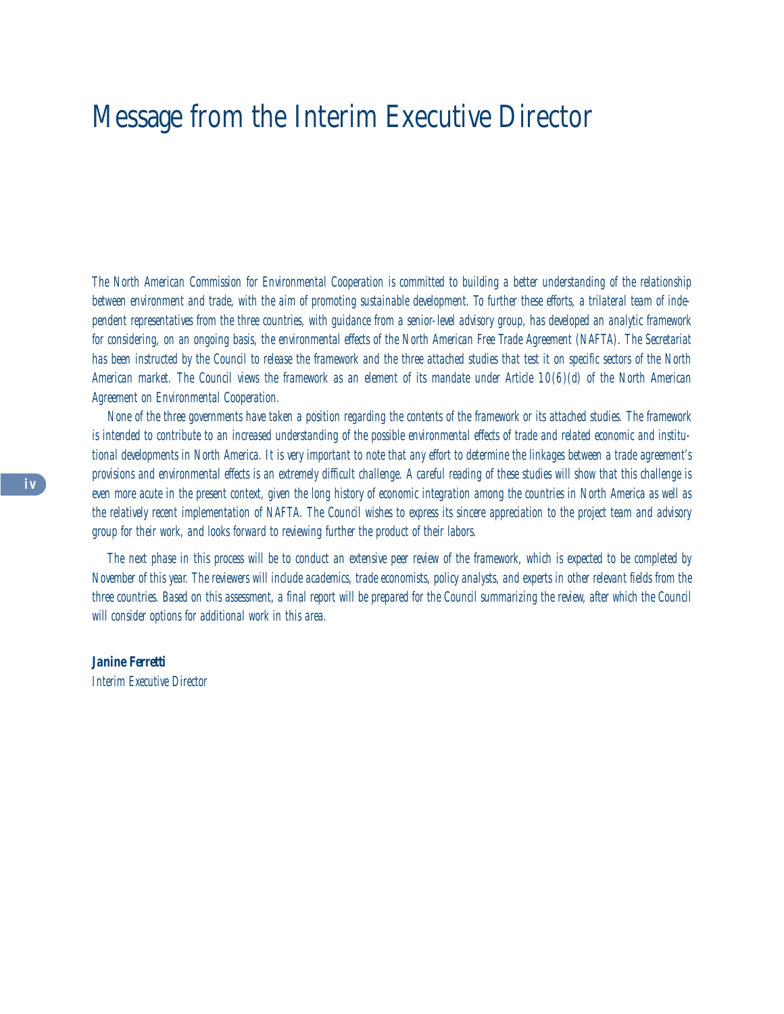## Message from the Interim Executive Director

*The North American Commission for Environmental Cooperation is committed to building a better understanding of the relationship between environment and trade, with the aim of promoting sustainable development. To further these efforts, a trilateral team of independent representatives from the three countries, with guidance from a senior-level advisory group, has developed an analytic framework for considering, on an ongoing basis, the environmental effects of the North American Free Trade Agreement (NAFTA). The Secretariat has been instructed by the Council to release the framework and the three attached studies that test it on specific sectors of the North American market. The Council views the framework as an element of its mandate under Article 10(6)(d) of the North American Agreement on Environmental Cooperation.*

*None of the three governments have taken a position regarding the contents of the framework or its attached studies. The framework is intended to contribute to an increased understanding of the possible environmental effects of trade and related economic and institutional developments in North America. It is very important to note that any effort to determine the linkages between a trade agreement's provisions and environmental effects is an extremely difficult challenge. A careful reading of these studies will show that this challenge is even more acute in the present context, given the long history of economic integration among the countries in North America as well as the relatively recent implementation of NAFTA. The Council wishes to express its sincere appreciation to the project team and advisory group for their work, and looks forward to reviewing further the product of their labors.*

*The next phase in this process will be to conduct an extensive peer review of the framework, which is expected to be completed by November of this year. The reviewers will include academics, trade economists, policy analysts, and experts in other relevant fields from the three countries. Based on this assessment, a final report will be prepared for the Council summarizing the review, after which the Council will consider options for additional work in this area.*

*Janine Ferretti Interim Executive Director*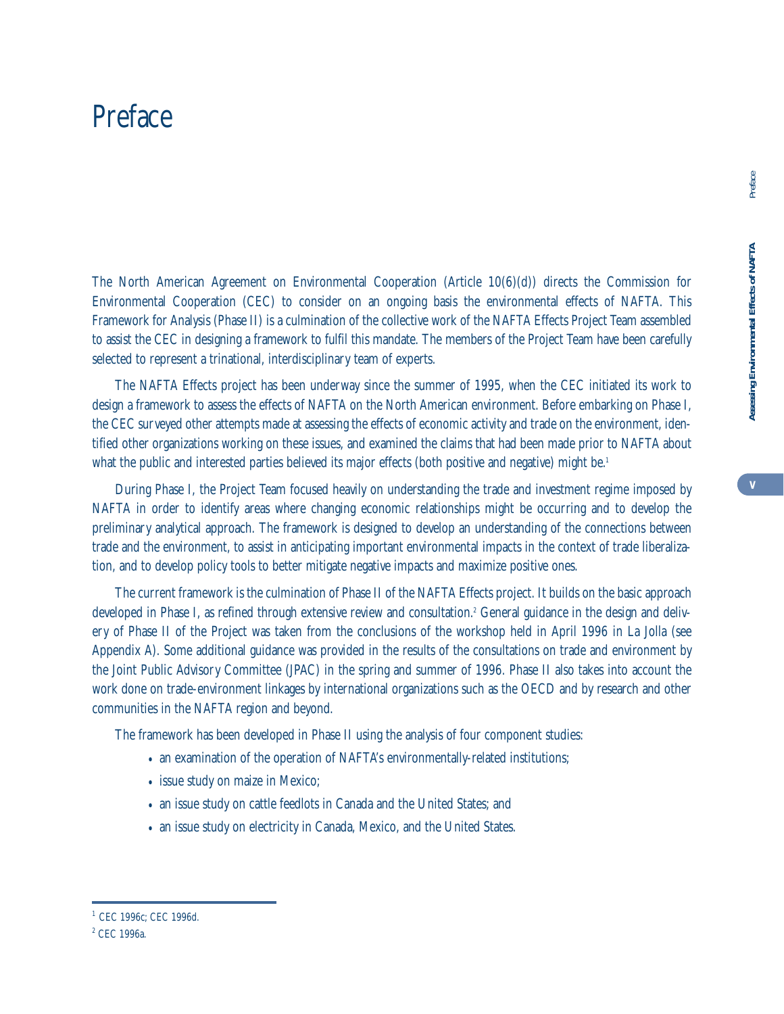## Preface

The North American Agreement on Environmental Cooperation (Article 10(6)(d)) directs the Commission for Environmental Cooperation (CEC) to consider on an ongoing basis the environmental effects of NAFTA. This Framework for Analysis (Phase II) is a culmination of the collective work of the NAFTA Effects Project Team assembled to assist the CEC in designing a framework to fulfil this mandate. The members of the Project Team have been carefully selected to represent a trinational, interdisciplinary team of experts.

The NAFTA Effects project has been underway since the summer of 1995, when the CEC initiated its work to design a framework to assess the effects of NAFTA on the North American environment. Before embarking on Phase I, the CEC surveyed other attempts made at assessing the effects of economic activity and trade on the environment, identified other organizations working on these issues, and examined the claims that had been made prior to NAFTA about what the public and interested parties believed its major effects (both positive and negative) might be.<sup>1</sup>

During Phase I, the Project Team focused heavily on understanding the trade and investment regime imposed by NAFTA in order to identify areas where changing economic relationships might be occurring and to develop the preliminary analytical approach. The framework is designed to develop an understanding of the connections between trade and the environment, to assist in anticipating important environmental impacts in the context of trade liberalization, and to develop policy tools to better mitigate negative impacts and maximize positive ones.

The current framework is the culmination of Phase II of the NAFTA Effects project. It builds on the basic approach developed in Phase I, as refined through extensive review and consultation.<sup>2</sup> General guidance in the design and delivery of Phase II of the Project was taken from the conclusions of the workshop held in April 1996 in La Jolla (see Appendix A). Some additional guidance was provided in the results of the consultations on trade and environment by the Joint Public Advisory Committee (JPAC) in the spring and summer of 1996. Phase II also takes into account the work done on trade-environment linkages by international organizations such as the OECD and by research and other communities in the NAFTA region and beyond.

The framework has been developed in Phase II using the analysis of four component studies:

- an examination of the operation of NAFTA's environmentally-related institutions;
- issue study on maize in Mexico;
- an issue study on cattle feedlots in Canada and the United States; and
- an issue study on electricity in Canada, Mexico, and the United States.

Preface

**Assessing Environmental Effects of NAFTA** Assessing Environmental Effects of NAFTA

<sup>1</sup> CEC 1996c; CEC 1996d.

<sup>2</sup> CEC 1996a.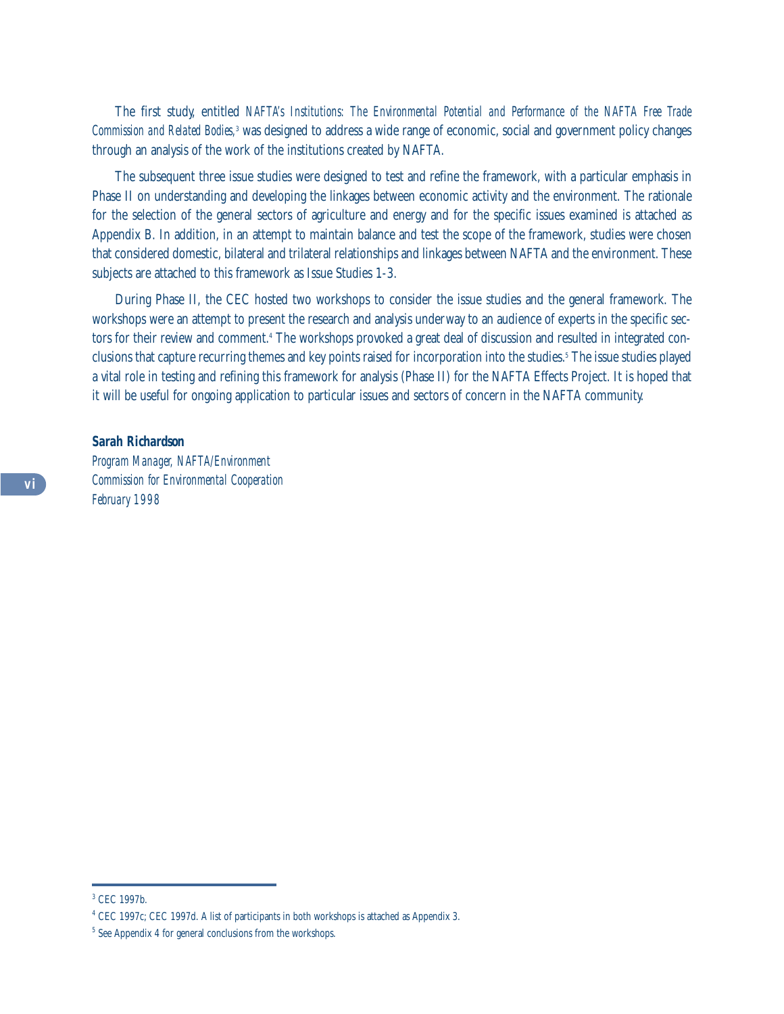The first study, entitled *NAFTA's Institutions: The Environmental Potential and Performance of the NAFTA Free Trade Commission and Related Bodies,*<sup>3</sup> was designed to address a wide range of economic, social and government policy changes through an analysis of the work of the institutions created by NAFTA.

The subsequent three issue studies were designed to test and refine the framework, with a particular emphasis in Phase II on understanding and developing the linkages between economic activity and the environment. The rationale for the selection of the general sectors of agriculture and energy and for the specific issues examined is attached as Appendix B. In addition, in an attempt to maintain balance and test the scope of the framework, studies were chosen that considered domestic, bilateral and trilateral relationships and linkages between NAFTA and the environment. These subjects are attached to this framework as Issue Studies 1-3.

During Phase II, the CEC hosted two workshops to consider the issue studies and the general framework. The workshops were an attempt to present the research and analysis underway to an audience of experts in the specific sectors for their review and comment.<sup>4</sup> The workshops provoked a great deal of discussion and resulted in integrated conclusions that capture recurring themes and key points raised for incorporation into the studies.5 The issue studies played a vital role in testing and refining this framework for analysis (Phase II) for the NAFTA Effects Project. It is hoped that it will be useful for ongoing application to particular issues and sectors of concern in the NAFTA community.

#### *Sarah Richardson*

*Program Manager, NAFTA/Environment Commission for Environmental Cooperation February 1998*

<sup>3</sup> CEC 1997b.

<sup>4</sup> CEC 1997c; CEC 1997d. A list of participants in both workshops is attached as Appendix 3.

<sup>&</sup>lt;sup>5</sup> See Appendix 4 for general conclusions from the workshops.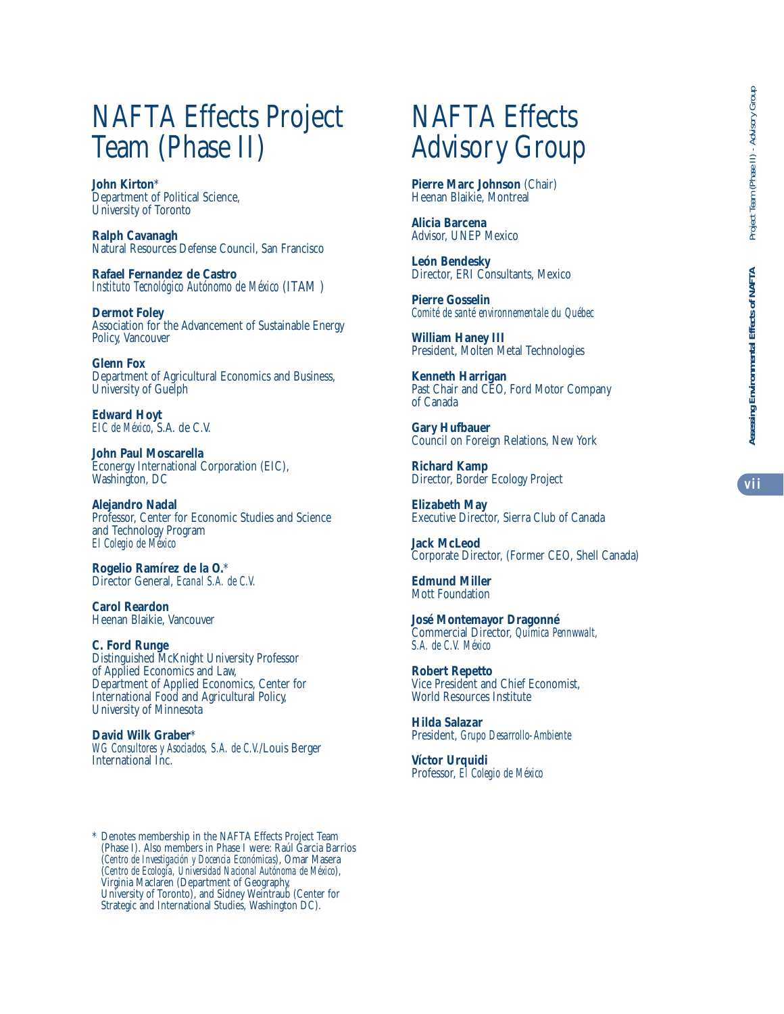# NAFTA Effects Project Team (Phase II)

**John Kirton**\* Department of Political Science, University of Toronto

**Ralph Cavanagh** Natural Resources Defense Council, San Francisco

**Rafael Fernandez de Castro** *Instituto Tecnológico Autónomo de México* (ITAM )

**Dermot Foley** Association for the Advancement of Sustainable Energy Policy, Vancouver

**Glenn Fox** Department of Agricultural Economics and Business, University of Guelph

**Edward Hoyt** *EIC de México*, S.A. de C.V.

**John Paul Moscarella** Econergy International Corporation (EIC), Washington, DC

**Alejandro Nadal** Professor, Center for Economic Studies and Science and Technology Program *El Colegio de México*

**Rogelio Ramírez de la O.** \* Director General, *Ecanal S.A. de C.V.*

**Carol Reardon** Heenan Blaikie, Vancouver

**C. Ford Runge** Distinguished McKnight University Professor of Applied Economics and Law, Department of Applied Economics, Center for International Food and Agricultural Policy, University of Minnesota

**David Wilk Graber**\* *WG Consultores y Asociados, S.A. de C.V.*/Louis Berger

# NAFTA Effects Advisory Group

**Pierre Marc Johnson** (Chair) Heenan Blaikie, Montreal

**Alicia Barcena** Advisor, UNEP Mexico

**León Bendesky** Director, ERI Consultants, Mexico

**Pierre Gosselin** *Comité de santé environnementale du Québec*

**William Haney III** President, Molten Metal Technologies

**Kenneth Harrigan** Past Chair and CEO, Ford Motor Company of Canada

**Gary Hufbauer** Council on Foreign Relations, New York

**Richard Kamp** Director, Border Ecology Project

**Elizabeth May** Executive Director, Sierra Club of Canada

**Jack McLeod** Corporate Director, (Former CEO, Shell Canada)

**Edmund Miller** Mott Foundation

**José Montemayor Dragonné** Commercial Director, *Química Pennwwalt, S.A. de C.V. México*

**Robert Repetto** Vice President and Chief Economist, World Resources Institute

**Hilda Salazar** President, *Grupo Desarrollo-Ambiente*

**Víctor Urquidi** Professor, *El Colegio de México*

\* Denotes membership in the NAFTA Effects Project Team (Phase I). Also members in Phase I were: Raúl Garcia Barrios (*Centro de Investigación y Docencia Económicas*), Omar Masera (*Centro de Ecología, Universidad Nacional Autónoma de México*), Virginia Maclaren (Department of Geography, University of Toronto), and Sidney Weintraub (Center for Strategic and International Studies, Washington DC).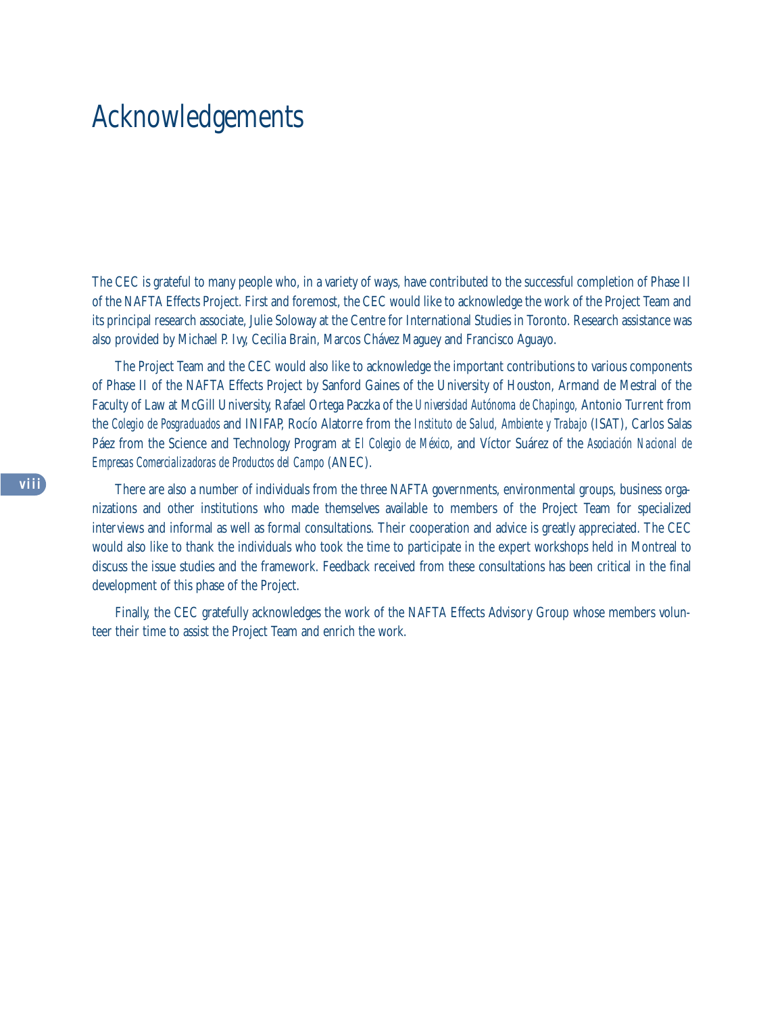# Acknowledgements

The CEC is grateful to many people who, in a variety of ways, have contributed to the successful completion of Phase II of the NAFTA Effects Project. First and foremost, the CEC would like to acknowledge the work of the Project Team and its principal research associate, Julie Soloway at the Centre for International Studies in Toronto. Research assistance was also provided by Michael P. Ivy, Cecilia Brain, Marcos Chávez Maguey and Francisco Aguayo.

The Project Team and the CEC would also like to acknowledge the important contributions to various components of Phase II of the NAFTA Effects Project by Sanford Gaines of the University of Houston, Armand de Mestral of the Faculty of Law at McGill University, Rafael Ortega Paczka of the *Universidad Autónoma de Chapingo,* Antonio Turrent from the *Colegio de Posgraduados* and INIFAP, Rocío Alatorre from the *Instituto de Salud, Ambiente y Trabajo* (ISAT), Carlos Salas Páez from the Science and Technology Program at *El Colegio de México*, and Víctor Suárez of the *Asociación Nacional de Empresas Comercializadoras de Productos del Campo* (ANEC).

There are also a number of individuals from the three NAFTA governments, environmental groups, business organizations and other institutions who made themselves available to members of the Project Team for specialized interviews and informal as well as formal consultations. Their cooperation and advice is greatly appreciated. The CEC would also like to thank the individuals who took the time to participate in the expert workshops held in Montreal to discuss the issue studies and the framework. Feedback received from these consultations has been critical in the final development of this phase of the Project.

Finally, the CEC gratefully acknowledges the work of the NAFTA Effects Advisory Group whose members volunteer their time to assist the Project Team and enrich the work.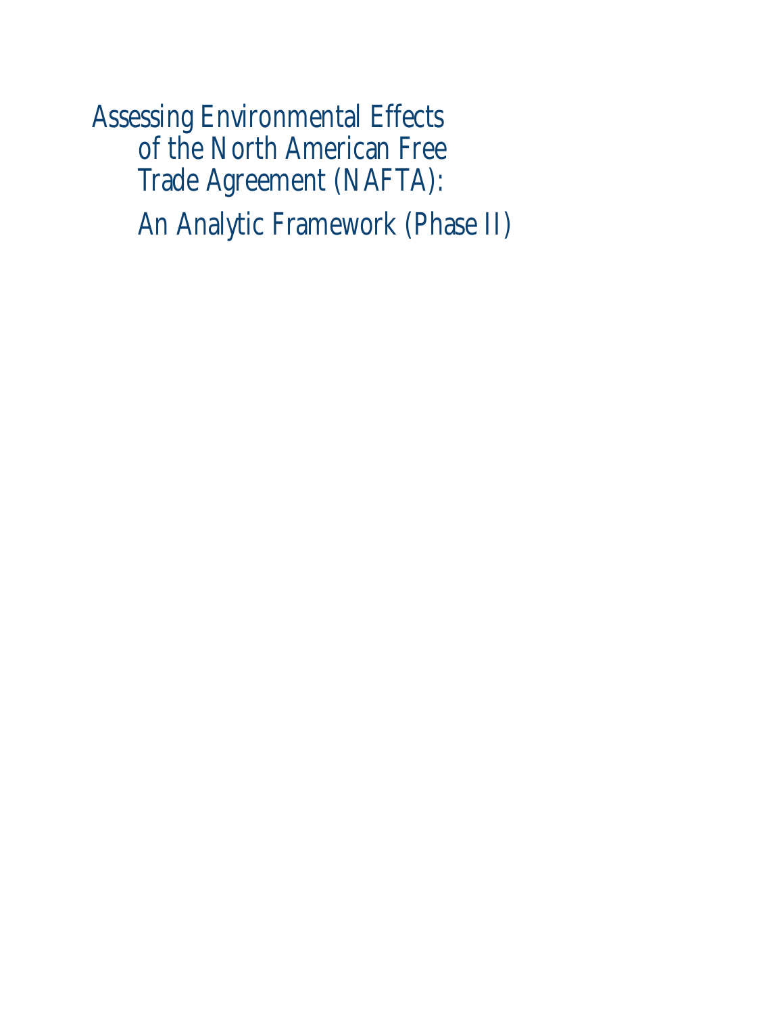Assessing Environmental Effects of the North American Free Trade Agreement (NAFTA): An Analytic Framework (Phase II)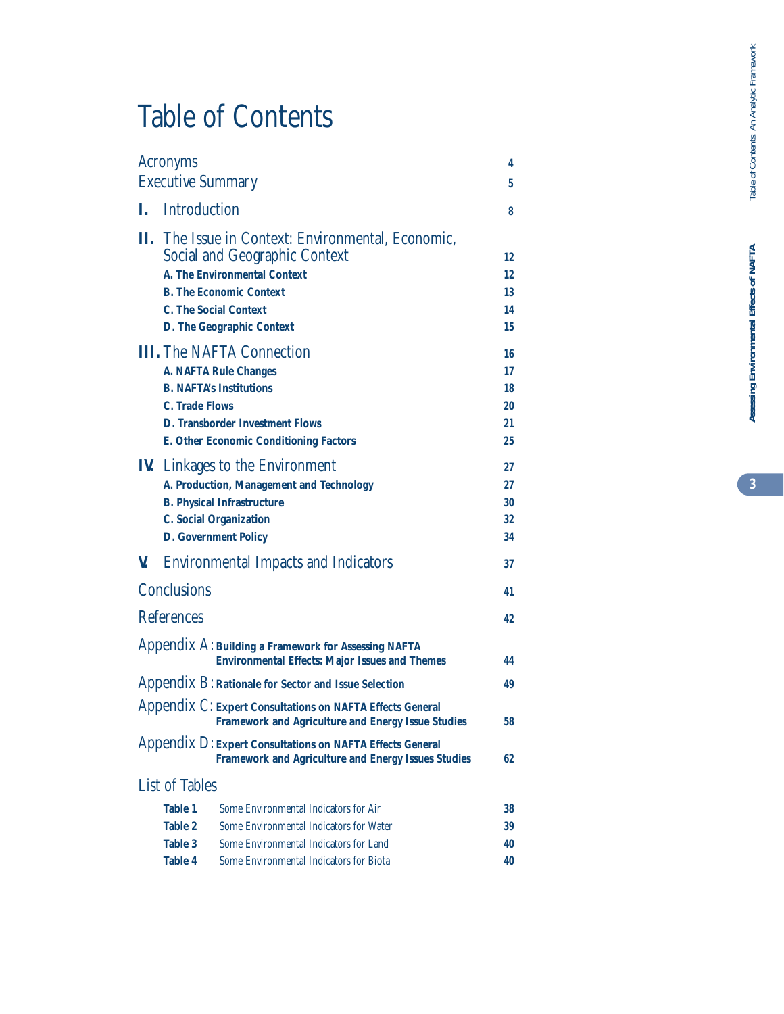# Table of Contents

|    | <b>Acronyms</b>                                                                                                         |    |  |
|----|-------------------------------------------------------------------------------------------------------------------------|----|--|
|    | <b>Executive Summary</b>                                                                                                | 5  |  |
| I. | <b>Introduction</b>                                                                                                     | 8  |  |
|    | II. The Issue in Context: Environmental, Economic,                                                                      |    |  |
|    | <b>Social and Geographic Context</b>                                                                                    | 12 |  |
|    | <b>A. The Environmental Context</b>                                                                                     | 12 |  |
|    | <b>B. The Economic Context</b>                                                                                          | 13 |  |
|    | <b>C. The Social Context</b>                                                                                            | 14 |  |
|    | <b>D. The Geographic Context</b>                                                                                        | 15 |  |
|    | <b>III.</b> The NAFTA Connection                                                                                        | 16 |  |
|    | <b>A. NAFTA Rule Changes</b>                                                                                            | 17 |  |
|    | <b>B. NAFTA's Institutions</b>                                                                                          | 18 |  |
|    | <b>C.</b> Trade Flows                                                                                                   | 20 |  |
|    | <b>D. Transborder Investment Flows</b>                                                                                  | 21 |  |
|    | <b>E. Other Economic Conditioning Factors</b>                                                                           | 25 |  |
|    | <b>IV.</b> Linkages to the Environment                                                                                  | 27 |  |
|    | A. Production, Management and Technology                                                                                | 27 |  |
|    | <b>B. Physical Infrastructure</b>                                                                                       | 30 |  |
|    | <b>C. Social Organization</b>                                                                                           | 32 |  |
|    | <b>D. Government Policy</b>                                                                                             | 34 |  |
| V. | <b>Environmental Impacts and Indicators</b>                                                                             | 37 |  |
|    | <b>Conclusions</b>                                                                                                      | 41 |  |
|    | <b>References</b>                                                                                                       | 42 |  |
|    | Appendix A: Building a Framework for Assessing NAFTA<br><b>Environmental Effects: Major Issues and Themes</b>           | 44 |  |
|    | Appendix B: Rationale for Sector and Issue Selection                                                                    | 49 |  |
|    | Appendix C: Expert Consultations on NAFTA Effects General<br><b>Framework and Agriculture and Energy Issue Studies</b>  | 58 |  |
|    | Appendix D: Expert Consultations on NAFTA Effects General<br><b>Framework and Agriculture and Energy Issues Studies</b> | 62 |  |
|    | <b>List of Tables</b>                                                                                                   |    |  |
|    | <b>Table 1</b><br>Some Environmental Indicators for Air                                                                 | 38 |  |
|    | <b>Table 2</b><br>Some Environmental Indicators for Water                                                               | 39 |  |
|    | <b>Table 3</b><br>Some Environmental Indicators for Land                                                                | 40 |  |
|    | <b>Table 4</b><br><b>Some Environmental Indicators for Biota</b>                                                        | 40 |  |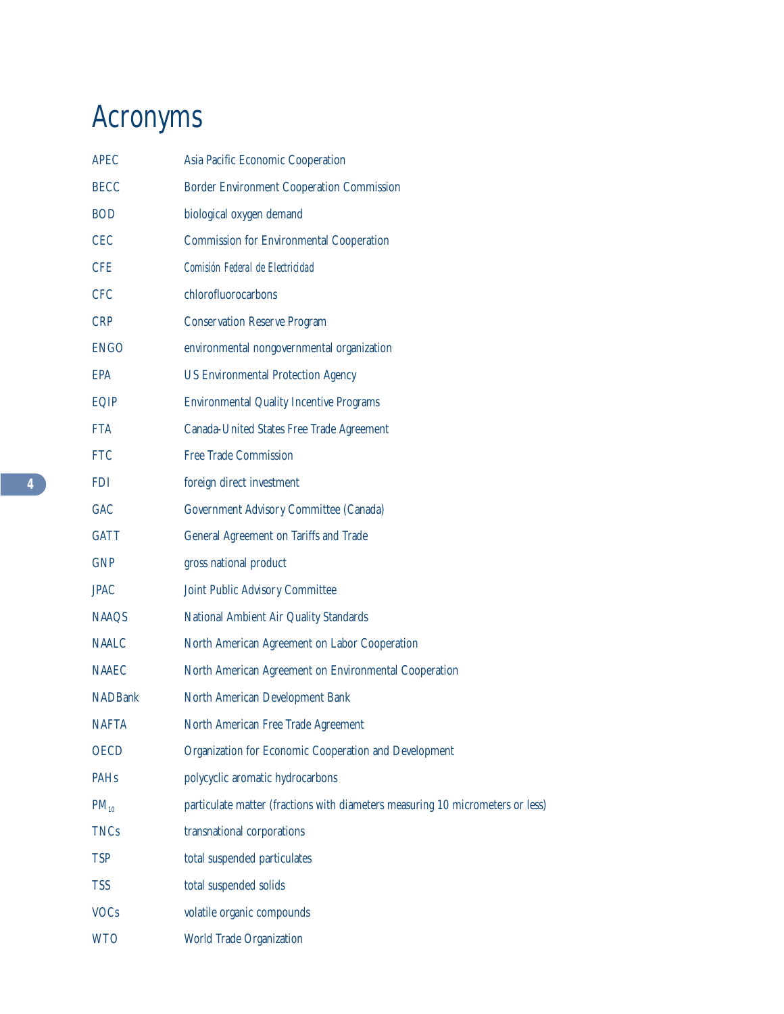# Acronyms

| <b>APEC</b>    | Asia Pacific Economic Cooperation                                              |
|----------------|--------------------------------------------------------------------------------|
| <b>BECC</b>    | <b>Border Environment Cooperation Commission</b>                               |
| <b>BOD</b>     | biological oxygen demand                                                       |
| <b>CEC</b>     | <b>Commission for Environmental Cooperation</b>                                |
| <b>CFE</b>     | Comisión Federal de Electricidad                                               |
| <b>CFC</b>     | chlorofluorocarbons                                                            |
| <b>CRP</b>     | <b>Conservation Reserve Program</b>                                            |
| <b>ENGO</b>    | environmental nongovernmental organization                                     |
| <b>EPA</b>     | <b>US Environmental Protection Agency</b>                                      |
| EQIP           | <b>Environmental Quality Incentive Programs</b>                                |
| <b>FTA</b>     | Canada-United States Free Trade Agreement                                      |
| <b>FTC</b>     | <b>Free Trade Commission</b>                                                   |
| <b>FDI</b>     | foreign direct investment                                                      |
| <b>GAC</b>     | <b>Government Advisory Committee (Canada)</b>                                  |
| <b>GATT</b>    | General Agreement on Tariffs and Trade                                         |
| <b>GNP</b>     | gross national product                                                         |
| <b>JPAC</b>    | <b>Joint Public Advisory Committee</b>                                         |
| <b>NAAQS</b>   | National Ambient Air Quality Standards                                         |
| <b>NAALC</b>   | North American Agreement on Labor Cooperation                                  |
| <b>NAAEC</b>   | North American Agreement on Environmental Cooperation                          |
| <b>NADBank</b> | North American Development Bank                                                |
| <b>NAFTA</b>   | North American Free Trade Agreement                                            |
| <b>OECD</b>    | Organization for Economic Cooperation and Development                          |
| <b>PAHs</b>    | polycyclic aromatic hydrocarbons                                               |
| $PM_{10}$      | particulate matter (fractions with diameters measuring 10 micrometers or less) |
| <b>TNCs</b>    | transnational corporations                                                     |
| <b>TSP</b>     | total suspended particulates                                                   |
| <b>TSS</b>     | total suspended solids                                                         |
| <b>VOCs</b>    | volatile organic compounds                                                     |
| <b>WTO</b>     | World Trade Organization                                                       |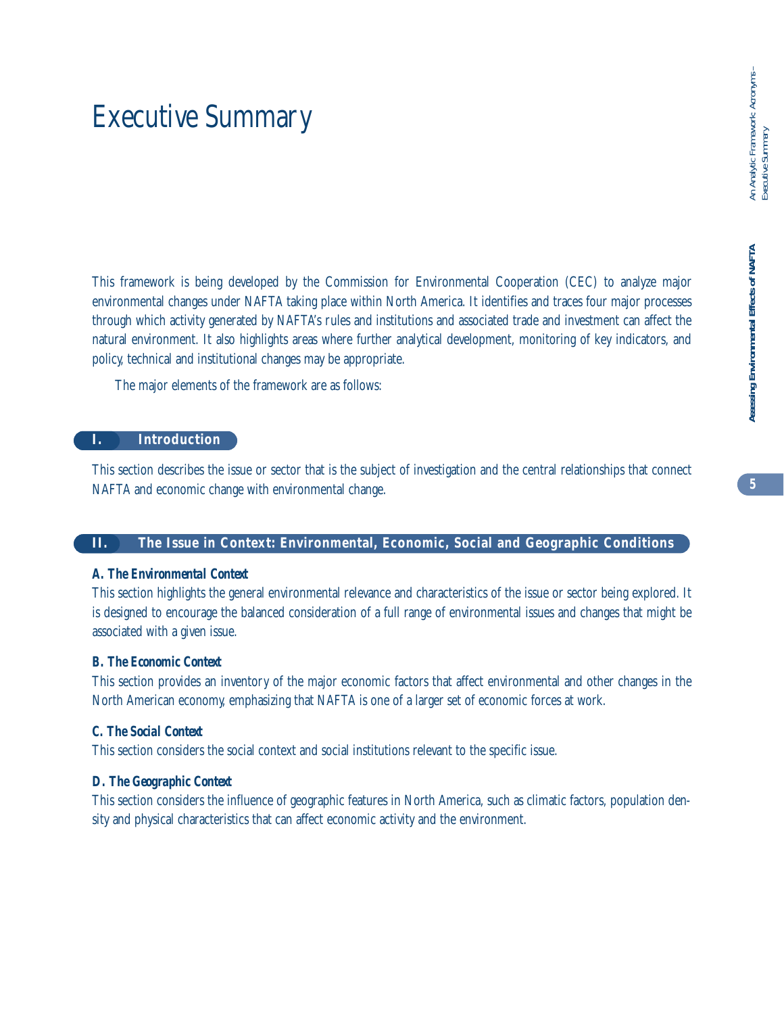# **Assessing Environmental Effects of NAFTA** An Analytic Framework: Acronyms – Assessing Environmental Effects of NAFTA

# Executive Summary

This framework is being developed by the Commission for Environmental Cooperation (CEC) to analyze major environmental changes under NAFTA taking place within North America. It identifies and traces four major processes through which activity generated by NAFTA's rules and institutions and associated trade and investment can affect the natural environment. It also highlights areas where further analytical development, monitoring of key indicators, and policy, technical and institutional changes may be appropriate.

The major elements of the framework are as follows:

#### **I. Introduction**

This section describes the issue or sector that is the subject of investigation and the central relationships that connect NAFTA and economic change with environmental change.

#### **II. The Issue in Context: Environmental, Economic, Social and Geographic Conditions**

#### *A. The Environmental Context*

This section highlights the general environmental relevance and characteristics of the issue or sector being explored. It is designed to encourage the balanced consideration of a full range of environmental issues and changes that might be associated with a given issue.

#### *B. The Economic Context*

This section provides an inventory of the major economic factors that affect environmental and other changes in the North American economy, emphasizing that NAFTA is one of a larger set of economic forces at work.

#### *C. The Social Context*

This section considers the social context and social institutions relevant to the specific issue.

#### *D. The Geographic Context*

This section considers the influence of geographic features in North America, such as climatic factors, population density and physical characteristics that can affect economic activity and the environment.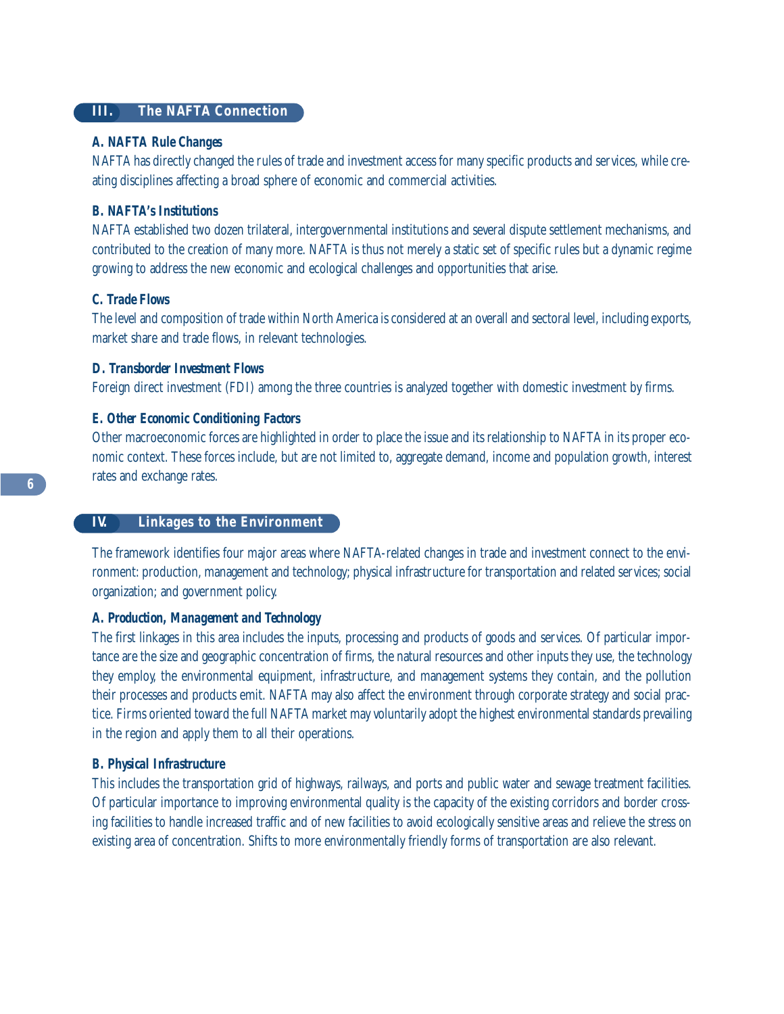#### **III. The NAFTA Connection**

#### *A. NAFTA Rule Changes*

NAFTA has directly changed the rules of trade and investment access for many specific products and services, while creating disciplines affecting a broad sphere of economic and commercial activities.

#### *B. NAFTA's Institutions*

NAFTA established two dozen trilateral, intergovernmental institutions and several dispute settlement mechanisms, and contributed to the creation of many more. NAFTA is thus not merely a static set of specific rules but a dynamic regime growing to address the new economic and ecological challenges and opportunities that arise.

#### *C. Trade Flows*

The level and composition of trade within North America is considered at an overall and sectoral level, including exports, market share and trade flows, in relevant technologies.

#### *D. Transborder Investment Flows*

Foreign direct investment (FDI) among the three countries is analyzed together with domestic investment by firms.

#### *E. Other Economic Conditioning Factors*

Other macroeconomic forces are highlighted in order to place the issue and its relationship to NAFTA in its proper economic context. These forces include, but are not limited to, aggregate demand, income and population growth, interest rates and exchange rates.

#### **IV. Linkages to the Environment**

The framework identifies four major areas where NAFTA-related changes in trade and investment connect to the environment: production, management and technology; physical infrastructure for transportation and related services; social organization; and government policy.

#### *A. Production, Management and Technology*

The first linkages in this area includes the inputs, processing and products of goods and services. Of particular importance are the size and geographic concentration of firms, the natural resources and other inputs they use, the technology they employ, the environmental equipment, infrastructure, and management systems they contain, and the pollution their processes and products emit. NAFTA may also affect the environment through corporate strategy and social practice. Firms oriented toward the full NAFTA market may voluntarily adopt the highest environmental standards prevailing in the region and apply them to all their operations.

#### *B. Physical Infrastructure*

This includes the transportation grid of highways, railways, and ports and public water and sewage treatment facilities. Of particular importance to improving environmental quality is the capacity of the existing corridors and border crossing facilities to handle increased traffic and of new facilities to avoid ecologically sensitive areas and relieve the stress on existing area of concentration. Shifts to more environmentally friendly forms of transportation are also relevant.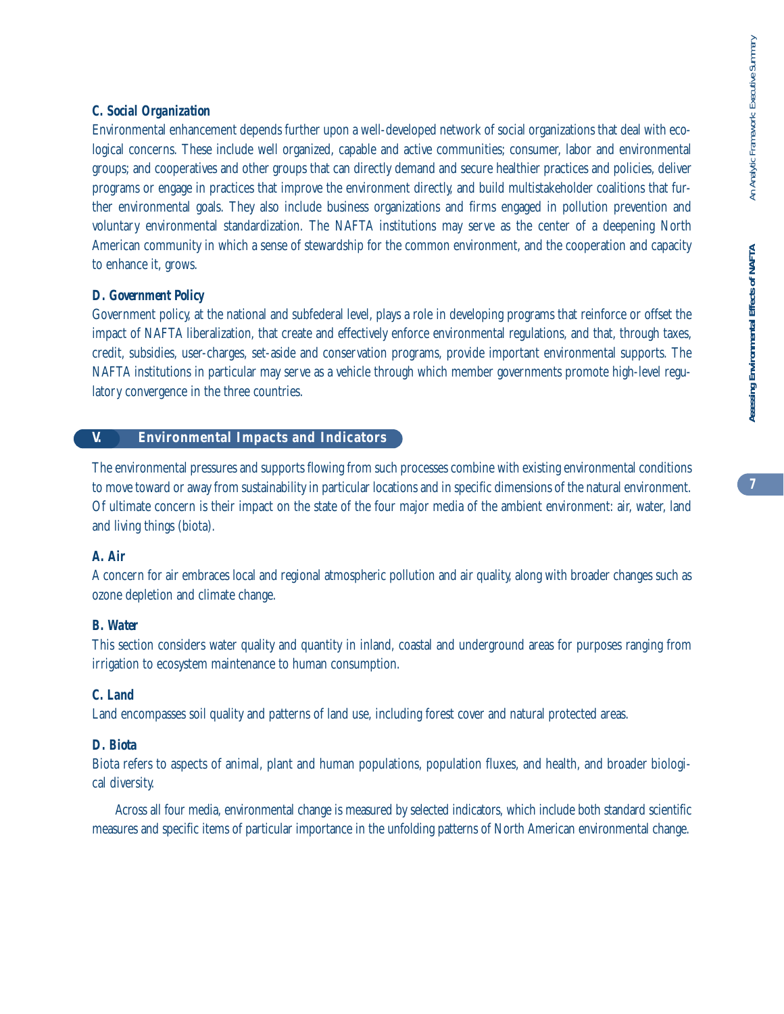# Assessing Environmental Effects of NAFTA **Assessing Environmental Effects of NAFTA**

#### *C. Social Organization*

Environmental enhancement depends further upon a well-developed network of social organizations that deal with ecological concerns. These include well organized, capable and active communities; consumer, labor and environmental groups; and cooperatives and other groups that can directly demand and secure healthier practices and policies, deliver programs or engage in practices that improve the environment directly, and build multistakeholder coalitions that further environmental goals. They also include business organizations and firms engaged in pollution prevention and voluntary environmental standardization. The NAFTA institutions may serve as the center of a deepening North American community in which a sense of stewardship for the common environment, and the cooperation and capacity to enhance it, grows.

#### *D. Government Policy*

Government policy, at the national and subfederal level, plays a role in developing programs that reinforce or offset the impact of NAFTA liberalization, that create and effectively enforce environmental regulations, and that, through taxes, credit, subsidies, user-charges, set-aside and conservation programs, provide important environmental supports. The NAFTA institutions in particular may serve as a vehicle through which member governments promote high-level regulatory convergence in the three countries.

#### **V. Environmental Impacts and Indicators**

The environmental pressures and supports flowing from such processes combine with existing environmental conditions to move toward or away from sustainability in particular locations and in specific dimensions of the natural environment. Of ultimate concern is their impact on the state of the four major media of the ambient environment: air, water, land and living things (biota).

#### *A. Air*

A concern for air embraces local and regional atmospheric pollution and air quality, along with broader changes such as ozone depletion and climate change.

#### *B. Water*

This section considers water quality and quantity in inland, coastal and underground areas for purposes ranging from irrigation to ecosystem maintenance to human consumption.

#### *C. Land*

Land encompasses soil quality and patterns of land use, including forest cover and natural protected areas.

#### *D. Biota*

Biota refers to aspects of animal, plant and human populations, population fluxes, and health, and broader biological diversity.

Across all four media, environmental change is measured by selected indicators, which include both standard scientific measures and specific items of particular importance in the unfolding patterns of North American environmental change.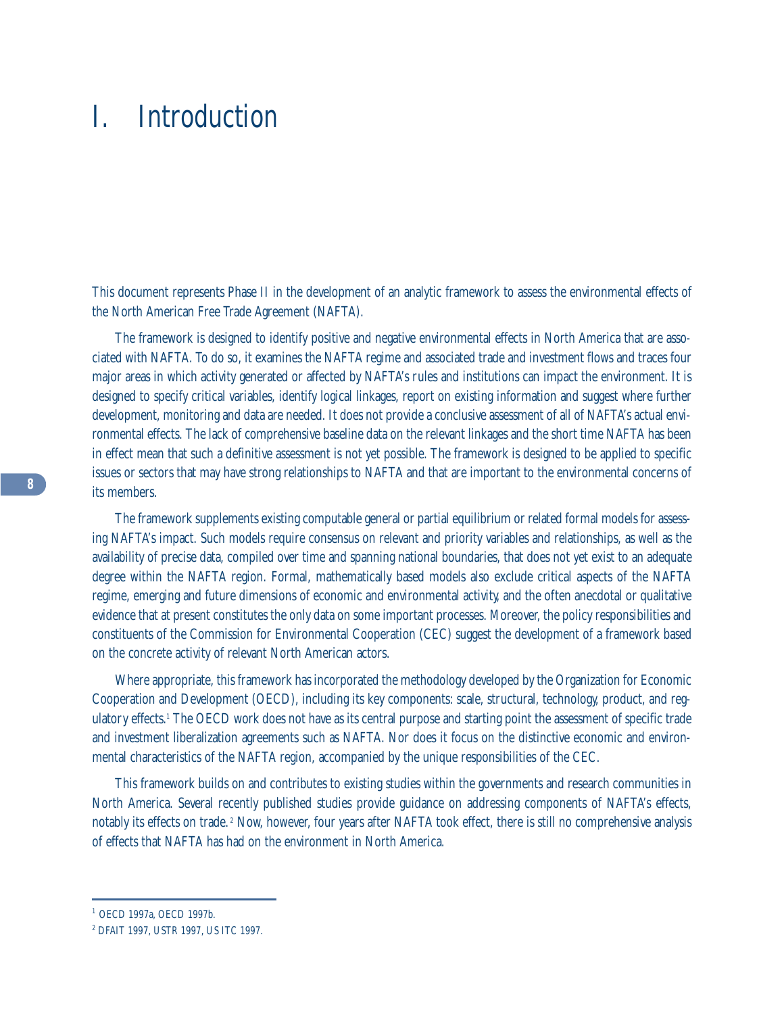# I. Introduction

This document represents Phase II in the development of an analytic framework to assess the environmental effects of the North American Free Trade Agreement (NAFTA).

The framework is designed to identify positive and negative environmental effects in North America that are associated with NAFTA. To do so, it examines the NAFTA regime and associated trade and investment flows and traces four major areas in which activity generated or affected by NAFTA's rules and institutions can impact the environment. It is designed to specify critical variables, identify logical linkages, report on existing information and suggest where further development, monitoring and data are needed. It does not provide a conclusive assessment of all of NAFTA's actual environmental effects. The lack of comprehensive baseline data on the relevant linkages and the short time NAFTA has been in effect mean that such a definitive assessment is not yet possible. The framework is designed to be applied to specific issues or sectors that may have strong relationships to NAFTA and that are important to the environmental concerns of its members.

The framework supplements existing computable general or partial equilibrium or related formal models for assessing NAFTA's impact. Such models require consensus on relevant and priority variables and relationships, as well as the availability of precise data, compiled over time and spanning national boundaries, that does not yet exist to an adequate degree within the NAFTA region. Formal, mathematically based models also exclude critical aspects of the NAFTA regime, emerging and future dimensions of economic and environmental activity, and the often anecdotal or qualitative evidence that at present constitutes the only data on some important processes. Moreover, the policy responsibilities and constituents of the Commission for Environmental Cooperation (CEC) suggest the development of a framework based on the concrete activity of relevant North American actors.

Where appropriate, this framework has incorporated the methodology developed by the Organization for Economic Cooperation and Development (OECD), including its key components: scale, structural, technology, product, and regulatory effects.1 The OECD work does not have as its central purpose and starting point the assessment of specific trade and investment liberalization agreements such as NAFTA. Nor does it focus on the distinctive economic and environmental characteristics of the NAFTA region, accompanied by the unique responsibilities of the CEC.

This framework builds on and contributes to existing studies within the governments and research communities in North America. Several recently published studies provide guidance on addressing components of NAFTA's effects, notably its effects on trade. <sup>2</sup> Now, however, four years after NAFTA took effect, there is still no comprehensive analysis of effects that NAFTA has had on the environment in North America.

<sup>1</sup> OECD 1997a, OECD 1997b.

<sup>2</sup> DFAIT 1997, USTR 1997, US ITC 1997.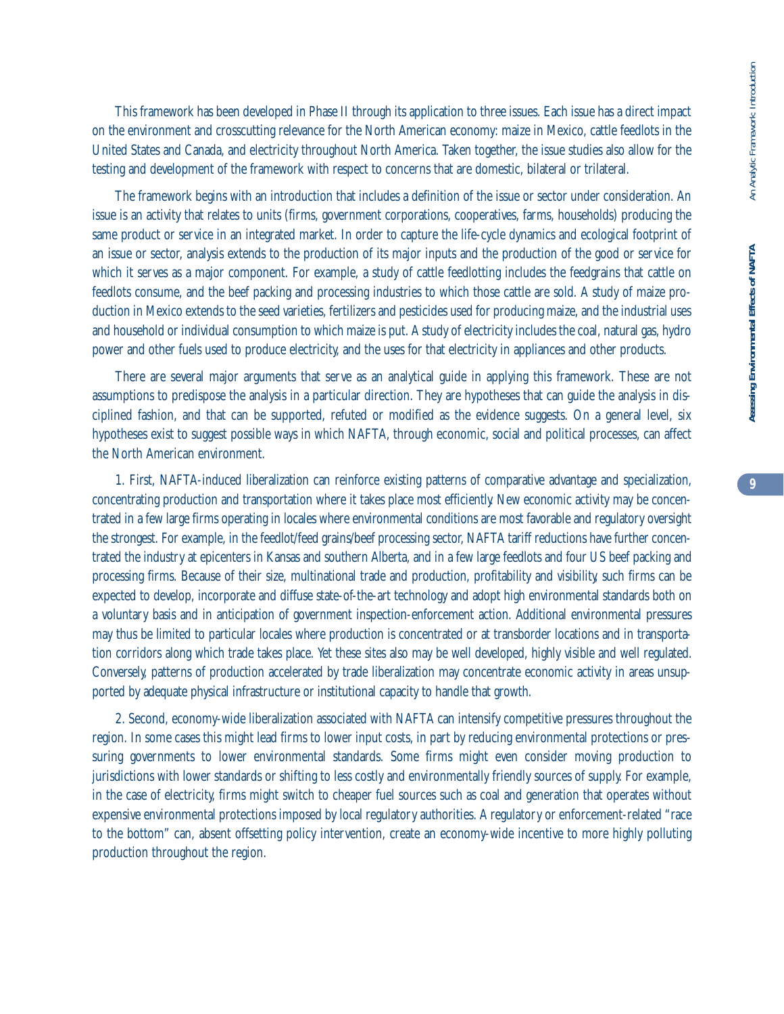This framework has been developed in Phase II through its application to three issues. Each issue has a direct impact on the environment and crosscutting relevance for the North American economy: maize in Mexico, cattle feedlots in the United States and Canada, and electricity throughout North America. Taken together, the issue studies also allow for the testing and development of the framework with respect to concerns that are domestic, bilateral or trilateral.

The framework begins with an introduction that includes a definition of the issue or sector under consideration. An issue is an activity that relates to units (firms, government corporations, cooperatives, farms, households) producing the same product or service in an integrated market. In order to capture the life-cycle dynamics and ecological footprint of an issue or sector, analysis extends to the production of its major inputs and the production of the good or service for which it serves as a major component. For example, a study of cattle feedlotting includes the feedgrains that cattle on feedlots consume, and the beef packing and processing industries to which those cattle are sold. A study of maize production in Mexico extends to the seed varieties, fertilizers and pesticides used for producing maize, and the industrial uses and household or individual consumption to which maize is put. A study of electricity includes the coal, natural gas, hydro power and other fuels used to produce electricity, and the uses for that electricity in appliances and other products.

There are several major arguments that serve as an analytical guide in applying this framework. These are not assumptions to predispose the analysis in a particular direction. They are hypotheses that can guide the analysis in disciplined fashion, and that can be supported, refuted or modified as the evidence suggests. On a general level, six hypotheses exist to suggest possible ways in which NAFTA, through economic, social and political processes, can affect the North American environment.

1. First, NAFTA-induced liberalization can reinforce existing patterns of comparative advantage and specialization, concentrating production and transportation where it takes place most efficiently. New economic activity may be concentrated in a few large firms operating in locales where environmental conditions are most favorable and regulatory oversight the strongest. For example, in the feedlot/feed grains/beef processing sector, NAFTA tariff reductions have further concentrated the industry at epicenters in Kansas and southern Alberta, and in a few large feedlots and four US beef packing and processing firms. Because of their size, multinational trade and production, profitability and visibility, such firms can be expected to develop, incorporate and diffuse state-of-the-art technology and adopt high environmental standards both on a voluntary basis and in anticipation of government inspection-enforcement action. Additional environmental pressures may thus be limited to particular locales where production is concentrated or at transborder locations and in transportation corridors along which trade takes place. Yet these sites also may be well developed, highly visible and well regulated. Conversely, patterns of production accelerated by trade liberalization may concentrate economic activity in areas unsupported by adequate physical infrastructure or institutional capacity to handle that growth.

2. Second, economy-wide liberalization associated with NAFTA can intensify competitive pressures throughout the region. In some cases this might lead firms to lower input costs, in part by reducing environmental protections or pressuring governments to lower environmental standards. Some firms might even consider moving production to jurisdictions with lower standards or shifting to less costly and environmentally friendly sources of supply. For example, in the case of electricity, firms might switch to cheaper fuel sources such as coal and generation that operates without expensive environmental protections imposed by local regulatory authorities. A regulatory or enforcement-related "race to the bottom" can, absent offsetting policy intervention, create an economy-wide incentive to more highly polluting production throughout the region.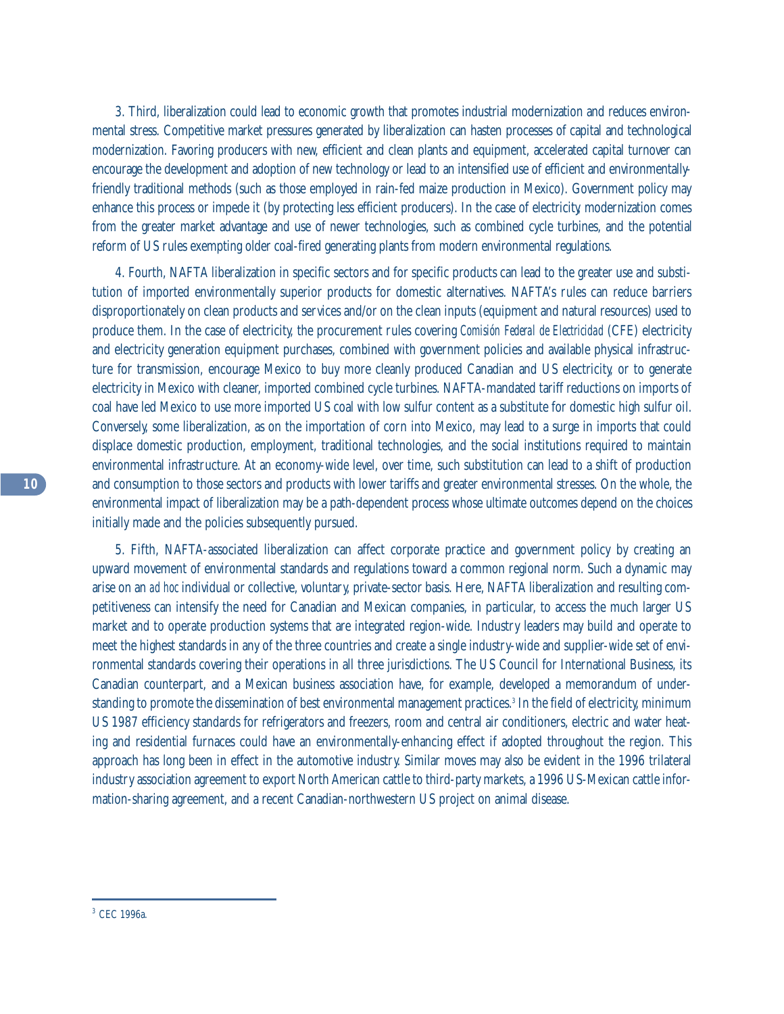3. Third, liberalization could lead to economic growth that promotes industrial modernization and reduces environmental stress. Competitive market pressures generated by liberalization can hasten processes of capital and technological modernization. Favoring producers with new, efficient and clean plants and equipment, accelerated capital turnover can encourage the development and adoption of new technology or lead to an intensified use of efficient and environmentallyfriendly traditional methods (such as those employed in rain-fed maize production in Mexico). Government policy may enhance this process or impede it (by protecting less efficient producers). In the case of electricity, modernization comes from the greater market advantage and use of newer technologies, such as combined cycle turbines, and the potential reform of US rules exempting older coal-fired generating plants from modern environmental regulations.

4. Fourth, NAFTA liberalization in specific sectors and for specific products can lead to the greater use and substitution of imported environmentally superior products for domestic alternatives. NAFTA's rules can reduce barriers disproportionately on clean products and services and/or on the clean inputs (equipment and natural resources) used to produce them. In the case of electricity, the procurement rules covering *Comisión Federal de Electricidad* (CFE) electricity and electricity generation equipment purchases, combined with government policies and available physical infrastructure for transmission, encourage Mexico to buy more cleanly produced Canadian and US electricity, or to generate electricity in Mexico with cleaner, imported combined cycle turbines. NAFTA-mandated tariff reductions on imports of coal have led Mexico to use more imported US coal with low sulfur content as a substitute for domestic high sulfur oil. Conversely, some liberalization, as on the importation of corn into Mexico, may lead to a surge in imports that could displace domestic production, employment, traditional technologies, and the social institutions required to maintain environmental infrastructure. At an economy-wide level, over time, such substitution can lead to a shift of production and consumption to those sectors and products with lower tariffs and greater environmental stresses. On the whole, the environmental impact of liberalization may be a path-dependent process whose ultimate outcomes depend on the choices initially made and the policies subsequently pursued.

5. Fifth, NAFTA-associated liberalization can affect corporate practice and government policy by creating an upward movement of environmental standards and regulations toward a common regional norm. Such a dynamic may arise on an *ad hoc* individual or collective, voluntary, private-sector basis. Here, NAFTA liberalization and resulting competitiveness can intensify the need for Canadian and Mexican companies, in particular, to access the much larger US market and to operate production systems that are integrated region-wide. Industry leaders may build and operate to meet the highest standards in any of the three countries and create a single industry-wide and supplier-wide set of environmental standards covering their operations in all three jurisdictions. The US Council for International Business, its Canadian counterpart, and a Mexican business association have, for example, developed a memorandum of understanding to promote the dissemination of best environmental management practices.<sup>3</sup> In the field of electricity, minimum US 1987 efficiency standards for refrigerators and freezers, room and central air conditioners, electric and water heating and residential furnaces could have an environmentally-enhancing effect if adopted throughout the region. This approach has long been in effect in the automotive industry. Similar moves may also be evident in the 1996 trilateral industry association agreement to export North American cattle to third-party markets, a 1996 US-Mexican cattle information-sharing agreement, and a recent Canadian-northwestern US project on animal disease.

<sup>3</sup> CEC 1996a.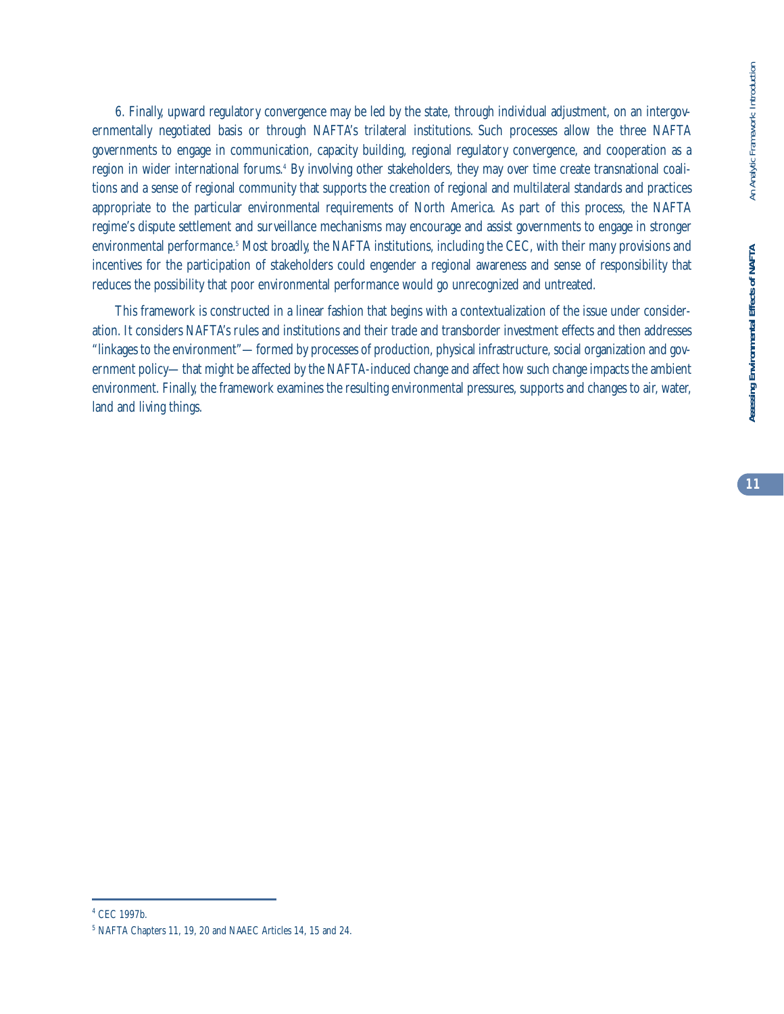**11**

6. Finally, upward regulatory convergence may be led by the state, through individual adjustment, on an intergovernmentally negotiated basis or through NAFTA's trilateral institutions. Such processes allow the three NAFTA governments to engage in communication, capacity building, regional regulatory convergence, and cooperation as a region in wider international forums.<sup>4</sup> By involving other stakeholders, they may over time create transnational coalitions and a sense of regional community that supports the creation of regional and multilateral standards and practices appropriate to the particular environmental requirements of North America. As part of this process, the NAFTA regime's dispute settlement and surveillance mechanisms may encourage and assist governments to engage in stronger environmental performance.5 Most broadly, the NAFTA institutions, including the CEC, with their many provisions and incentives for the participation of stakeholders could engender a regional awareness and sense of responsibility that reduces the possibility that poor environmental performance would go unrecognized and untreated.

This framework is constructed in a linear fashion that begins with a contextualization of the issue under consideration. It considers NAFTA's rules and institutions and their trade and transborder investment effects and then addresses "linkages to the environment"—formed by processes of production, physical infrastructure, social organization and government policy—that might be affected by the NAFTA-induced change and affect how such change impacts the ambient environment. Finally, the framework examines the resulting environmental pressures, supports and changes to air, water, land and living things.

<sup>4</sup> CEC 1997b.

<sup>5</sup> NAFTA Chapters 11, 19, 20 and NAAEC Articles 14, 15 and 24.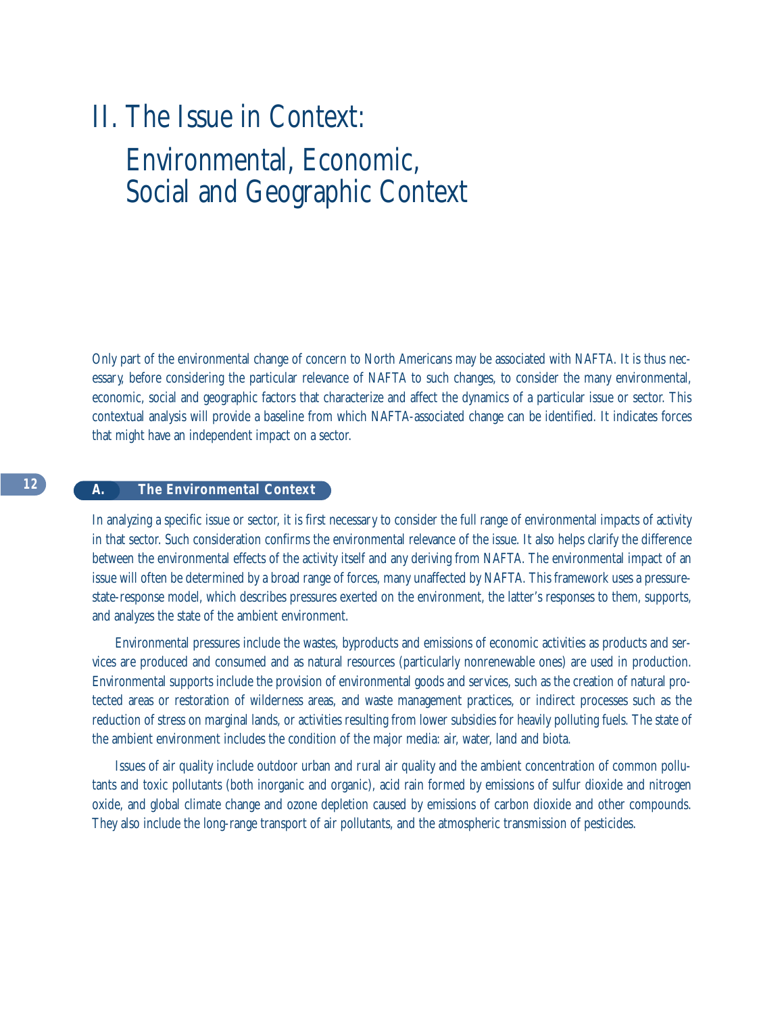# II. The Issue in Context: Environmental, Economic, Social and Geographic Context

Only part of the environmental change of concern to North Americans may be associated with NAFTA. It is thus necessary, before considering the particular relevance of NAFTA to such changes, to consider the many environmental, economic, social and geographic factors that characterize and affect the dynamics of a particular issue or sector. This contextual analysis will provide a baseline from which NAFTA-associated change can be identified. It indicates forces that might have an independent impact on a sector.

#### **A. The Environmental Context**

In analyzing a specific issue or sector, it is first necessary to consider the full range of environmental impacts of activity in that sector. Such consideration confirms the environmental relevance of the issue. It also helps clarify the difference between the environmental effects of the activity itself and any deriving from NAFTA. The environmental impact of an issue will often be determined by a broad range of forces, many unaffected by NAFTA. This framework uses a pressurestate-response model, which describes pressures exerted on the environment, the latter's responses to them, supports, and analyzes the state of the ambient environment.

Environmental pressures include the wastes, byproducts and emissions of economic activities as products and services are produced and consumed and as natural resources (particularly nonrenewable ones) are used in production. Environmental supports include the provision of environmental goods and services, such as the creation of natural protected areas or restoration of wilderness areas, and waste management practices, or indirect processes such as the reduction of stress on marginal lands, or activities resulting from lower subsidies for heavily polluting fuels. The state of the ambient environment includes the condition of the major media: air, water, land and biota.

Issues of air quality include outdoor urban and rural air quality and the ambient concentration of common pollutants and toxic pollutants (both inorganic and organic), acid rain formed by emissions of sulfur dioxide and nitrogen oxide, and global climate change and ozone depletion caused by emissions of carbon dioxide and other compounds. They also include the long-range transport of air pollutants, and the atmospheric transmission of pesticides.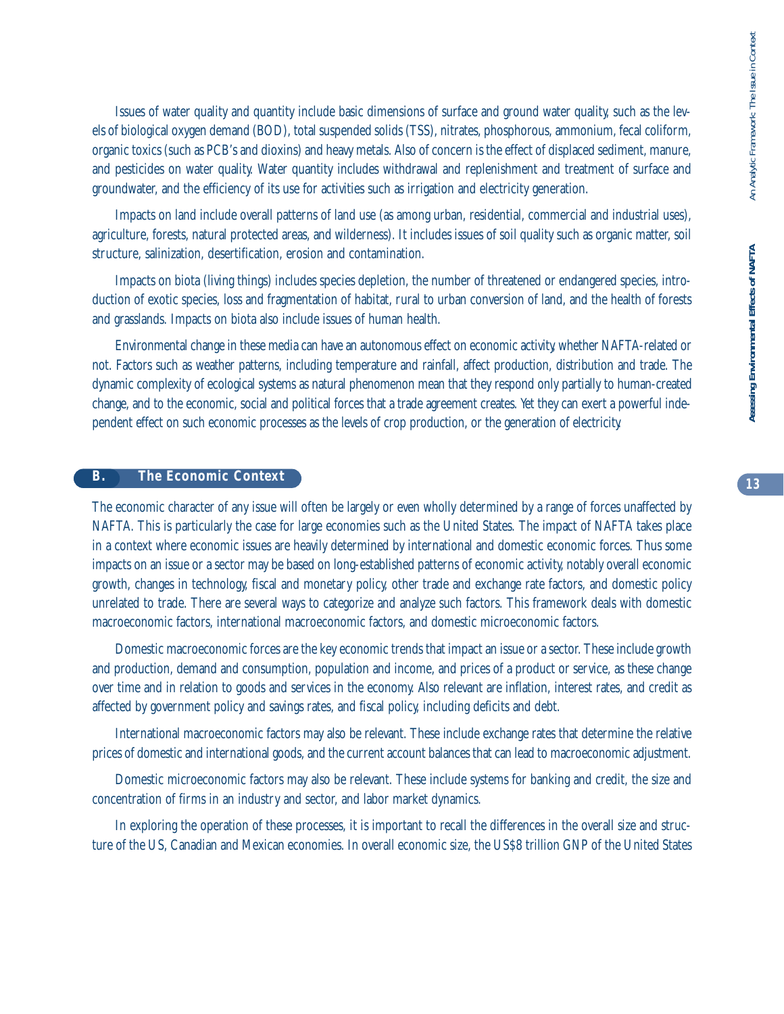Issues of water quality and quantity include basic dimensions of surface and ground water quality, such as the levels of biological oxygen demand (BOD), total suspended solids (TSS), nitrates, phosphorous, ammonium, fecal coliform, organic toxics (such as PCB's and dioxins) and heavy metals. Also of concern is the effect of displaced sediment, manure, and pesticides on water quality. Water quantity includes withdrawal and replenishment and treatment of surface and groundwater, and the efficiency of its use for activities such as irrigation and electricity generation.

Impacts on land include overall patterns of land use (as among urban, residential, commercial and industrial uses), agriculture, forests, natural protected areas, and wilderness). It includes issues of soil quality such as organic matter, soil structure, salinization, desertification, erosion and contamination.

Impacts on biota (living things) includes species depletion, the number of threatened or endangered species, introduction of exotic species, loss and fragmentation of habitat, rural to urban conversion of land, and the health of forests and grasslands. Impacts on biota also include issues of human health.

Environmental change in these media can have an autonomous effect on economic activity, whether NAFTA-related or not. Factors such as weather patterns, including temperature and rainfall, affect production, distribution and trade. The dynamic complexity of ecological systems as natural phenomenon mean that they respond only partially to human-created change, and to the economic, social and political forces that a trade agreement creates. Yet they can exert a powerful independent effect on such economic processes as the levels of crop production, or the generation of electricity.

#### **B. The Economic Context**

The economic character of any issue will often be largely or even wholly determined by a range of forces unaffected by NAFTA. This is particularly the case for large economies such as the United States. The impact of NAFTA takes place in a context where economic issues are heavily determined by international and domestic economic forces. Thus some impacts on an issue or a sector may be based on long-established patterns of economic activity, notably overall economic growth, changes in technology, fiscal and monetary policy, other trade and exchange rate factors, and domestic policy unrelated to trade. There are several ways to categorize and analyze such factors. This framework deals with domestic macroeconomic factors, international macroeconomic factors, and domestic microeconomic factors.

Domestic macroeconomic forces are the key economic trends that impact an issue or a sector. These include growth and production, demand and consumption, population and income, and prices of a product or service, as these change over time and in relation to goods and services in the economy. Also relevant are inflation, interest rates, and credit as affected by government policy and savings rates, and fiscal policy, including deficits and debt.

International macroeconomic factors may also be relevant. These include exchange rates that determine the relative prices of domestic and international goods, and the current account balances that can lead to macroeconomic adjustment.

Domestic microeconomic factors may also be relevant. These include systems for banking and credit, the size and concentration of firms in an industry and sector, and labor market dynamics.

In exploring the operation of these processes, it is important to recall the differences in the overall size and structure of the US, Canadian and Mexican economies. In overall economic size, the US\$8 trillion GNP of the United States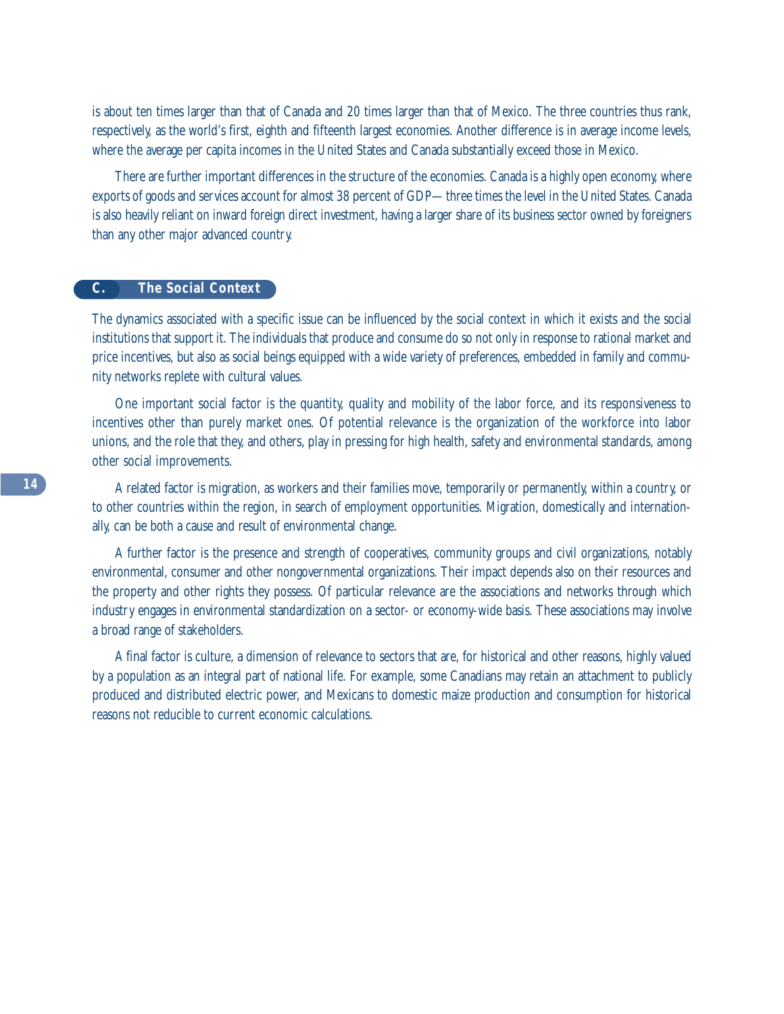is about ten times larger than that of Canada and 20 times larger than that of Mexico. The three countries thus rank, respectively, as the world's first, eighth and fifteenth largest economies. Another difference is in average income levels, where the average per capita incomes in the United States and Canada substantially exceed those in Mexico.

There are further important differences in the structure of the economies. Canada is a highly open economy, where exports of goods and services account for almost 38 percent of GDP—three times the level in the United States. Canada is also heavily reliant on inward foreign direct investment, having a larger share of its business sector owned by foreigners than any other major advanced country.

#### **C. The Social Context**

The dynamics associated with a specific issue can be influenced by the social context in which it exists and the social institutions that support it. The individuals that produce and consume do so not only in response to rational market and price incentives, but also as social beings equipped with a wide variety of preferences, embedded in family and community networks replete with cultural values.

One important social factor is the quantity, quality and mobility of the labor force, and its responsiveness to incentives other than purely market ones. Of potential relevance is the organization of the workforce into labor unions, and the role that they, and others, play in pressing for high health, safety and environmental standards, among other social improvements.

A related factor is migration, as workers and their families move, temporarily or permanently, within a country, or to other countries within the region, in search of employment opportunities. Migration, domestically and internationally, can be both a cause and result of environmental change.

A further factor is the presence and strength of cooperatives, community groups and civil organizations, notably environmental, consumer and other nongovernmental organizations. Their impact depends also on their resources and the property and other rights they possess. Of particular relevance are the associations and networks through which industry engages in environmental standardization on a sector- or economy-wide basis. These associations may involve a broad range of stakeholders.

A final factor is culture, a dimension of relevance to sectors that are, for historical and other reasons, highly valued by a population as an integral part of national life. For example, some Canadians may retain an attachment to publicly produced and distributed electric power, and Mexicans to domestic maize production and consumption for historical reasons not reducible to current economic calculations.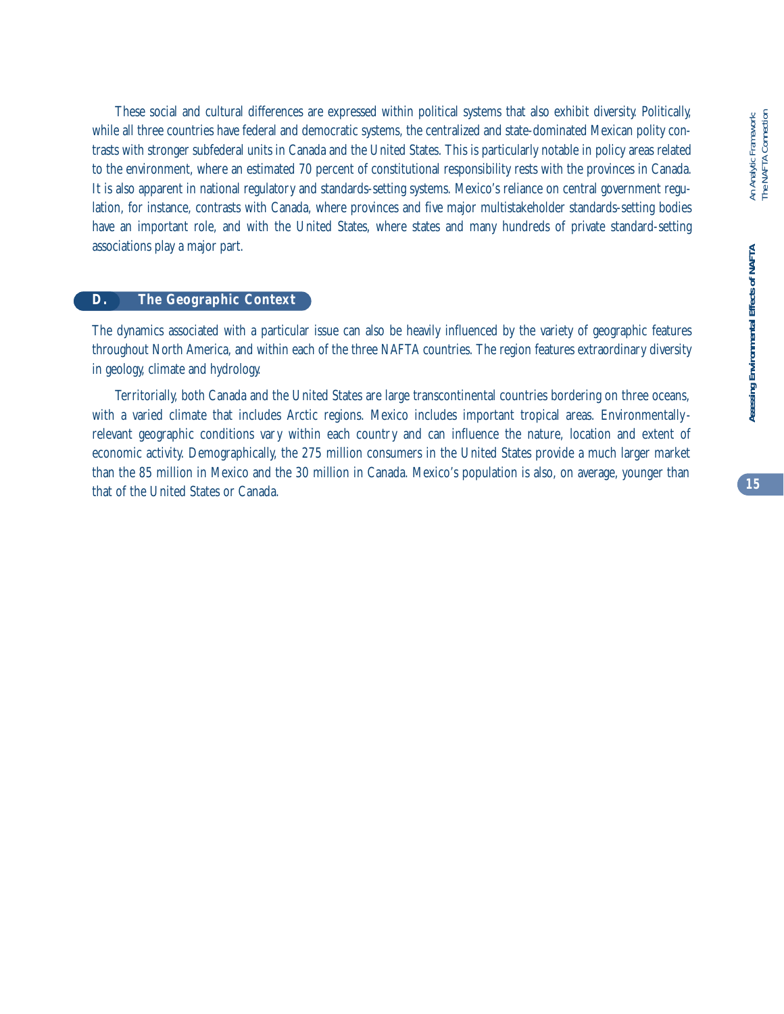These social and cultural differences are expressed within political systems that also exhibit diversity. Politically, while all three countries have federal and democratic systems, the centralized and state-dominated Mexican polity contrasts with stronger subfederal units in Canada and the United States. This is particularly notable in policy areas related to the environment, where an estimated 70 percent of constitutional responsibility rests with the provinces in Canada. It is also apparent in national regulatory and standards-setting systems. Mexico's reliance on central government regulation, for instance, contrasts with Canada, where provinces and five major multistakeholder standards-setting bodies have an important role, and with the United States, where states and many hundreds of private standard-setting associations play a major part.

#### **D. The Geographic Context**

The dynamics associated with a particular issue can also be heavily influenced by the variety of geographic features throughout North America, and within each of the three NAFTA countries. The region features extraordinary diversity in geology, climate and hydrology.

Territorially, both Canada and the United States are large transcontinental countries bordering on three oceans, with a varied climate that includes Arctic regions. Mexico includes important tropical areas. Environmentallyrelevant geographic conditions vary within each country and can influence the nature, location and extent of economic activity. Demographically, the 275 million consumers in the United States provide a much larger market than the 85 million in Mexico and the 30 million in Canada. Mexico's population is also, on average, younger than that of the United States or Canada.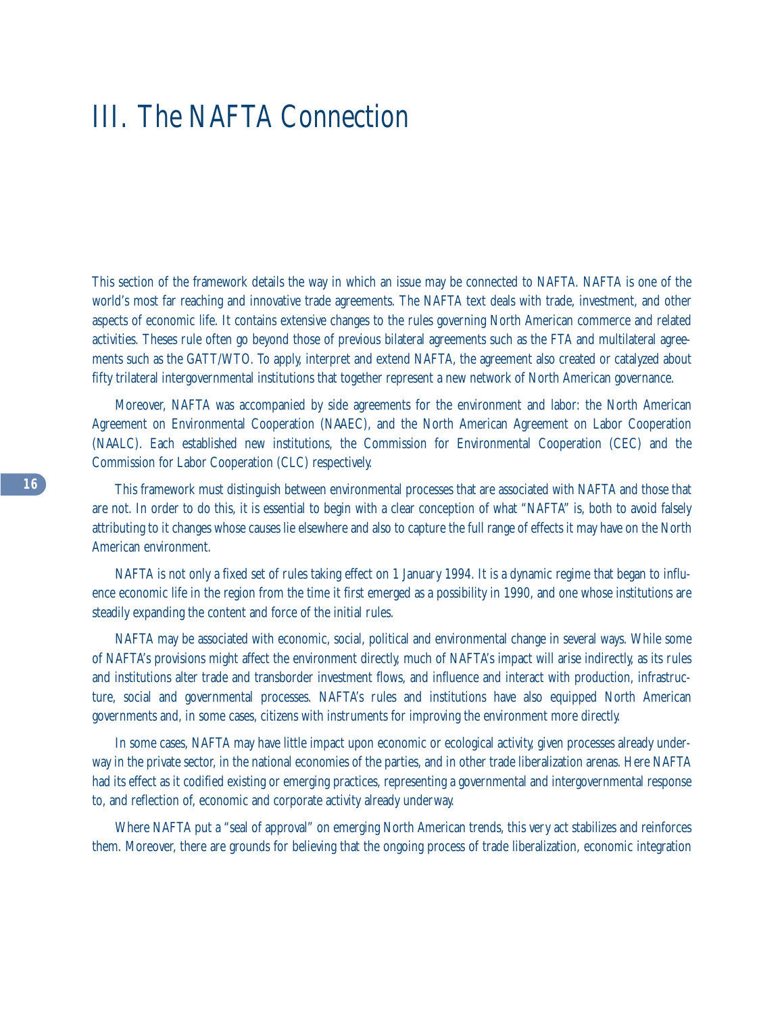## III. The NAFTA Connection

This section of the framework details the way in which an issue may be connected to NAFTA. NAFTA is one of the world's most far reaching and innovative trade agreements. The NAFTA text deals with trade, investment, and other aspects of economic life. It contains extensive changes to the rules governing North American commerce and related activities. Theses rule often go beyond those of previous bilateral agreements such as the FTA and multilateral agreements such as the GATT/WTO. To apply, interpret and extend NAFTA, the agreement also created or catalyzed about fifty trilateral intergovernmental institutions that together represent a new network of North American governance.

Moreover, NAFTA was accompanied by side agreements for the environment and labor: the North American Agreement on Environmental Cooperation (NAAEC), and the North American Agreement on Labor Cooperation (NAALC). Each established new institutions, the Commission for Environmental Cooperation (CEC) and the Commission for Labor Cooperation (CLC) respectively.

This framework must distinguish between environmental processes that are associated with NAFTA and those that are not. In order to do this, it is essential to begin with a clear conception of what "NAFTA" is, both to avoid falsely attributing to it changes whose causes lie elsewhere and also to capture the full range of effects it may have on the North American environment.

NAFTA is not only a fixed set of rules taking effect on 1 January 1994. It is a dynamic regime that began to influence economic life in the region from the time it first emerged as a possibility in 1990, and one whose institutions are steadily expanding the content and force of the initial rules.

NAFTA may be associated with economic, social, political and environmental change in several ways. While some of NAFTA's provisions might affect the environment directly, much of NAFTA's impact will arise indirectly, as its rules and institutions alter trade and transborder investment flows, and influence and interact with production, infrastructure, social and governmental processes. NAFTA's rules and institutions have also equipped North American governments and, in some cases, citizens with instruments for improving the environment more directly.

In some cases, NAFTA may have little impact upon economic or ecological activity, given processes already underway in the private sector, in the national economies of the parties, and in other trade liberalization arenas. Here NAFTA had its effect as it codified existing or emerging practices, representing a governmental and intergovernmental response to, and reflection of, economic and corporate activity already underway.

Where NAFTA put a "seal of approval" on emerging North American trends, this very act stabilizes and reinforces them. Moreover, there are grounds for believing that the ongoing process of trade liberalization, economic integration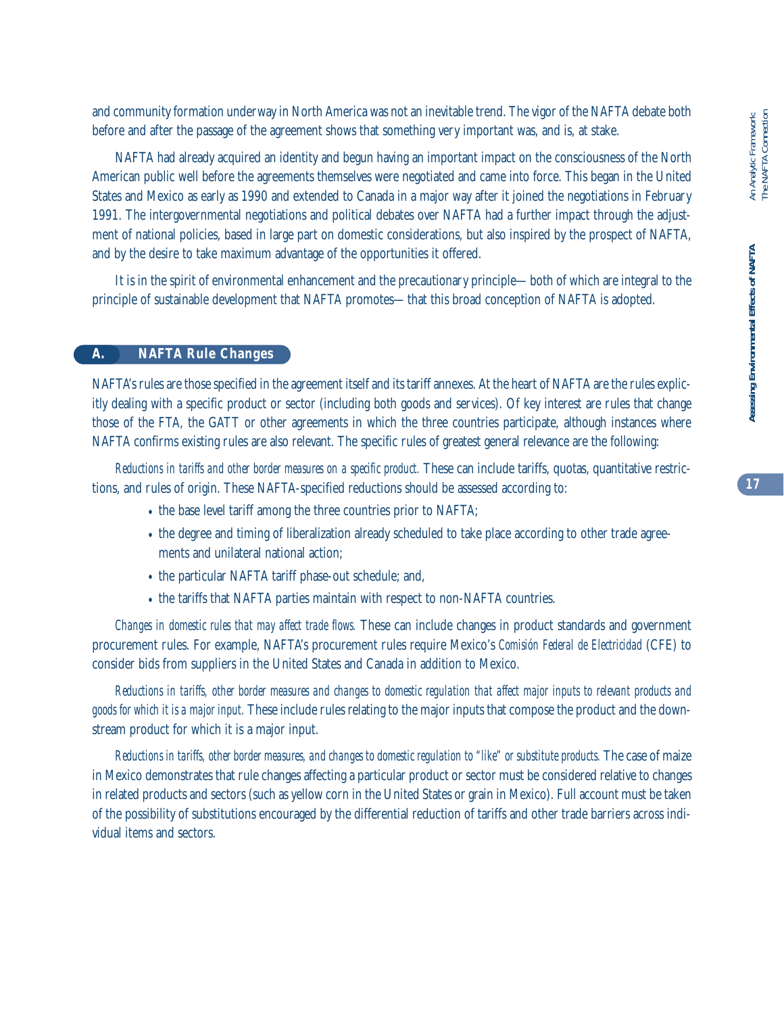and community formation underway in North America was not an inevitable trend. The vigor of the NAFTA debate both before and after the passage of the agreement shows that something very important was, and is, at stake.

NAFTA had already acquired an identity and begun having an important impact on the consciousness of the North American public well before the agreements themselves were negotiated and came into force. This began in the United States and Mexico as early as 1990 and extended to Canada in a major way after it joined the negotiations in February 1991. The intergovernmental negotiations and political debates over NAFTA had a further impact through the adjustment of national policies, based in large part on domestic considerations, but also inspired by the prospect of NAFTA, and by the desire to take maximum advantage of the opportunities it offered.

It is in the spirit of environmental enhancement and the precautionary principle—both of which are integral to the principle of sustainable development that NAFTA promotes—that this broad conception of NAFTA is adopted.

#### **A. NAFTA Rule Changes**

NAFTA's rules are those specified in the agreement itself and its tariff annexes. At the heart of NAFTA are the rules explicitly dealing with a specific product or sector (including both goods and services). Of key interest are rules that change those of the FTA, the GATT or other agreements in which the three countries participate, although instances where NAFTA confirms existing rules are also relevant. The specific rules of greatest general relevance are the following:

*Reductions in tariffs and other border measures on a specific product.* These can include tariffs, quotas, quantitative restrictions, and rules of origin. These NAFTA-specified reductions should be assessed according to:

- the base level tariff among the three countries prior to NAFTA;
- the degree and timing of liberalization already scheduled to take place according to other trade agreements and unilateral national action;
- the particular NAFTA tariff phase-out schedule; and,
- the tariffs that NAFTA parties maintain with respect to non-NAFTA countries.

*Changes in domestic rules that may affect trade flows.* These can include changes in product standards and government procurement rules. For example, NAFTA's procurement rules require Mexico's *Comisión Federal de Electricidad* (CFE) to consider bids from suppliers in the United States and Canada in addition to Mexico.

*Reductions in tariffs, other border measures and changes to domestic regulation that affect major inputs to relevant products and goods for which it is a major input.* These include rules relating to the major inputs that compose the product and the downstream product for which it is a major input.

*Reductions in tariffs, other border measures, and changes to domestic regulation to "like" or substitute products.* The case of maize in Mexico demonstrates that rule changes affecting a particular product or sector must be considered relative to changes in related products and sectors (such as yellow corn in the United States or grain in Mexico). Full account must be taken of the possibility of substitutions encouraged by the differential reduction of tariffs and other trade barriers across individual items and sectors.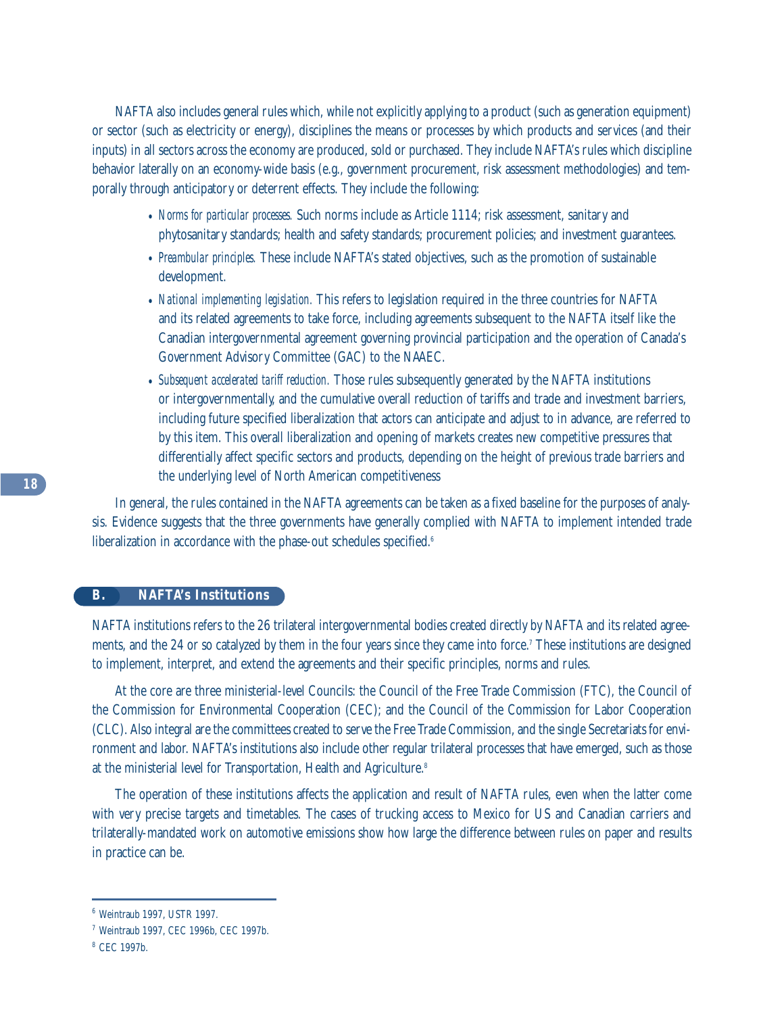NAFTA also includes general rules which, while not explicitly applying to a product (such as generation equipment) or sector (such as electricity or energy), disciplines the means or processes by which products and services (and their inputs) in all sectors across the economy are produced, sold or purchased. They include NAFTA's rules which discipline behavior laterally on an economy-wide basis (e.g., government procurement, risk assessment methodologies) and temporally through anticipatory or deterrent effects. They include the following:

- *Norms for particular processes.* Such norms include as Article 1114; risk assessment, sanitary and phytosanitary standards; health and safety standards; procurement policies; and investment guarantees.
- *Preambular principles.* These include NAFTA's stated objectives, such as the promotion of sustainable development.
- *National implementing legislation.* This refers to legislation required in the three countries for NAFTA and its related agreements to take force, including agreements subsequent to the NAFTA itself like the Canadian intergovernmental agreement governing provincial participation and the operation of Canada's Government Advisory Committee (GAC) to the NAAEC.
- *Subsequent accelerated tariff reduction.* Those rules subsequently generated by the NAFTA institutions or intergovernmentally, and the cumulative overall reduction of tariffs and trade and investment barriers, including future specified liberalization that actors can anticipate and adjust to in advance, are referred to by this item. This overall liberalization and opening of markets creates new competitive pressures that differentially affect specific sectors and products, depending on the height of previous trade barriers and the underlying level of North American competitiveness

In general, the rules contained in the NAFTA agreements can be taken as a fixed baseline for the purposes of analysis. Evidence suggests that the three governments have generally complied with NAFTA to implement intended trade liberalization in accordance with the phase-out schedules specified.<sup>6</sup>

#### **B. NAFTA's Institutions**

NAFTA institutions refers to the 26 trilateral intergovernmental bodies created directly by NAFTA and its related agreements, and the 24 or so catalyzed by them in the four years since they came into force.7 These institutions are designed to implement, interpret, and extend the agreements and their specific principles, norms and rules.

At the core are three ministerial-level Councils: the Council of the Free Trade Commission (FTC), the Council of the Commission for Environmental Cooperation (CEC); and the Council of the Commission for Labor Cooperation (CLC). Also integral are the committees created to serve the Free Trade Commission, and the single Secretariats for environment and labor. NAFTA's institutions also include other regular trilateral processes that have emerged, such as those at the ministerial level for Transportation, Health and Agriculture.<sup>8</sup>

The operation of these institutions affects the application and result of NAFTA rules, even when the latter come with very precise targets and timetables. The cases of trucking access to Mexico for US and Canadian carriers and trilaterally-mandated work on automotive emissions show how large the difference between rules on paper and results in practice can be.

<sup>6</sup> Weintraub 1997, USTR 1997.

<sup>7</sup> Weintraub 1997, CEC 1996b, CEC 1997b.

<sup>8</sup> CEC 1997b.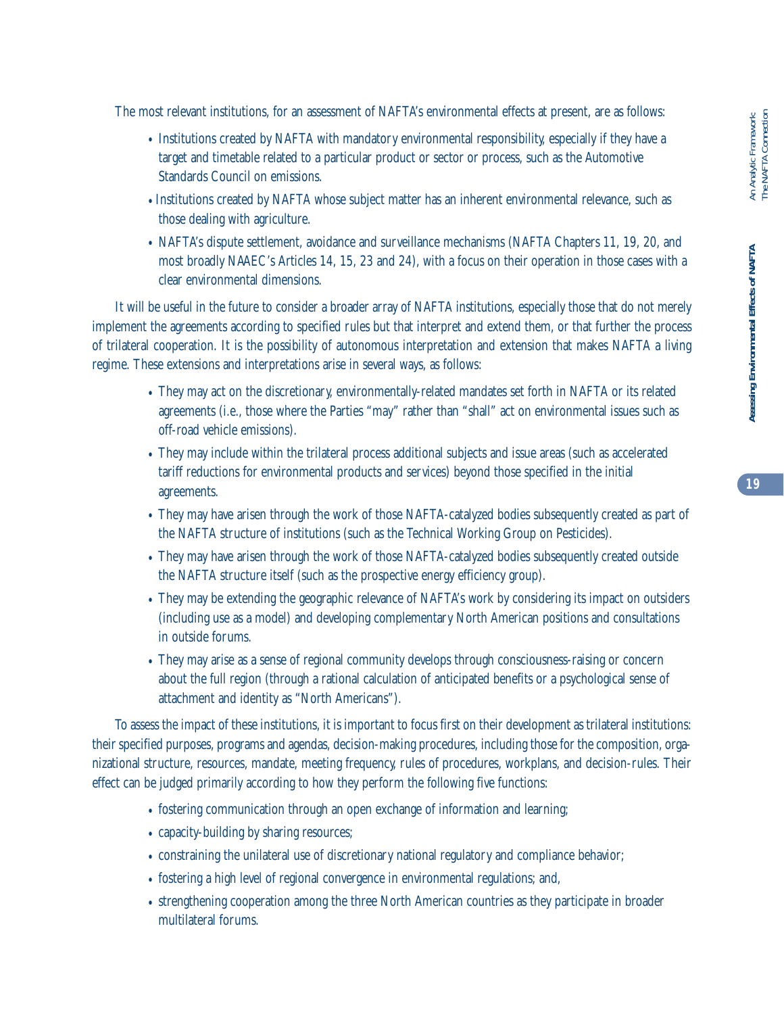The most relevant institutions, for an assessment of NAFTA's environmental effects at present, are as follows:

- Institutions created by NAFTA with mandatory environmental responsibility, especially if they have a target and timetable related to a particular product or sector or process, such as the Automotive Standards Council on emissions.
- •Institutions created by NAFTA whose subject matter has an inherent environmental relevance, such as those dealing with agriculture.
- NAFTA's dispute settlement, avoidance and surveillance mechanisms (NAFTA Chapters 11, 19, 20, and most broadly NAAEC's Articles 14, 15, 23 and 24), with a focus on their operation in those cases with a clear environmental dimensions.

It will be useful in the future to consider a broader array of NAFTA institutions, especially those that do not merely implement the agreements according to specified rules but that interpret and extend them, or that further the process of trilateral cooperation. It is the possibility of autonomous interpretation and extension that makes NAFTA a living regime. These extensions and interpretations arise in several ways, as follows:

- They may act on the discretionary, environmentally-related mandates set forth in NAFTA or its related agreements (i.e., those where the Parties "may" rather than "shall" act on environmental issues such as off-road vehicle emissions).
- They may include within the trilateral process additional subjects and issue areas (such as accelerated tariff reductions for environmental products and services) beyond those specified in the initial agreements.
- They may have arisen through the work of those NAFTA-catalyzed bodies subsequently created as part of the NAFTA structure of institutions (such as the Technical Working Group on Pesticides).
- They may have arisen through the work of those NAFTA-catalyzed bodies subsequently created outside the NAFTA structure itself (such as the prospective energy efficiency group).
- They may be extending the geographic relevance of NAFTA's work by considering its impact on outsiders (including use as a model) and developing complementary North American positions and consultations in outside forums.
- They may arise as a sense of regional community develops through consciousness-raising or concern about the full region (through a rational calculation of anticipated benefits or a psychological sense of attachment and identity as "North Americans").

To assess the impact of these institutions, it is important to focus first on their development as trilateral institutions: their specified purposes, programs and agendas, decision-making procedures, including those for the composition, organizational structure, resources, mandate, meeting frequency, rules of procedures, workplans, and decision-rules. Their effect can be judged primarily according to how they perform the following five functions:

- fostering communication through an open exchange of information and learning;
- capacity-building by sharing resources;
- constraining the unilateral use of discretionary national regulatory and compliance behavior;
- fostering a high level of regional convergence in environmental regulations; and,
- strengthening cooperation among the three North American countries as they participate in broader multilateral forums.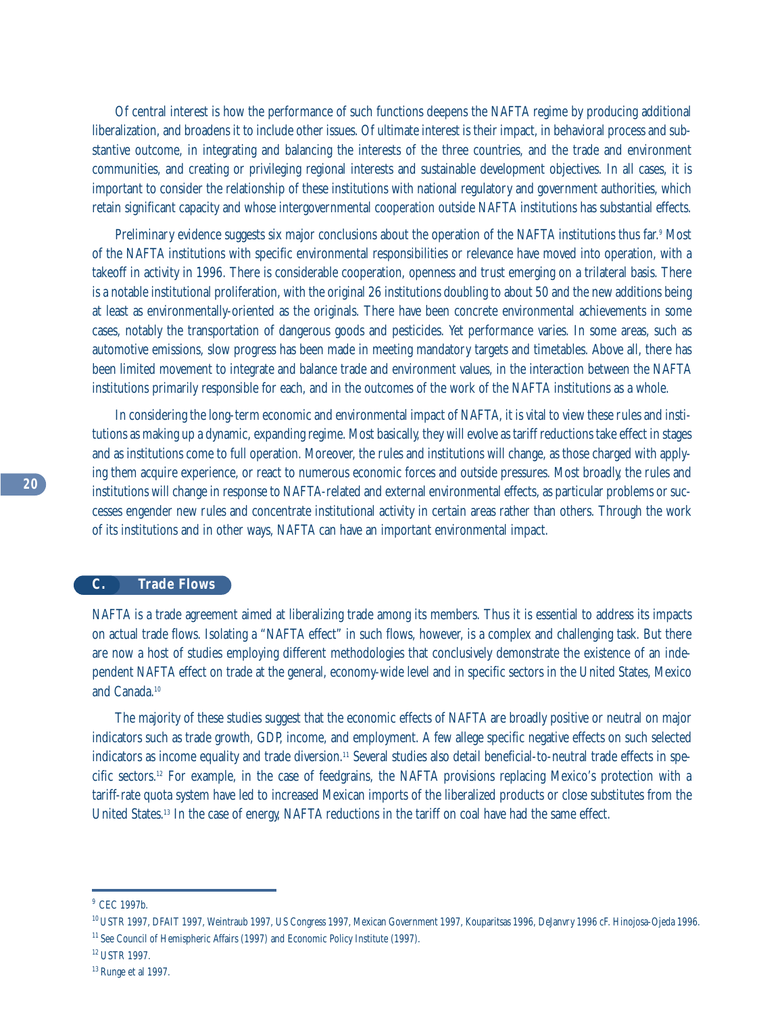Of central interest is how the performance of such functions deepens the NAFTA regime by producing additional liberalization, and broadens it to include other issues. Of ultimate interest is their impact, in behavioral process and substantive outcome, in integrating and balancing the interests of the three countries, and the trade and environment communities, and creating or privileging regional interests and sustainable development objectives. In all cases, it is important to consider the relationship of these institutions with national regulatory and government authorities, which retain significant capacity and whose intergovernmental cooperation outside NAFTA institutions has substantial effects.

Preliminary evidence suggests six major conclusions about the operation of the NAFTA institutions thus far. <sup>9</sup> Most of the NAFTA institutions with specific environmental responsibilities or relevance have moved into operation, with a takeoff in activity in 1996. There is considerable cooperation, openness and trust emerging on a trilateral basis. There is a notable institutional proliferation, with the original 26 institutions doubling to about 50 and the new additions being at least as environmentally-oriented as the originals. There have been concrete environmental achievements in some cases, notably the transportation of dangerous goods and pesticides. Yet performance varies. In some areas, such as automotive emissions, slow progress has been made in meeting mandatory targets and timetables. Above all, there has been limited movement to integrate and balance trade and environment values, in the interaction between the NAFTA institutions primarily responsible for each, and in the outcomes of the work of the NAFTA institutions as a whole.

In considering the long-term economic and environmental impact of NAFTA, it is vital to view these rules and institutions as making up a dynamic, expanding regime. Most basically, they will evolve as tariff reductions take effect in stages and as institutions come to full operation. Moreover, the rules and institutions will change, as those charged with applying them acquire experience, or react to numerous economic forces and outside pressures. Most broadly, the rules and institutions will change in response to NAFTA-related and external environmental effects, as particular problems or successes engender new rules and concentrate institutional activity in certain areas rather than others. Through the work of its institutions and in other ways, NAFTA can have an important environmental impact.

#### **C. Trade Flows**

NAFTA is a trade agreement aimed at liberalizing trade among its members. Thus it is essential to address its impacts on actual trade flows. Isolating a "NAFTA effect" in such flows, however, is a complex and challenging task. But there are now a host of studies employing different methodologies that conclusively demonstrate the existence of an independent NAFTA effect on trade at the general, economy-wide level and in specific sectors in the United States, Mexico and Canada.<sup>10</sup>

The majority of these studies suggest that the economic effects of NAFTA are broadly positive or neutral on major indicators such as trade growth, GDP, income, and employment. A few allege specific negative effects on such selected indicators as income equality and trade diversion.<sup>11</sup> Several studies also detail beneficial-to-neutral trade effects in specific sectors.12 For example, in the case of feedgrains, the NAFTA provisions replacing Mexico's protection with a tariff-rate quota system have led to increased Mexican imports of the liberalized products or close substitutes from the United States.<sup>13</sup> In the case of energy, NAFTA reductions in the tariff on coal have had the same effect.

<sup>&</sup>lt;sup>9</sup> CEC 1997b.

<sup>10</sup> USTR 1997, DFAIT 1997, Weintraub 1997, US Congress 1997, Mexican Government 1997, Kouparitsas 1996, DeJanvry 1996 cF. Hinojosa-Ojeda 1996.

<sup>&</sup>lt;sup>11</sup> See Council of Hemispheric Affairs (1997) and Economic Policy Institute (1997).

<sup>12</sup> USTR 1997.

<sup>13</sup> Runge et al 1997.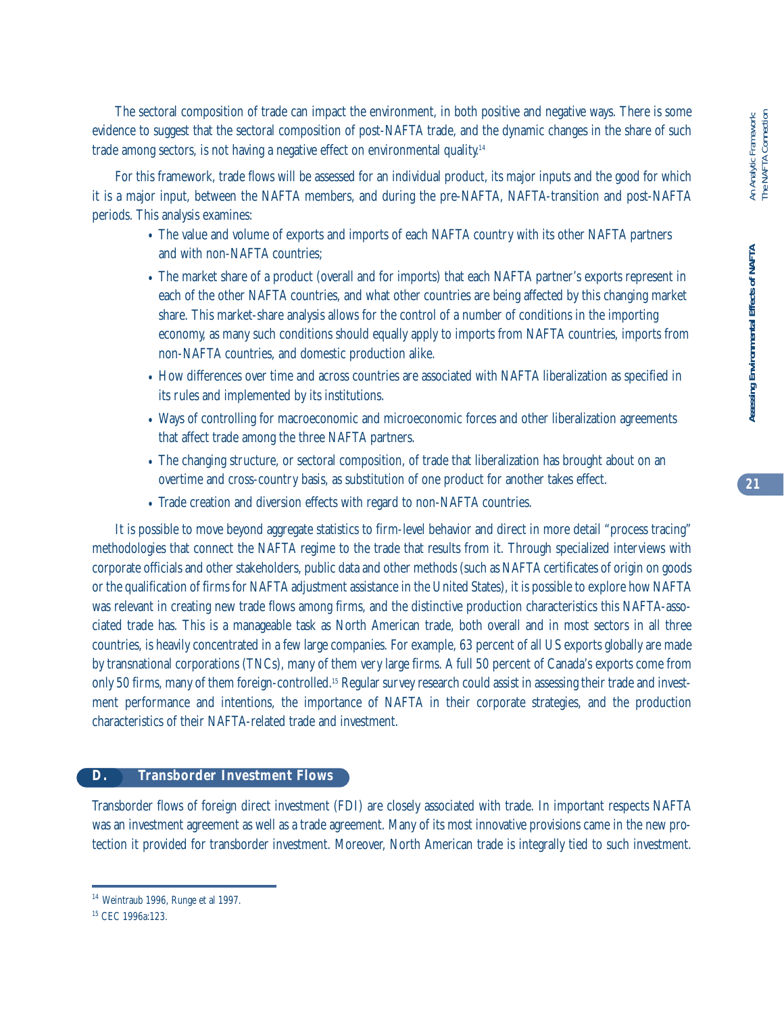The sectoral composition of trade can impact the environment, in both positive and negative ways. There is some evidence to suggest that the sectoral composition of post-NAFTA trade, and the dynamic changes in the share of such trade among sectors, is not having a negative effect on environmental quality.<sup>14</sup>

For this framework, trade flows will be assessed for an individual product, its major inputs and the good for which it is a major input, between the NAFTA members, and during the pre-NAFTA, NAFTA-transition and post-NAFTA periods. This analysis examines:

- The value and volume of exports and imports of each NAFTA country with its other NAFTA partners and with non-NAFTA countries;
- The market share of a product (overall and for imports) that each NAFTA partner's exports represent in each of the other NAFTA countries, and what other countries are being affected by this changing market share. This market-share analysis allows for the control of a number of conditions in the importing economy, as many such conditions should equally apply to imports from NAFTA countries, imports from non-NAFTA countries, and domestic production alike.
- How differences over time and across countries are associated with NAFTA liberalization as specified in its rules and implemented by its institutions.
- Ways of controlling for macroeconomic and microeconomic forces and other liberalization agreements that affect trade among the three NAFTA partners.
- The changing structure, or sectoral composition, of trade that liberalization has brought about on an overtime and cross-country basis, as substitution of one product for another takes effect.
- Trade creation and diversion effects with regard to non-NAFTA countries.

It is possible to move beyond aggregate statistics to firm-level behavior and direct in more detail "process tracing" methodologies that connect the NAFTA regime to the trade that results from it. Through specialized interviews with corporate officials and other stakeholders, public data and other methods (such as NAFTA certificates of origin on goods or the qualification of firms for NAFTA adjustment assistance in the United States), it is possible to explore how NAFTA was relevant in creating new trade flows among firms, and the distinctive production characteristics this NAFTA-associated trade has. This is a manageable task as North American trade, both overall and in most sectors in all three countries, is heavily concentrated in a few large companies. For example, 63 percent of all US exports globally are made by transnational corporations (TNCs), many of them very large firms. A full 50 percent of Canada's exports come from only 50 firms, many of them foreign-controlled.15 Regular survey research could assist in assessing their trade and investment performance and intentions, the importance of NAFTA in their corporate strategies, and the production characteristics of their NAFTA-related trade and investment.

#### **D. Transborder Investment Flows**

Transborder flows of foreign direct investment (FDI) are closely associated with trade. In important respects NAFTA was an investment agreement as well as a trade agreement. Many of its most innovative provisions came in the new protection it provided for transborder investment. Moreover, North American trade is integrally tied to such investment.

<sup>&</sup>lt;sup>14</sup> Weintraub 1996, Runge et al 1997.

<sup>15</sup> CEC 1996a:123.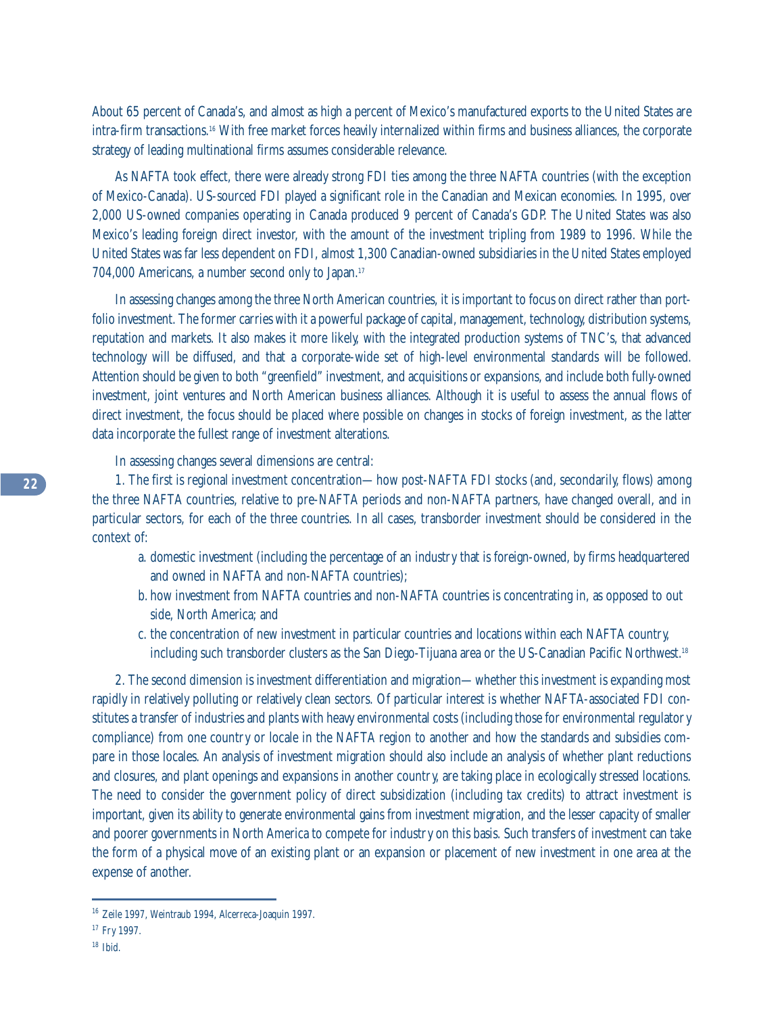About 65 percent of Canada's, and almost as high a percent of Mexico's manufactured exports to the United States are intra-firm transactions.16 With free market forces heavily internalized within firms and business alliances, the corporate strategy of leading multinational firms assumes considerable relevance.

As NAFTA took effect, there were already strong FDI ties among the three NAFTA countries (with the exception of Mexico-Canada). US-sourced FDI played a significant role in the Canadian and Mexican economies. In 1995, over 2,000 US-owned companies operating in Canada produced 9 percent of Canada's GDP. The United States was also Mexico's leading foreign direct investor, with the amount of the investment tripling from 1989 to 1996. While the United States was far less dependent on FDI, almost 1,300 Canadian-owned subsidiaries in the United States employed 704,000 Americans, a number second only to Japan.17

In assessing changes among the three North American countries, it is important to focus on direct rather than portfolio investment. The former carries with it a powerful package of capital, management, technology, distribution systems, reputation and markets. It also makes it more likely, with the integrated production systems of TNC's, that advanced technology will be diffused, and that a corporate-wide set of high-level environmental standards will be followed. Attention should be given to both "greenfield" investment, and acquisitions or expansions, and include both fully-owned investment, joint ventures and North American business alliances. Although it is useful to assess the annual flows of direct investment, the focus should be placed where possible on changes in stocks of foreign investment, as the latter data incorporate the fullest range of investment alterations.

In assessing changes several dimensions are central:

1. The first is regional investment concentration—how post-NAFTA FDI stocks (and, secondarily, flows) among the three NAFTA countries, relative to pre-NAFTA periods and non-NAFTA partners, have changed overall, and in particular sectors, for each of the three countries. In all cases, transborder investment should be considered in the context of:

- a. domestic investment (including the percentage of an industry that is foreign-owned, by firms headquartered and owned in NAFTA and non-NAFTA countries);
- b. how investment from NAFTA countries and non-NAFTA countries is concentrating in, as opposed to out side, North America; and
- c. the concentration of new investment in particular countries and locations within each NAFTA country, including such transborder clusters as the San Diego-Tijuana area or the US-Canadian Pacific Northwest.<sup>18</sup>

2. The second dimension is investment differentiation and migration—whether this investment is expanding most rapidly in relatively polluting or relatively clean sectors. Of particular interest is whether NAFTA-associated FDI constitutes a transfer of industries and plants with heavy environmental costs (including those for environmental regulatory compliance) from one country or locale in the NAFTA region to another and how the standards and subsidies compare in those locales. An analysis of investment migration should also include an analysis of whether plant reductions and closures, and plant openings and expansions in another country, are taking place in ecologically stressed locations. The need to consider the government policy of direct subsidization (including tax credits) to attract investment is important, given its ability to generate environmental gains from investment migration, and the lesser capacity of smaller and poorer governments in North America to compete for industry on this basis. Such transfers of investment can take the form of a physical move of an existing plant or an expansion or placement of new investment in one area at the expense of another.

<sup>16</sup> Zeile 1997, Weintraub 1994, Alcerreca-Joaquin 1997.

<sup>&</sup>lt;sup>17</sup> Fry 1997.

<sup>18</sup> Ibid.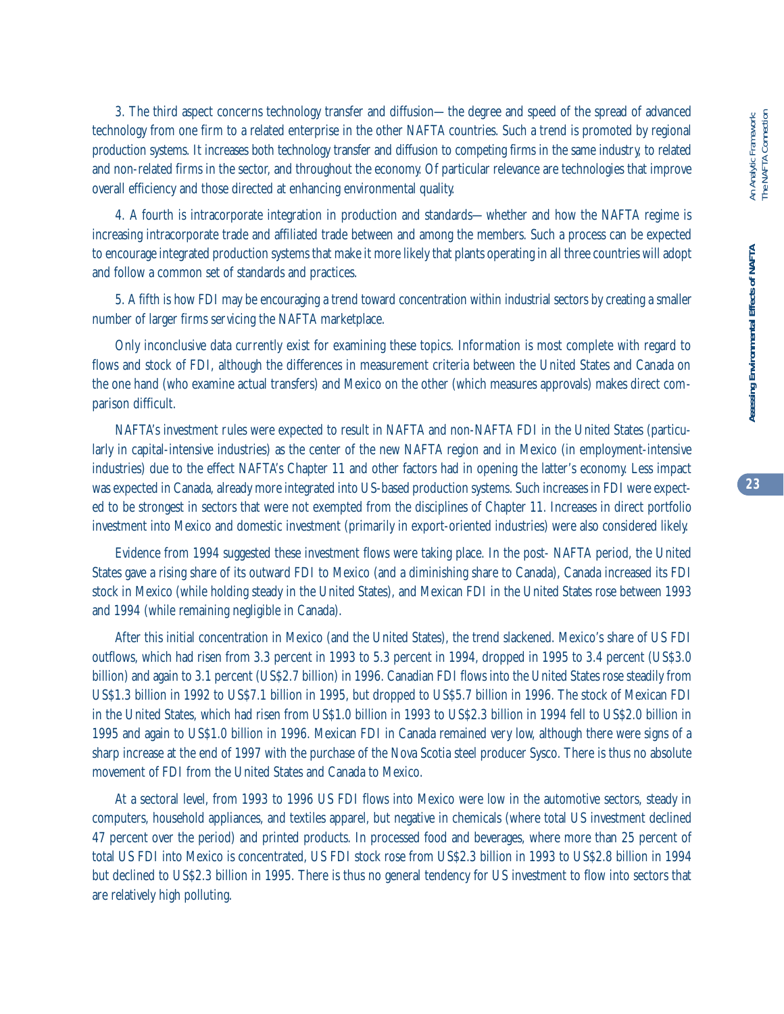3. The third aspect concerns technology transfer and diffusion—the degree and speed of the spread of advanced technology from one firm to a related enterprise in the other NAFTA countries. Such a trend is promoted by regional production systems. It increases both technology transfer and diffusion to competing firms in the same industry, to related and non-related firms in the sector, and throughout the economy. Of particular relevance are technologies that improve overall efficiency and those directed at enhancing environmental quality.

4. A fourth is intracorporate integration in production and standards—whether and how the NAFTA regime is increasing intracorporate trade and affiliated trade between and among the members. Such a process can be expected to encourage integrated production systems that make it more likely that plants operating in all three countries will adopt and follow a common set of standards and practices.

5. A fifth is how FDI may be encouraging a trend toward concentration within industrial sectors by creating a smaller number of larger firms servicing the NAFTA marketplace.

Only inconclusive data currently exist for examining these topics. Information is most complete with regard to flows and stock of FDI, although the differences in measurement criteria between the United States and Canada on the one hand (who examine actual transfers) and Mexico on the other (which measures approvals) makes direct comparison difficult.

NAFTA's investment rules were expected to result in NAFTA and non-NAFTA FDI in the United States (particularly in capital-intensive industries) as the center of the new NAFTA region and in Mexico (in employment-intensive industries) due to the effect NAFTA's Chapter 11 and other factors had in opening the latter's economy. Less impact was expected in Canada, already more integrated into US-based production systems. Such increases in FDI were expected to be strongest in sectors that were not exempted from the disciplines of Chapter 11. Increases in direct portfolio investment into Mexico and domestic investment (primarily in export-oriented industries) were also considered likely.

Evidence from 1994 suggested these investment flows were taking place. In the post- NAFTA period, the United States gave a rising share of its outward FDI to Mexico (and a diminishing share to Canada), Canada increased its FDI stock in Mexico (while holding steady in the United States), and Mexican FDI in the United States rose between 1993 and 1994 (while remaining negligible in Canada).

After this initial concentration in Mexico (and the United States), the trend slackened. Mexico's share of US FDI outflows, which had risen from 3.3 percent in 1993 to 5.3 percent in 1994, dropped in 1995 to 3.4 percent (US\$3.0 billion) and again to 3.1 percent (US\$2.7 billion) in 1996. Canadian FDI flows into the United States rose steadily from US\$1.3 billion in 1992 to US\$7.1 billion in 1995, but dropped to US\$5.7 billion in 1996. The stock of Mexican FDI in the United States, which had risen from US\$1.0 billion in 1993 to US\$2.3 billion in 1994 fell to US\$2.0 billion in 1995 and again to US\$1.0 billion in 1996. Mexican FDI in Canada remained very low, although there were signs of a sharp increase at the end of 1997 with the purchase of the Nova Scotia steel producer Sysco. There is thus no absolute movement of FDI from the United States and Canada to Mexico.

At a sectoral level, from 1993 to 1996 US FDI flows into Mexico were low in the automotive sectors, steady in computers, household appliances, and textiles apparel, but negative in chemicals (where total US investment declined 47 percent over the period) and printed products. In processed food and beverages, where more than 25 percent of total US FDI into Mexico is concentrated, US FDI stock rose from US\$2.3 billion in 1993 to US\$2.8 billion in 1994 but declined to US\$2.3 billion in 1995. There is thus no general tendency for US investment to flow into sectors that are relatively high polluting.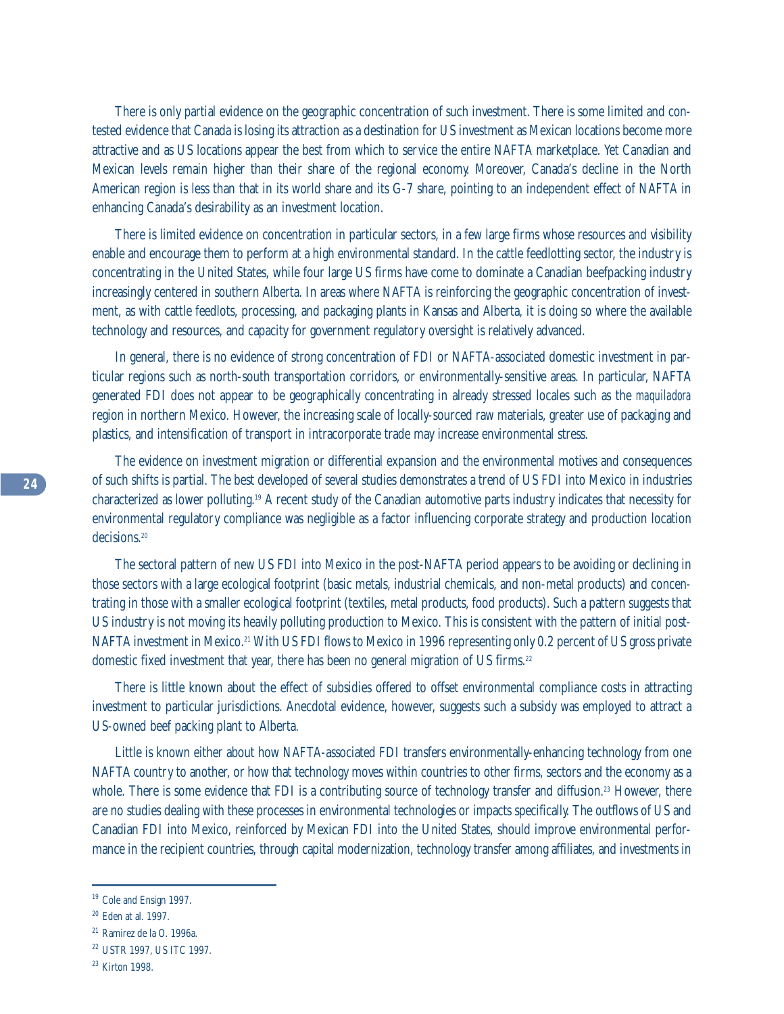There is only partial evidence on the geographic concentration of such investment. There is some limited and contested evidence that Canada is losing its attraction as a destination for US investment as Mexican locations become more attractive and as US locations appear the best from which to service the entire NAFTA marketplace. Yet Canadian and Mexican levels remain higher than their share of the regional economy. Moreover, Canada's decline in the North American region is less than that in its world share and its G-7 share, pointing to an independent effect of NAFTA in enhancing Canada's desirability as an investment location.

There is limited evidence on concentration in particular sectors, in a few large firms whose resources and visibility enable and encourage them to perform at a high environmental standard. In the cattle feedlotting sector, the industry is concentrating in the United States, while four large US firms have come to dominate a Canadian beefpacking industry increasingly centered in southern Alberta. In areas where NAFTA is reinforcing the geographic concentration of investment, as with cattle feedlots, processing, and packaging plants in Kansas and Alberta, it is doing so where the available technology and resources, and capacity for government regulatory oversight is relatively advanced.

In general, there is no evidence of strong concentration of FDI or NAFTA-associated domestic investment in particular regions such as north-south transportation corridors, or environmentally-sensitive areas. In particular, NAFTA generated FDI does not appear to be geographically concentrating in already stressed locales such as the *maquiladora* region in northern Mexico. However, the increasing scale of locally-sourced raw materials, greater use of packaging and plastics, and intensification of transport in intracorporate trade may increase environmental stress.

The evidence on investment migration or differential expansion and the environmental motives and consequences of such shifts is partial. The best developed of several studies demonstrates a trend of US FDI into Mexico in industries characterized as lower polluting.19 A recent study of the Canadian automotive parts industry indicates that necessity for environmental regulatory compliance was negligible as a factor influencing corporate strategy and production location decisions<sup>20</sup>

The sectoral pattern of new US FDI into Mexico in the post-NAFTA period appears to be avoiding or declining in those sectors with a large ecological footprint (basic metals, industrial chemicals, and non-metal products) and concentrating in those with a smaller ecological footprint (textiles, metal products, food products). Such a pattern suggests that US industry is not moving its heavily polluting production to Mexico. This is consistent with the pattern of initial post-NAFTA investment in Mexico.<sup>21</sup> With US FDI flows to Mexico in 1996 representing only 0.2 percent of US gross private domestic fixed investment that year, there has been no general migration of US firms.<sup>22</sup>

There is little known about the effect of subsidies offered to offset environmental compliance costs in attracting investment to particular jurisdictions. Anecdotal evidence, however, suggests such a subsidy was employed to attract a US-owned beef packing plant to Alberta.

Little is known either about how NAFTA-associated FDI transfers environmentally-enhancing technology from one NAFTA country to another, or how that technology moves within countries to other firms, sectors and the economy as a whole. There is some evidence that FDI is a contributing source of technology transfer and diffusion.<sup>23</sup> However, there are no studies dealing with these processes in environmental technologies or impacts specifically. The outflows of US and Canadian FDI into Mexico, reinforced by Mexican FDI into the United States, should improve environmental performance in the recipient countries, through capital modernization, technology transfer among affiliates, and investments in

<sup>&</sup>lt;sup>19</sup> Cole and Ensign 1997.

<sup>20</sup> Eden at al. 1997.

<sup>21</sup> Ramirez de la O. 1996a.

<sup>22</sup> USTR 1997, US ITC 1997.

<sup>&</sup>lt;sup>23</sup> Kirton 1998.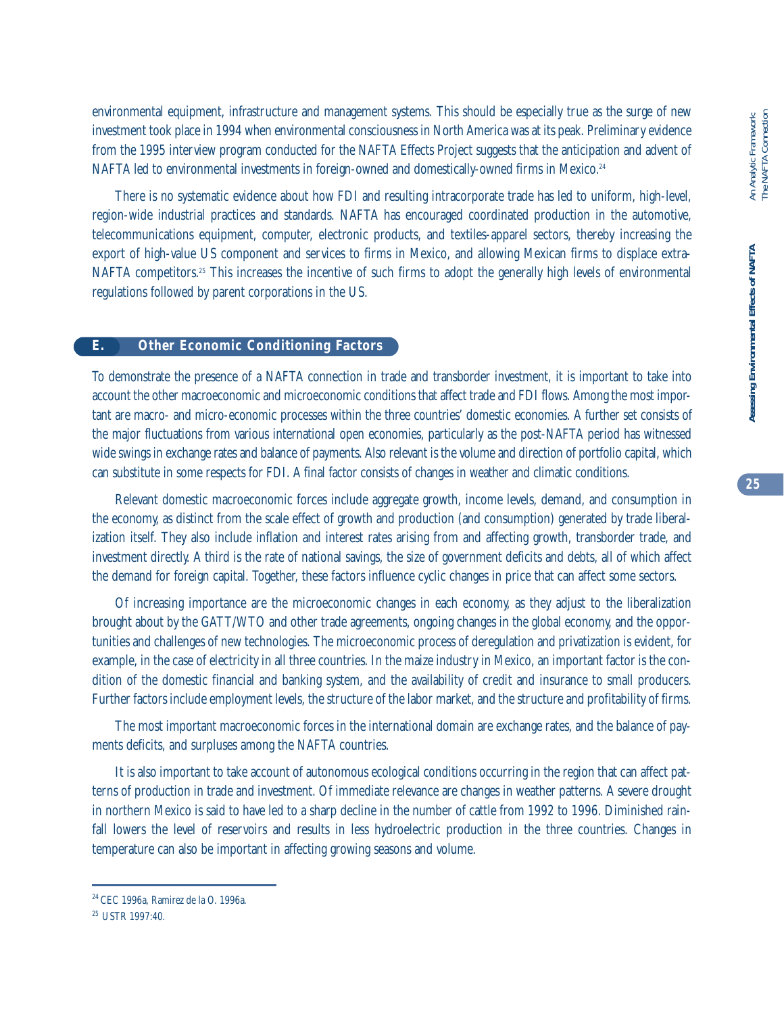environmental equipment, infrastructure and management systems. This should be especially true as the surge of new investment took place in 1994 when environmental consciousness in North America was at its peak. Preliminary evidence from the 1995 interview program conducted for the NAFTA Effects Project suggests that the anticipation and advent of NAFTA led to environmental investments in foreign-owned and domestically-owned firms in Mexico.<sup>24</sup>

There is no systematic evidence about how FDI and resulting intracorporate trade has led to uniform, high-level, region-wide industrial practices and standards. NAFTA has encouraged coordinated production in the automotive, telecommunications equipment, computer, electronic products, and textiles-apparel sectors, thereby increasing the export of high-value US component and services to firms in Mexico, and allowing Mexican firms to displace extra-NAFTA competitors.25 This increases the incentive of such firms to adopt the generally high levels of environmental regulations followed by parent corporations in the US.

#### **E. Other Economic Conditioning Factors**

To demonstrate the presence of a NAFTA connection in trade and transborder investment, it is important to take into account the other macroeconomic and microeconomic conditions that affect trade and FDI flows. Among the most important are macro- and micro-economic processes within the three countries' domestic economies. A further set consists of the major fluctuations from various international open economies, particularly as the post-NAFTA period has witnessed wide swings in exchange rates and balance of payments. Also relevant is the volume and direction of portfolio capital, which can substitute in some respects for FDI. A final factor consists of changes in weather and climatic conditions.

Relevant domestic macroeconomic forces include aggregate growth, income levels, demand, and consumption in the economy, as distinct from the scale effect of growth and production (and consumption) generated by trade liberalization itself. They also include inflation and interest rates arising from and affecting growth, transborder trade, and investment directly. A third is the rate of national savings, the size of government deficits and debts, all of which affect the demand for foreign capital. Together, these factors influence cyclic changes in price that can affect some sectors.

Of increasing importance are the microeconomic changes in each economy, as they adjust to the liberalization brought about by the GATT/WTO and other trade agreements, ongoing changes in the global economy, and the opportunities and challenges of new technologies. The microeconomic process of deregulation and privatization is evident, for example, in the case of electricity in all three countries. In the maize industry in Mexico, an important factor is the condition of the domestic financial and banking system, and the availability of credit and insurance to small producers. Further factors include employment levels, the structure of the labor market, and the structure and profitability of firms.

The most important macroeconomic forces in the international domain are exchange rates, and the balance of payments deficits, and surpluses among the NAFTA countries.

It is also important to take account of autonomous ecological conditions occurring in the region that can affect patterns of production in trade and investment. Of immediate relevance are changes in weather patterns. A severe drought in northern Mexico is said to have led to a sharp decline in the number of cattle from 1992 to 1996. Diminished rainfall lowers the level of reservoirs and results in less hydroelectric production in the three countries. Changes in temperature can also be important in affecting growing seasons and volume.

<sup>24</sup> CEC 1996a, Ramirez de la O. 1996a.

<sup>25</sup> USTR 1997:40.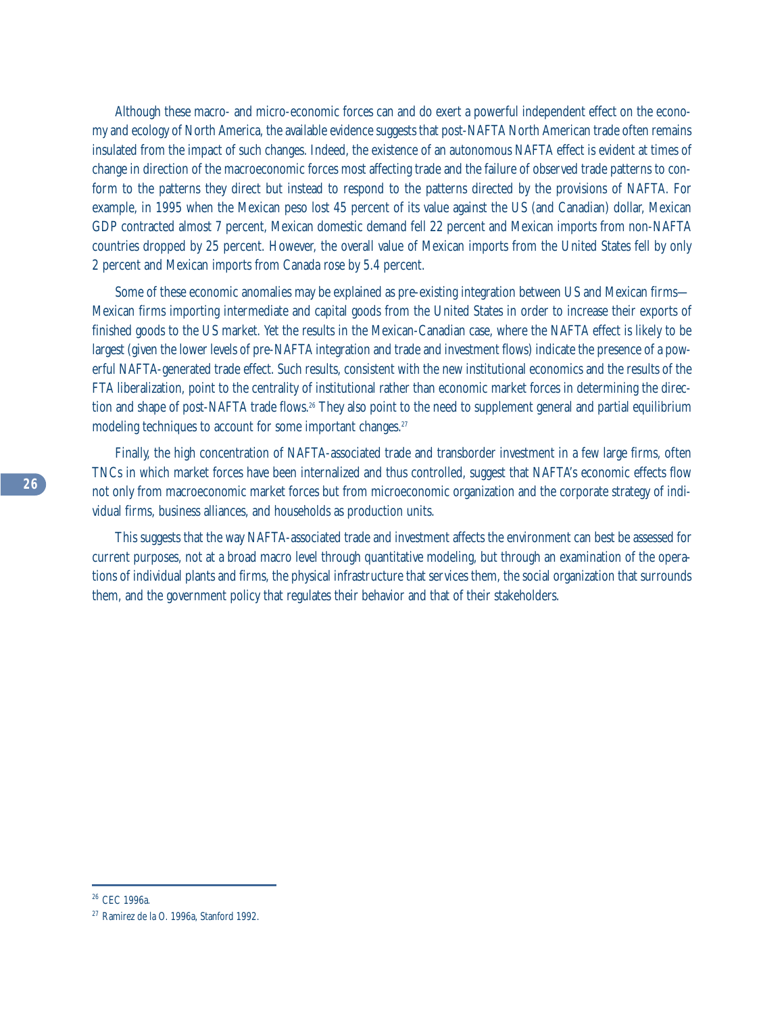Although these macro- and micro-economic forces can and do exert a powerful independent effect on the economy and ecology of North America, the available evidence suggests that post-NAFTA North American trade often remains insulated from the impact of such changes. Indeed, the existence of an autonomous NAFTA effect is evident at times of change in direction of the macroeconomic forces most affecting trade and the failure of observed trade patterns to conform to the patterns they direct but instead to respond to the patterns directed by the provisions of NAFTA. For example, in 1995 when the Mexican peso lost 45 percent of its value against the US (and Canadian) dollar, Mexican GDP contracted almost 7 percent, Mexican domestic demand fell 22 percent and Mexican imports from non-NAFTA countries dropped by 25 percent. However, the overall value of Mexican imports from the United States fell by only 2 percent and Mexican imports from Canada rose by 5.4 percent.

Some of these economic anomalies may be explained as pre-existing integration between US and Mexican firms— Mexican firms importing intermediate and capital goods from the United States in order to increase their exports of finished goods to the US market. Yet the results in the Mexican-Canadian case, where the NAFTA effect is likely to be largest (given the lower levels of pre-NAFTA integration and trade and investment flows) indicate the presence of a powerful NAFTA-generated trade effect. Such results, consistent with the new institutional economics and the results of the FTA liberalization, point to the centrality of institutional rather than economic market forces in determining the direction and shape of post-NAFTA trade flows.<sup>26</sup> They also point to the need to supplement general and partial equilibrium modeling techniques to account for some important changes.<sup>27</sup>

Finally, the high concentration of NAFTA-associated trade and transborder investment in a few large firms, often TNCs in which market forces have been internalized and thus controlled, suggest that NAFTA's economic effects flow not only from macroeconomic market forces but from microeconomic organization and the corporate strategy of individual firms, business alliances, and households as production units.

This suggests that the way NAFTA-associated trade and investment affects the environment can best be assessed for current purposes, not at a broad macro level through quantitative modeling, but through an examination of the operations of individual plants and firms, the physical infrastructure that services them, the social organization that surrounds them, and the government policy that regulates their behavior and that of their stakeholders.

<sup>26</sup> CEC 1996a.

<sup>27</sup> Ramirez de la O. 1996a, Stanford 1992.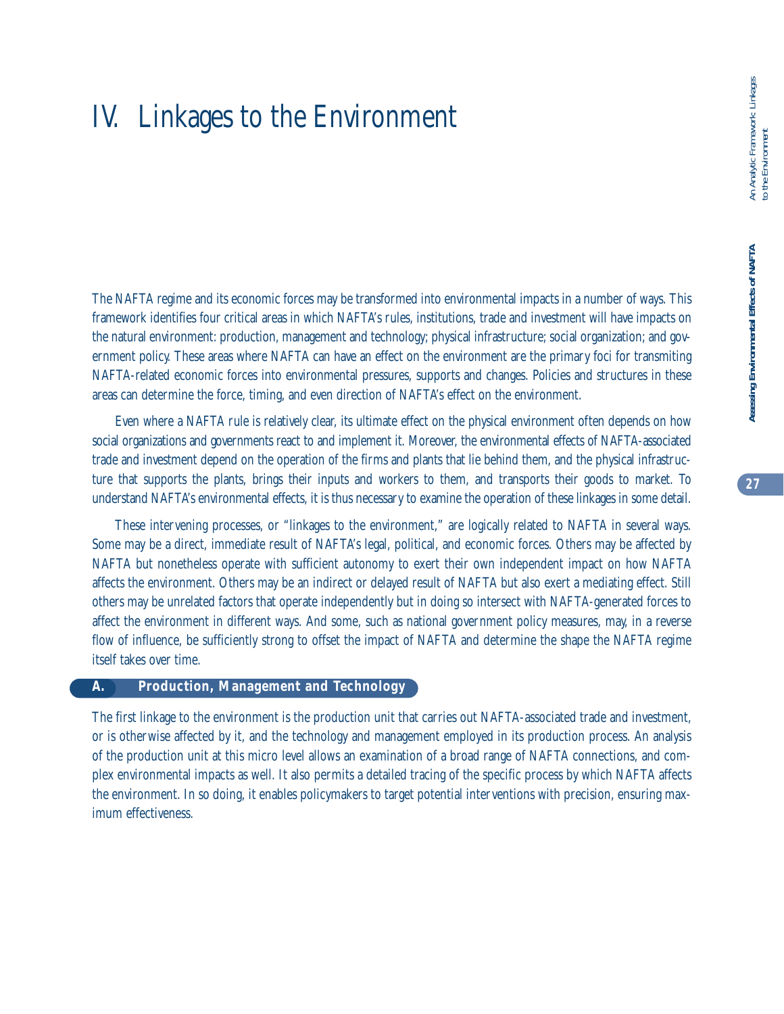# IV. Linkages to the Environment

The NAFTA regime and its economic forces may be transformed into environmental impacts in a number of ways. This framework identifies four critical areas in which NAFTA's rules, institutions, trade and investment will have impacts on the natural environment: production, management and technology; physical infrastructure; social organization; and government policy. These areas where NAFTA can have an effect on the environment are the primary foci for transmiting NAFTA-related economic forces into environmental pressures, supports and changes. Policies and structures in these areas can determine the force, timing, and even direction of NAFTA's effect on the environment.

Even where a NAFTA rule is relatively clear, its ultimate effect on the physical environment often depends on how social organizations and governments react to and implement it. Moreover, the environmental effects of NAFTA-associated trade and investment depend on the operation of the firms and plants that lie behind them, and the physical infrastructure that supports the plants, brings their inputs and workers to them, and transports their goods to market. To understand NAFTA's environmental effects, it is thus necessary to examine the operation of these linkages in some detail.

These intervening processes, or "linkages to the environment," are logically related to NAFTA in several ways. Some may be a direct, immediate result of NAFTA's legal, political, and economic forces. Others may be affected by NAFTA but nonetheless operate with sufficient autonomy to exert their own independent impact on how NAFTA affects the environment. Others may be an indirect or delayed result of NAFTA but also exert a mediating effect. Still others may be unrelated factors that operate independently but in doing so intersect with NAFTA-generated forces to affect the environment in different ways. And some, such as national government policy measures, may, in a reverse flow of influence, be sufficiently strong to offset the impact of NAFTA and determine the shape the NAFTA regime itself takes over time.

#### **A. Production, Management and Technology**

The first linkage to the environment is the production unit that carries out NAFTA-associated trade and investment, or is otherwise affected by it, and the technology and management employed in its production process. An analysis of the production unit at this micro level allows an examination of a broad range of NAFTA connections, and complex environmental impacts as well. It also permits a detailed tracing of the specific process by which NAFTA affects the environment. In so doing, it enables policymakers to target potential interventions with precision, ensuring maximum effectiveness.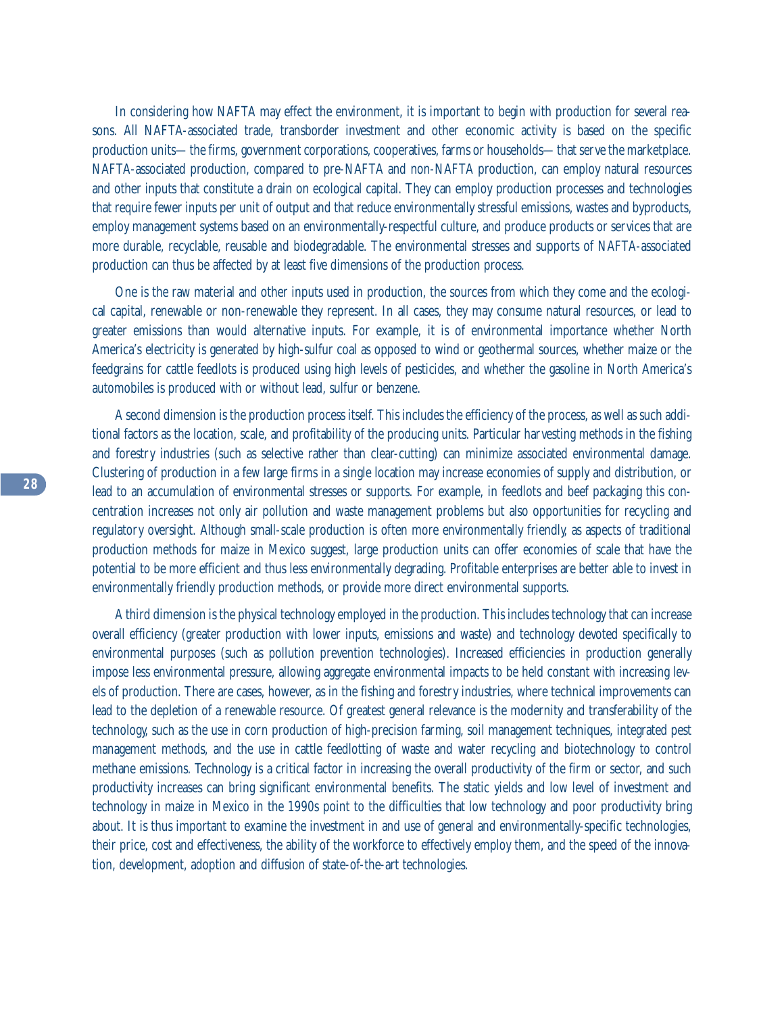In considering how NAFTA may effect the environment, it is important to begin with production for several reasons. All NAFTA-associated trade, transborder investment and other economic activity is based on the specific production units—the firms, government corporations, cooperatives, farms or households—that serve the marketplace. NAFTA-associated production, compared to pre-NAFTA and non-NAFTA production, can employ natural resources and other inputs that constitute a drain on ecological capital. They can employ production processes and technologies that require fewer inputs per unit of output and that reduce environmentally stressful emissions, wastes and byproducts, employ management systems based on an environmentally-respectful culture, and produce products or services that are more durable, recyclable, reusable and biodegradable. The environmental stresses and supports of NAFTA-associated production can thus be affected by at least five dimensions of the production process.

One is the raw material and other inputs used in production, the sources from which they come and the ecological capital, renewable or non-renewable they represent. In all cases, they may consume natural resources, or lead to greater emissions than would alternative inputs. For example, it is of environmental importance whether North America's electricity is generated by high-sulfur coal as opposed to wind or geothermal sources, whether maize or the feedgrains for cattle feedlots is produced using high levels of pesticides, and whether the gasoline in North America's automobiles is produced with or without lead, sulfur or benzene.

A second dimension is the production process itself. This includes the efficiency of the process, as well as such additional factors as the location, scale, and profitability of the producing units. Particular harvesting methods in the fishing and forestry industries (such as selective rather than clear-cutting) can minimize associated environmental damage. Clustering of production in a few large firms in a single location may increase economies of supply and distribution, or lead to an accumulation of environmental stresses or supports. For example, in feedlots and beef packaging this concentration increases not only air pollution and waste management problems but also opportunities for recycling and regulatory oversight. Although small-scale production is often more environmentally friendly, as aspects of traditional production methods for maize in Mexico suggest, large production units can offer economies of scale that have the potential to be more efficient and thus less environmentally degrading. Profitable enterprises are better able to invest in environmentally friendly production methods, or provide more direct environmental supports.

A third dimension is the physical technology employed in the production. This includes technology that can increase overall efficiency (greater production with lower inputs, emissions and waste) and technology devoted specifically to environmental purposes (such as pollution prevention technologies). Increased efficiencies in production generally impose less environmental pressure, allowing aggregate environmental impacts to be held constant with increasing levels of production. There are cases, however, as in the fishing and forestry industries, where technical improvements can lead to the depletion of a renewable resource. Of greatest general relevance is the modernity and transferability of the technology, such as the use in corn production of high-precision farming, soil management techniques, integrated pest management methods, and the use in cattle feedlotting of waste and water recycling and biotechnology to control methane emissions. Technology is a critical factor in increasing the overall productivity of the firm or sector, and such productivity increases can bring significant environmental benefits. The static yields and low level of investment and technology in maize in Mexico in the 1990s point to the difficulties that low technology and poor productivity bring about. It is thus important to examine the investment in and use of general and environmentally-specific technologies, their price, cost and effectiveness, the ability of the workforce to effectively employ them, and the speed of the innovation, development, adoption and diffusion of state-of-the-art technologies.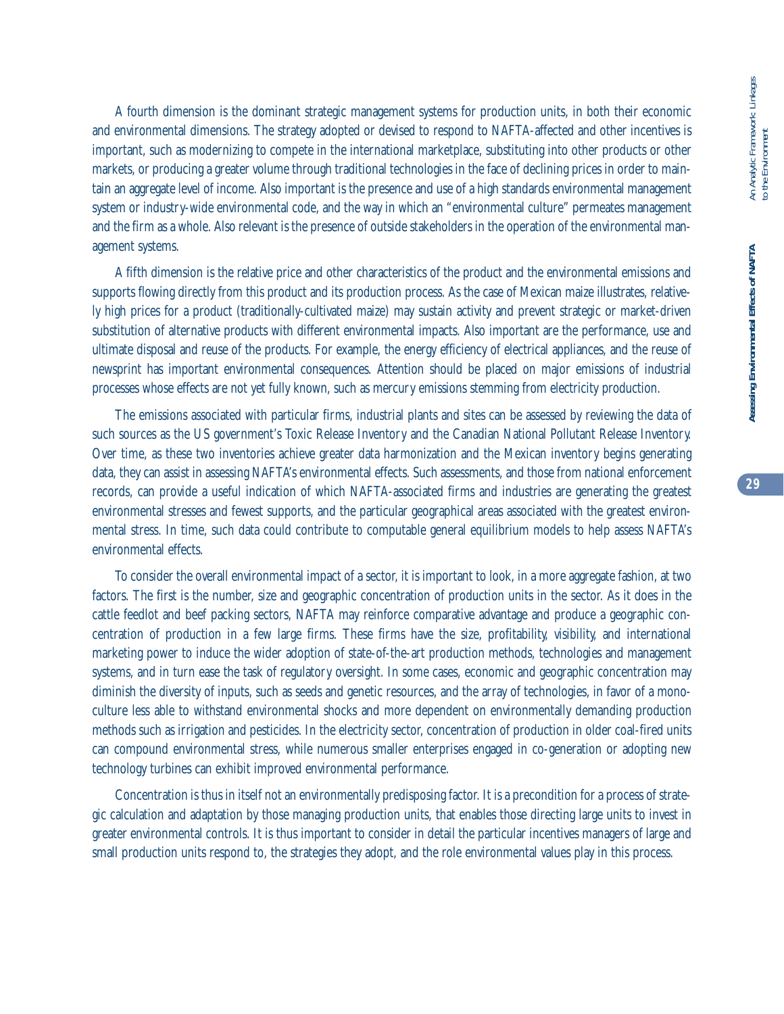**29**

A fourth dimension is the dominant strategic management systems for production units, in both their economic and environmental dimensions. The strategy adopted or devised to respond to NAFTA-affected and other incentives is important, such as modernizing to compete in the international marketplace, substituting into other products or other markets, or producing a greater volume through traditional technologies in the face of declining prices in order to maintain an aggregate level of income. Also important is the presence and use of a high standards environmental management system or industry-wide environmental code, and the way in which an "environmental culture" permeates management and the firm as a whole. Also relevant is the presence of outside stakeholders in the operation of the environmental management systems.

A fifth dimension is the relative price and other characteristics of the product and the environmental emissions and supports flowing directly from this product and its production process. As the case of Mexican maize illustrates, relatively high prices for a product (traditionally-cultivated maize) may sustain activity and prevent strategic or market-driven substitution of alternative products with different environmental impacts. Also important are the performance, use and ultimate disposal and reuse of the products. For example, the energy efficiency of electrical appliances, and the reuse of newsprint has important environmental consequences. Attention should be placed on major emissions of industrial processes whose effects are not yet fully known, such as mercury emissions stemming from electricity production.

The emissions associated with particular firms, industrial plants and sites can be assessed by reviewing the data of such sources as the US government's Toxic Release Inventory and the Canadian National Pollutant Release Inventory. Over time, as these two inventories achieve greater data harmonization and the Mexican inventory begins generating data, they can assist in assessing NAFTA's environmental effects. Such assessments, and those from national enforcement records, can provide a useful indication of which NAFTA-associated firms and industries are generating the greatest environmental stresses and fewest supports, and the particular geographical areas associated with the greatest environmental stress. In time, such data could contribute to computable general equilibrium models to help assess NAFTA's environmental effects.

To consider the overall environmental impact of a sector, it is important to look, in a more aggregate fashion, at two factors. The first is the number, size and geographic concentration of production units in the sector. As it does in the cattle feedlot and beef packing sectors, NAFTA may reinforce comparative advantage and produce a geographic concentration of production in a few large firms. These firms have the size, profitability, visibility, and international marketing power to induce the wider adoption of state-of-the-art production methods, technologies and management systems, and in turn ease the task of regulatory oversight. In some cases, economic and geographic concentration may diminish the diversity of inputs, such as seeds and genetic resources, and the array of technologies, in favor of a monoculture less able to withstand environmental shocks and more dependent on environmentally demanding production methods such as irrigation and pesticides. In the electricity sector, concentration of production in older coal-fired units can compound environmental stress, while numerous smaller enterprises engaged in co-generation or adopting new technology turbines can exhibit improved environmental performance.

Concentration is thus in itself not an environmentally predisposing factor. It is a precondition for a process of strategic calculation and adaptation by those managing production units, that enables those directing large units to invest in greater environmental controls. It is thus important to consider in detail the particular incentives managers of large and small production units respond to, the strategies they adopt, and the role environmental values play in this process.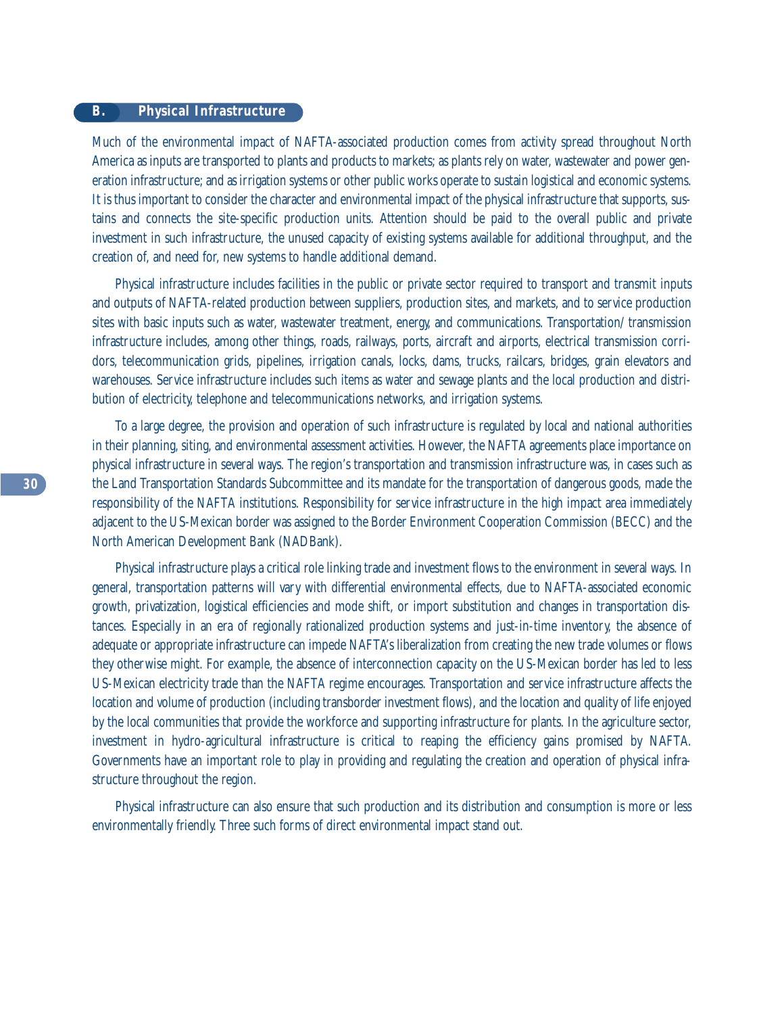# **B. Physical Infrastructure**

Much of the environmental impact of NAFTA-associated production comes from activity spread throughout North America as inputs are transported to plants and products to markets; as plants rely on water, wastewater and power generation infrastructure; and as irrigation systems or other public works operate to sustain logistical and economic systems. It is thus important to consider the character and environmental impact of the physical infrastructure that supports, sustains and connects the site-specific production units. Attention should be paid to the overall public and private investment in such infrastructure, the unused capacity of existing systems available for additional throughput, and the creation of, and need for, new systems to handle additional demand.

Physical infrastructure includes facilities in the public or private sector required to transport and transmit inputs and outputs of NAFTA-related production between suppliers, production sites, and markets, and to service production sites with basic inputs such as water, wastewater treatment, energy, and communications. Transportation/ transmission infrastructure includes, among other things, roads, railways, ports, aircraft and airports, electrical transmission corridors, telecommunication grids, pipelines, irrigation canals, locks, dams, trucks, railcars, bridges, grain elevators and warehouses. Service infrastructure includes such items as water and sewage plants and the local production and distribution of electricity, telephone and telecommunications networks, and irrigation systems.

To a large degree, the provision and operation of such infrastructure is regulated by local and national authorities in their planning, siting, and environmental assessment activities. However, the NAFTA agreements place importance on physical infrastructure in several ways. The region's transportation and transmission infrastructure was, in cases such as the Land Transportation Standards Subcommittee and its mandate for the transportation of dangerous goods, made the responsibility of the NAFTA institutions. Responsibility for service infrastructure in the high impact area immediately adjacent to the US-Mexican border was assigned to the Border Environment Cooperation Commission (BECC) and the North American Development Bank (NADBank).

Physical infrastructure plays a critical role linking trade and investment flows to the environment in several ways. In general, transportation patterns will vary with differential environmental effects, due to NAFTA-associated economic growth, privatization, logistical efficiencies and mode shift, or import substitution and changes in transportation distances. Especially in an era of regionally rationalized production systems and just-in-time inventory, the absence of adequate or appropriate infrastructure can impede NAFTA's liberalization from creating the new trade volumes or flows they otherwise might. For example, the absence of interconnection capacity on the US-Mexican border has led to less US-Mexican electricity trade than the NAFTA regime encourages. Transportation and service infrastructure affects the location and volume of production (including transborder investment flows), and the location and quality of life enjoyed by the local communities that provide the workforce and supporting infrastructure for plants. In the agriculture sector, investment in hydro-agricultural infrastructure is critical to reaping the efficiency gains promised by NAFTA. Governments have an important role to play in providing and regulating the creation and operation of physical infrastructure throughout the region.

Physical infrastructure can also ensure that such production and its distribution and consumption is more or less environmentally friendly. Three such forms of direct environmental impact stand out.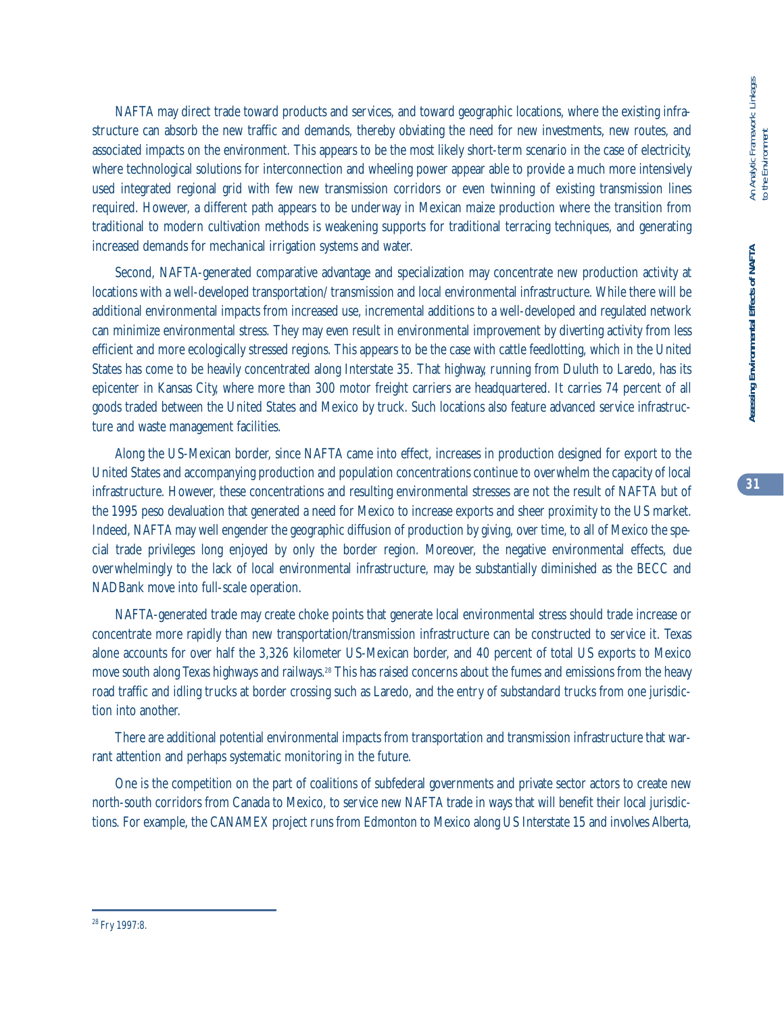NAFTA may direct trade toward products and services, and toward geographic locations, where the existing infrastructure can absorb the new traffic and demands, thereby obviating the need for new investments, new routes, and associated impacts on the environment. This appears to be the most likely short-term scenario in the case of electricity, where technological solutions for interconnection and wheeling power appear able to provide a much more intensively used integrated regional grid with few new transmission corridors or even twinning of existing transmission lines required. However, a different path appears to be underway in Mexican maize production where the transition from traditional to modern cultivation methods is weakening supports for traditional terracing techniques, and generating increased demands for mechanical irrigation systems and water.

Second, NAFTA-generated comparative advantage and specialization may concentrate new production activity at locations with a well-developed transportation/ transmission and local environmental infrastructure. While there will be additional environmental impacts from increased use, incremental additions to a well-developed and regulated network can minimize environmental stress. They may even result in environmental improvement by diverting activity from less efficient and more ecologically stressed regions. This appears to be the case with cattle feedlotting, which in the United States has come to be heavily concentrated along Interstate 35. That highway, running from Duluth to Laredo, has its epicenter in Kansas City, where more than 300 motor freight carriers are headquartered. It carries 74 percent of all goods traded between the United States and Mexico by truck. Such locations also feature advanced service infrastructure and waste management facilities.

Along the US-Mexican border, since NAFTA came into effect, increases in production designed for export to the United States and accompanying production and population concentrations continue to overwhelm the capacity of local infrastructure. However, these concentrations and resulting environmental stresses are not the result of NAFTA but of the 1995 peso devaluation that generated a need for Mexico to increase exports and sheer proximity to the US market. Indeed, NAFTA may well engender the geographic diffusion of production by giving, over time, to all of Mexico the special trade privileges long enjoyed by only the border region. Moreover, the negative environmental effects, due overwhelmingly to the lack of local environmental infrastructure, may be substantially diminished as the BECC and NADBank move into full-scale operation.

NAFTA-generated trade may create choke points that generate local environmental stress should trade increase or concentrate more rapidly than new transportation/transmission infrastructure can be constructed to service it. Texas alone accounts for over half the 3,326 kilometer US-Mexican border, and 40 percent of total US exports to Mexico move south along Texas highways and railways.28 This has raised concerns about the fumes and emissions from the heavy road traffic and idling trucks at border crossing such as Laredo, and the entry of substandard trucks from one jurisdiction into another.

There are additional potential environmental impacts from transportation and transmission infrastructure that warrant attention and perhaps systematic monitoring in the future.

One is the competition on the part of coalitions of subfederal governments and private sector actors to create new north-south corridors from Canada to Mexico, to service new NAFTA trade in ways that will benefit their local jurisdictions. For example, the CANAMEX project runs from Edmonton to Mexico along US Interstate 15 and involves Alberta,

<sup>28</sup> Fry 1997:8.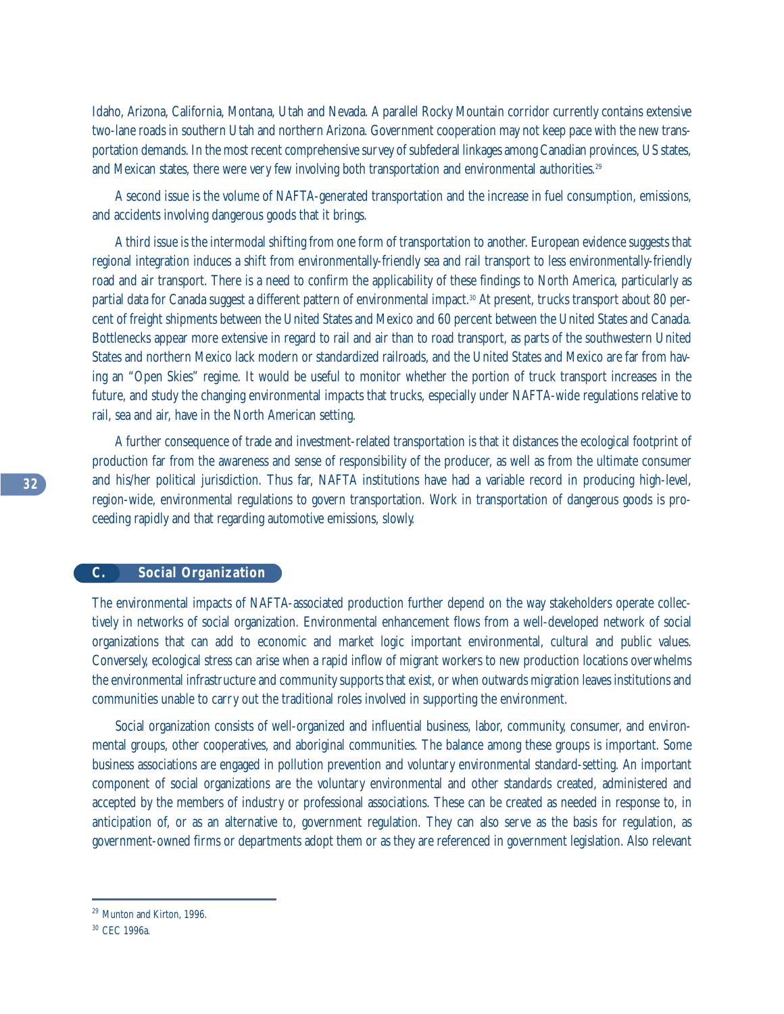Idaho, Arizona, California, Montana, Utah and Nevada. A parallel Rocky Mountain corridor currently contains extensive two-lane roads in southern Utah and northern Arizona. Government cooperation may not keep pace with the new transportation demands. In the most recent comprehensive survey of subfederal linkages among Canadian provinces, US states, and Mexican states, there were very few involving both transportation and environmental authorities.<sup>29</sup>

A second issue is the volume of NAFTA-generated transportation and the increase in fuel consumption, emissions, and accidents involving dangerous goods that it brings.

A third issue is the intermodal shifting from one form of transportation to another. European evidence suggests that regional integration induces a shift from environmentally-friendly sea and rail transport to less environmentally-friendly road and air transport. There is a need to confirm the applicability of these findings to North America, particularly as partial data for Canada suggest a different pattern of environmental impact.30 At present, trucks transport about 80 percent of freight shipments between the United States and Mexico and 60 percent between the United States and Canada. Bottlenecks appear more extensive in regard to rail and air than to road transport, as parts of the southwestern United States and northern Mexico lack modern or standardized railroads, and the United States and Mexico are far from having an "Open Skies" regime. It would be useful to monitor whether the portion of truck transport increases in the future, and study the changing environmental impacts that trucks, especially under NAFTA-wide regulations relative to rail, sea and air, have in the North American setting.

A further consequence of trade and investment-related transportation is that it distances the ecological footprint of production far from the awareness and sense of responsibility of the producer, as well as from the ultimate consumer and his/her political jurisdiction. Thus far, NAFTA institutions have had a variable record in producing high-level, region-wide, environmental regulations to govern transportation. Work in transportation of dangerous goods is proceeding rapidly and that regarding automotive emissions, slowly.

# **C. Social Organization**

The environmental impacts of NAFTA-associated production further depend on the way stakeholders operate collectively in networks of social organization. Environmental enhancement flows from a well-developed network of social organizations that can add to economic and market logic important environmental, cultural and public values. Conversely, ecological stress can arise when a rapid inflow of migrant workers to new production locations overwhelms the environmental infrastructure and community supports that exist, or when outwards migration leaves institutions and communities unable to carry out the traditional roles involved in supporting the environment.

Social organization consists of well-organized and influential business, labor, community, consumer, and environmental groups, other cooperatives, and aboriginal communities. The balance among these groups is important. Some business associations are engaged in pollution prevention and voluntary environmental standard-setting. An important component of social organizations are the voluntary environmental and other standards created, administered and accepted by the members of industry or professional associations. These can be created as needed in response to, in anticipation of, or as an alternative to, government regulation. They can also serve as the basis for regulation, as government-owned firms or departments adopt them or as they are referenced in government legislation. Also relevant

<sup>29</sup> Munton and Kirton, 1996.

<sup>30</sup> CEC 1996a.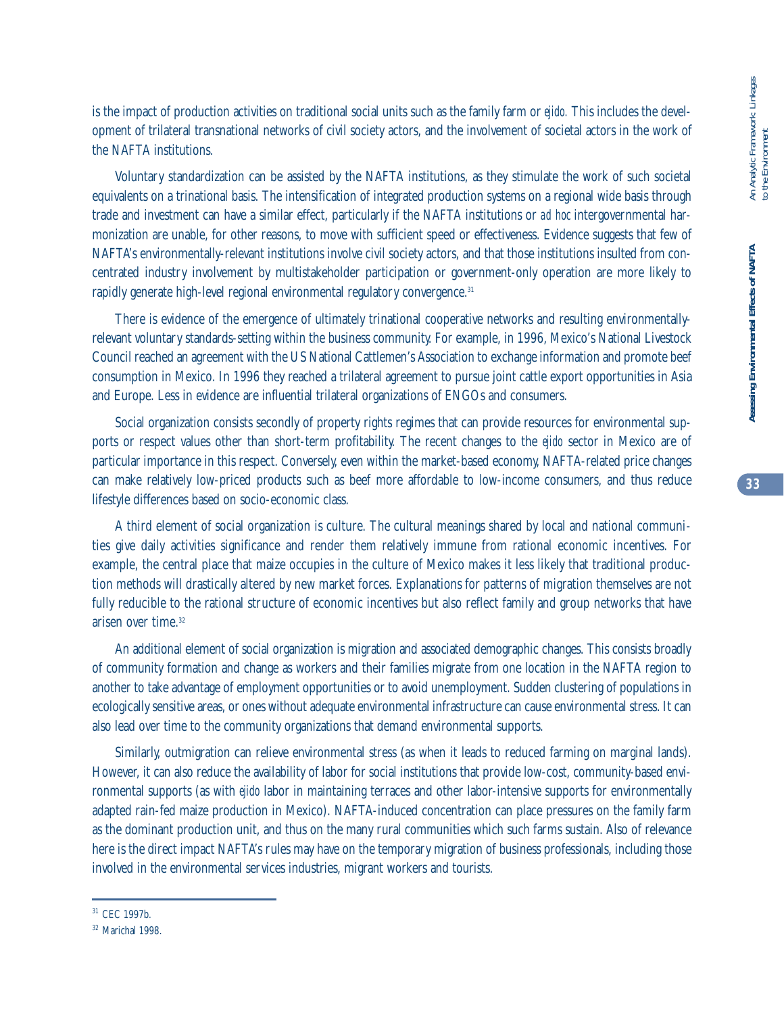**33**

is the impact of production activities on traditional social units such as the family farm or *ejido.* This includes the development of trilateral transnational networks of civil society actors, and the involvement of societal actors in the work of the NAFTA institutions.

Voluntary standardization can be assisted by the NAFTA institutions, as they stimulate the work of such societal equivalents on a trinational basis. The intensification of integrated production systems on a regional wide basis through trade and investment can have a similar effect, particularly if the NAFTA institutions or *ad hoc* intergovernmental harmonization are unable, for other reasons, to move with sufficient speed or effectiveness. Evidence suggests that few of NAFTA's environmentally-relevant institutions involve civil society actors, and that those institutions insulted from concentrated industry involvement by multistakeholder participation or government-only operation are more likely to rapidly generate high-level regional environmental regulatory convergence.<sup>31</sup>

There is evidence of the emergence of ultimately trinational cooperative networks and resulting environmentallyrelevant voluntary standards-setting within the business community. For example, in 1996, Mexico's National Livestock Council reached an agreement with the US National Cattlemen's Association to exchange information and promote beef consumption in Mexico. In 1996 they reached a trilateral agreement to pursue joint cattle export opportunities in Asia and Europe. Less in evidence are influential trilateral organizations of ENGOs and consumers.

Social organization consists secondly of property rights regimes that can provide resources for environmental supports or respect values other than short-term profitability. The recent changes to the *ejido* sector in Mexico are of particular importance in this respect. Conversely, even within the market-based economy, NAFTA-related price changes can make relatively low-priced products such as beef more affordable to low-income consumers, and thus reduce lifestyle differences based on socio-economic class.

A third element of social organization is culture. The cultural meanings shared by local and national communities give daily activities significance and render them relatively immune from rational economic incentives. For example, the central place that maize occupies in the culture of Mexico makes it less likely that traditional production methods will drastically altered by new market forces. Explanations for patterns of migration themselves are not fully reducible to the rational structure of economic incentives but also reflect family and group networks that have arisen over time.<sup>32</sup>

An additional element of social organization is migration and associated demographic changes. This consists broadly of community formation and change as workers and their families migrate from one location in the NAFTA region to another to take advantage of employment opportunities or to avoid unemployment. Sudden clustering of populations in ecologically sensitive areas, or ones without adequate environmental infrastructure can cause environmental stress. It can also lead over time to the community organizations that demand environmental supports.

Similarly, outmigration can relieve environmental stress (as when it leads to reduced farming on marginal lands). However, it can also reduce the availability of labor for social institutions that provide low-cost, community-based environmental supports (as with *ejido* labor in maintaining terraces and other labor-intensive supports for environmentally adapted rain-fed maize production in Mexico). NAFTA-induced concentration can place pressures on the family farm as the dominant production unit, and thus on the many rural communities which such farms sustain. Also of relevance here is the direct impact NAFTA's rules may have on the temporary migration of business professionals, including those involved in the environmental services industries, migrant workers and tourists.

<sup>31</sup> CEC 1997b.

<sup>32</sup> Marichal 1998.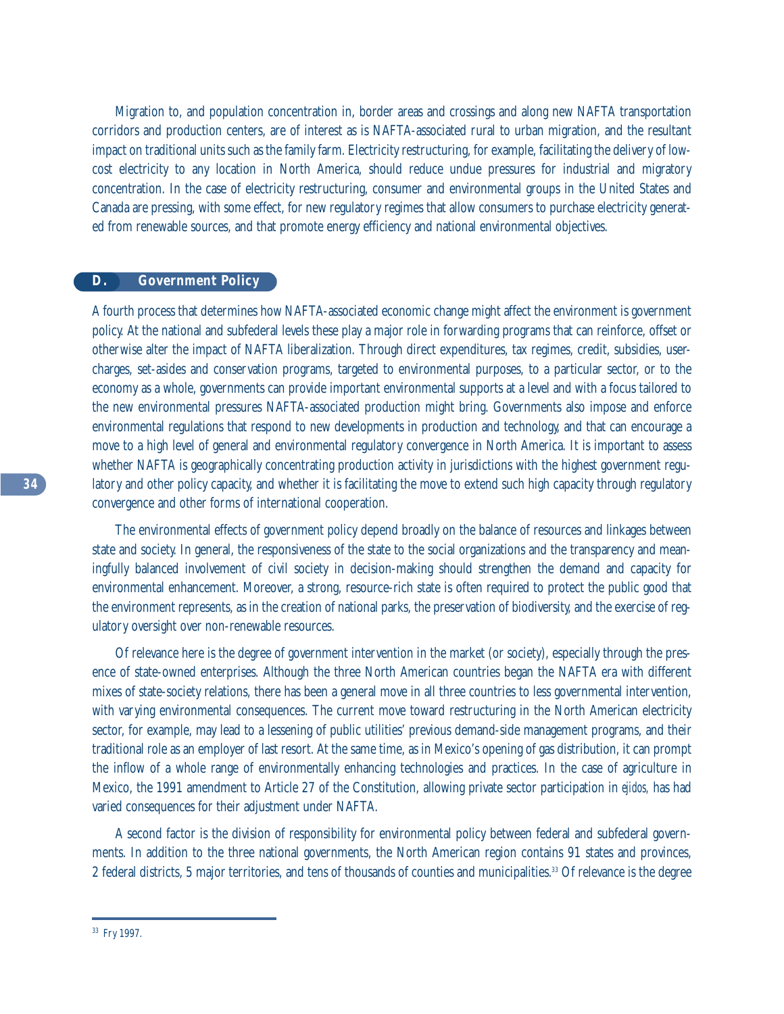Migration to, and population concentration in, border areas and crossings and along new NAFTA transportation corridors and production centers, are of interest as is NAFTA-associated rural to urban migration, and the resultant impact on traditional units such as the family farm. Electricity restructuring, for example, facilitating the delivery of lowcost electricity to any location in North America, should reduce undue pressures for industrial and migratory concentration. In the case of electricity restructuring, consumer and environmental groups in the United States and Canada are pressing, with some effect, for new regulatory regimes that allow consumers to purchase electricity generated from renewable sources, and that promote energy efficiency and national environmental objectives.

# **D. Government Policy**

A fourth process that determines how NAFTA-associated economic change might affect the environment is government policy. At the national and subfederal levels these play a major role in forwarding programs that can reinforce, offset or otherwise alter the impact of NAFTA liberalization. Through direct expenditures, tax regimes, credit, subsidies, usercharges, set-asides and conservation programs, targeted to environmental purposes, to a particular sector, or to the economy as a whole, governments can provide important environmental supports at a level and with a focus tailored to the new environmental pressures NAFTA-associated production might bring. Governments also impose and enforce environmental regulations that respond to new developments in production and technology, and that can encourage a move to a high level of general and environmental regulatory convergence in North America. It is important to assess whether NAFTA is geographically concentrating production activity in jurisdictions with the highest government regulatory and other policy capacity, and whether it is facilitating the move to extend such high capacity through regulatory convergence and other forms of international cooperation.

The environmental effects of government policy depend broadly on the balance of resources and linkages between state and society. In general, the responsiveness of the state to the social organizations and the transparency and meaningfully balanced involvement of civil society in decision-making should strengthen the demand and capacity for environmental enhancement. Moreover, a strong, resource-rich state is often required to protect the public good that the environment represents, as in the creation of national parks, the preservation of biodiversity, and the exercise of regulatory oversight over non-renewable resources.

Of relevance here is the degree of government intervention in the market (or society), especially through the presence of state-owned enterprises. Although the three North American countries began the NAFTA era with different mixes of state-society relations, there has been a general move in all three countries to less governmental intervention, with varying environmental consequences. The current move toward restructuring in the North American electricity sector, for example, may lead to a lessening of public utilities' previous demand-side management programs, and their traditional role as an employer of last resort. At the same time, as in Mexico's opening of gas distribution, it can prompt the inflow of a whole range of environmentally enhancing technologies and practices. In the case of agriculture in Mexico, the 1991 amendment to Article 27 of the Constitution, allowing private sector participation in *ejidos,* has had varied consequences for their adjustment under NAFTA.

A second factor is the division of responsibility for environmental policy between federal and subfederal governments. In addition to the three national governments, the North American region contains 91 states and provinces, 2 federal districts, 5 major territories, and tens of thousands of counties and municipalities.33 Of relevance is the degree

<sup>33</sup> Fry 1997.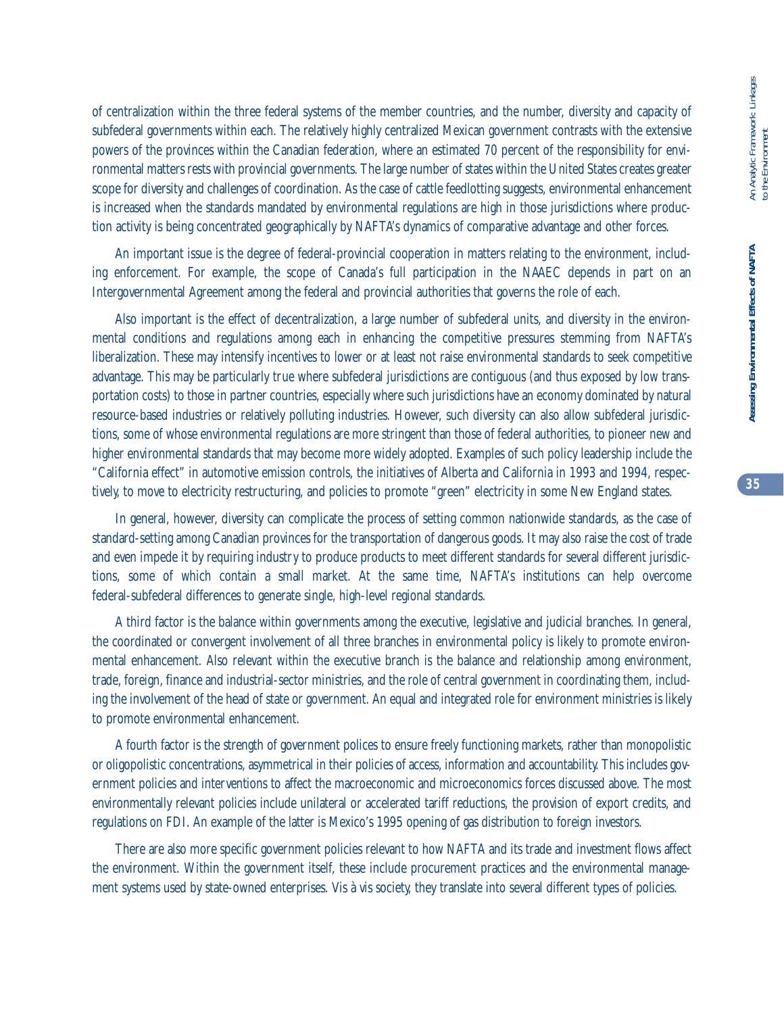of centralization within the three federal systems of the member countries, and the number, diversity and capacity of subfederal governments within each. The relatively highly centralized Mexican government contrasts with the extensive powers of the provinces within the Canadian federation, where an estimated 70 percent of the responsibility for environmental matters rests with provincial governments. The large number of states within the United States creates greater scope for diversity and challenges of coordination. As the case of cattle feedlotting suggests, environmental enhancement is increased when the standards mandated by environmental regulations are high in those jurisdictions where production activity is being concentrated geographically by NAFTA's dynamics of comparative advantage and other forces.

An important issue is the degree of federal-provincial cooperation in matters relating to the environment, including enforcement. For example, the scope of Canada's full participation in the NAAEC depends in part on an Intergovernmental Agreement among the federal and provincial authorities that governs the role of each.

Also important is the effect of decentralization, a large number of subfederal units, and diversity in the environmental conditions and regulations among each in enhancing the competitive pressures stemming from NAFTA's liberalization. These may intensify incentives to lower or at least not raise environmental standards to seek competitive advantage. This may be particularly true where subfederal jurisdictions are contiguous (and thus exposed by low transportation costs) to those in partner countries, especially where such jurisdictions have an economy dominated by natural resource-based industries or relatively polluting industries. However, such diversity can also allow subfederal jurisdictions, some of whose environmental regulations are more stringent than those of federal authorities, to pioneer new and higher environmental standards that may become more widely adopted. Examples of such policy leadership include the "California effect" in automotive emission controls, the initiatives of Alberta and California in 1993 and 1994, respectively, to move to electricity restructuring, and policies to promote "green" electricity in some New England states.

In general, however, diversity can complicate the process of setting common nationwide standards, as the case of standard-setting among Canadian provinces for the transportation of dangerous goods. It may also raise the cost of trade and even impede it by requiring industry to produce products to meet different standards for several different jurisdictions, some of which contain a small market. At the same time, NAFTA's institutions can help overcome federal-subfederal differences to generate single, high-level regional standards.

A third factor is the balance within governments among the executive, legislative and judicial branches. In general, the coordinated or convergent involvement of all three branches in environmental policy is likely to promote environmental enhancement. Also relevant within the executive branch is the balance and relationship among environment, trade, foreign, finance and industrial-sector ministries, and the role of central government in coordinating them, including the involvement of the head of state or government. An equal and integrated role for environment ministries is likely to promote environmental enhancement.

A fourth factor is the strength of government polices to ensure freely functioning markets, rather than monopolistic or oligopolistic concentrations, asymmetrical in their policies of access, information and accountability. This includes government policies and interventions to affect the macroeconomic and microeconomics forces discussed above. The most environmentally relevant policies include unilateral or accelerated tariff reductions, the provision of export credits, and regulations on FDI. An example of the latter is Mexico's 1995 opening of gas distribution to foreign investors.

There are also more specific government policies relevant to how NAFTA and its trade and investment flows affect the environment. Within the government itself, these include procurement practices and the environmental management systems used by state-owned enterprises. Vis à vis society, they translate into several different types of policies.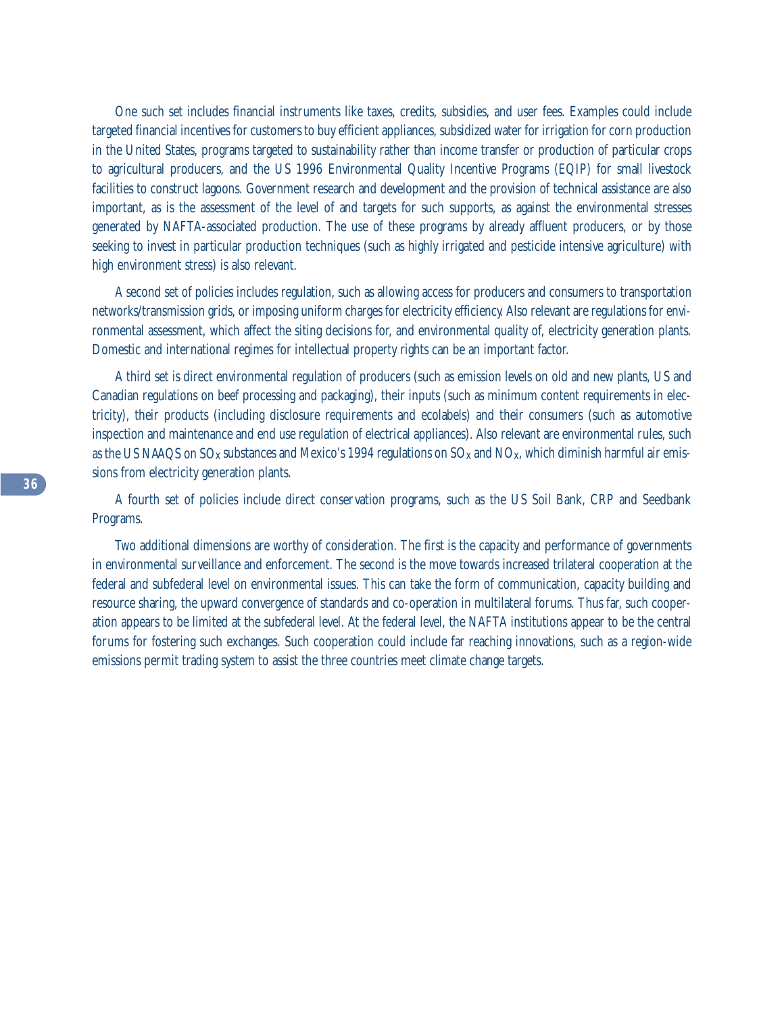One such set includes financial instruments like taxes, credits, subsidies, and user fees. Examples could include targeted financial incentives for customers to buy efficient appliances, subsidized water for irrigation for corn production in the United States, programs targeted to sustainability rather than income transfer or production of particular crops to agricultural producers, and the US 1996 Environmental Quality Incentive Programs (EQIP) for small livestock facilities to construct lagoons. Government research and development and the provision of technical assistance are also important, as is the assessment of the level of and targets for such supports, as against the environmental stresses generated by NAFTA-associated production. The use of these programs by already affluent producers, or by those seeking to invest in particular production techniques (such as highly irrigated and pesticide intensive agriculture) with high environment stress) is also relevant.

A second set of policies includes regulation, such as allowing access for producers and consumers to transportation networks/transmission grids, or imposing uniform charges for electricity efficiency. Also relevant are regulations for environmental assessment, which affect the siting decisions for, and environmental quality of, electricity generation plants. Domestic and international regimes for intellectual property rights can be an important factor.

A third set is direct environmental regulation of producers (such as emission levels on old and new plants, US and Canadian regulations on beef processing and packaging), their inputs (such as minimum content requirements in electricity), their products (including disclosure requirements and ecolabels) and their consumers (such as automotive inspection and maintenance and end use regulation of electrical appliances). Also relevant are environmental rules, such as the US NAAQS on  $SO_x$  substances and Mexico's 1994 regulations on  $SO_x$  and  $NO_x$ , which diminish harmful air emissions from electricity generation plants.

A fourth set of policies include direct conservation programs, such as the US Soil Bank, CRP and Seedbank Programs.

Two additional dimensions are worthy of consideration. The first is the capacity and performance of governments in environmental surveillance and enforcement. The second is the move towards increased trilateral cooperation at the federal and subfederal level on environmental issues. This can take the form of communication, capacity building and resource sharing, the upward convergence of standards and co-operation in multilateral forums. Thus far, such cooperation appears to be limited at the subfederal level. At the federal level, the NAFTA institutions appear to be the central forums for fostering such exchanges. Such cooperation could include far reaching innovations, such as a region-wide emissions permit trading system to assist the three countries meet climate change targets.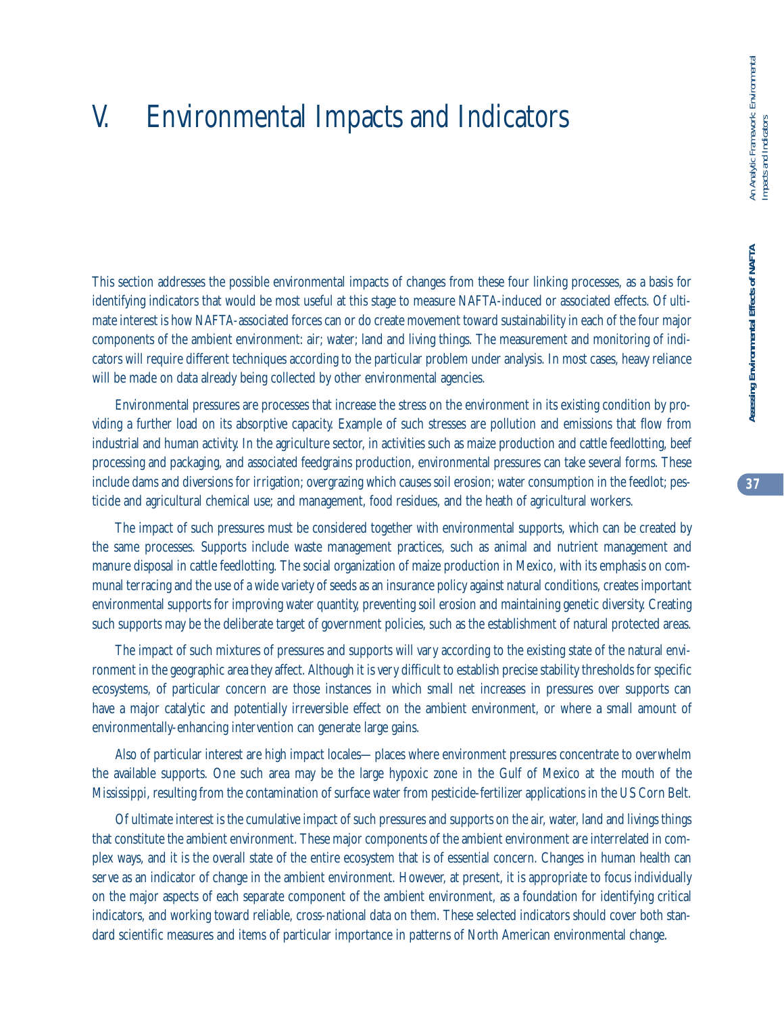# V. Environmental Impacts and Indicators

This section addresses the possible environmental impacts of changes from these four linking processes, as a basis for identifying indicators that would be most useful at this stage to measure NAFTA-induced or associated effects. Of ultimate interest is how NAFTA-associated forces can or do create movement toward sustainability in each of the four major components of the ambient environment: air; water; land and living things. The measurement and monitoring of indicators will require different techniques according to the particular problem under analysis. In most cases, heavy reliance will be made on data already being collected by other environmental agencies.

Environmental pressures are processes that increase the stress on the environment in its existing condition by providing a further load on its absorptive capacity. Example of such stresses are pollution and emissions that flow from industrial and human activity. In the agriculture sector, in activities such as maize production and cattle feedlotting, beef processing and packaging, and associated feedgrains production, environmental pressures can take several forms. These include dams and diversions for irrigation; overgrazing which causes soil erosion; water consumption in the feedlot; pesticide and agricultural chemical use; and management, food residues, and the heath of agricultural workers.

The impact of such pressures must be considered together with environmental supports, which can be created by the same processes. Supports include waste management practices, such as animal and nutrient management and manure disposal in cattle feedlotting. The social organization of maize production in Mexico, with its emphasis on communal terracing and the use of a wide variety of seeds as an insurance policy against natural conditions, creates important environmental supports for improving water quantity, preventing soil erosion and maintaining genetic diversity. Creating such supports may be the deliberate target of government policies, such as the establishment of natural protected areas.

The impact of such mixtures of pressures and supports will vary according to the existing state of the natural environment in the geographic area they affect. Although it is very difficult to establish precise stability thresholds for specific ecosystems, of particular concern are those instances in which small net increases in pressures over supports can have a major catalytic and potentially irreversible effect on the ambient environment, or where a small amount of environmentally-enhancing intervention can generate large gains.

Also of particular interest are high impact locales—places where environment pressures concentrate to overwhelm the available supports. One such area may be the large hypoxic zone in the Gulf of Mexico at the mouth of the Mississippi, resulting from the contamination of surface water from pesticide-fertilizer applications in the US Corn Belt.

Of ultimate interest is the cumulative impact of such pressures and supports on the air, water, land and livings things that constitute the ambient environment. These major components of the ambient environment are interrelated in complex ways, and it is the overall state of the entire ecosystem that is of essential concern. Changes in human health can serve as an indicator of change in the ambient environment. However, at present, it is appropriate to focus individually on the major aspects of each separate component of the ambient environment, as a foundation for identifying critical indicators, and working toward reliable, cross-national data on them. These selected indicators should cover both standard scientific measures and items of particular importance in patterns of North American environmental change.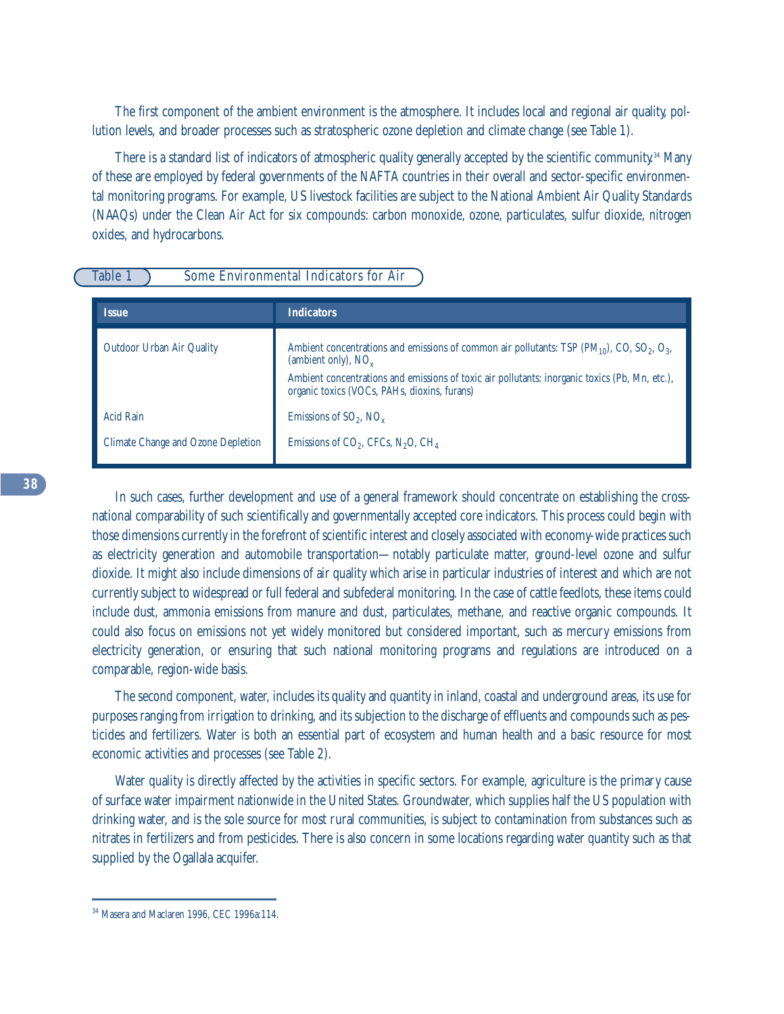The first component of the ambient environment is the atmosphere. It includes local and regional air quality, pollution levels, and broader processes such as stratospheric ozone depletion and climate change (see Table 1).

There is a standard list of indicators of atmospheric quality generally accepted by the scientific community. <sup>34</sup> Many of these are employed by federal governments of the NAFTA countries in their overall and sector-specific environmental monitoring programs. For example, US livestock facilities are subject to the National Ambient Air Quality Standards (NAAQs) under the Clean Air Act for six compounds: carbon monoxide, ozone, particulates, sulfur dioxide, nitrogen oxides, and hydrocarbons.

# Table 1 Some Environmental Indicators for Air

| <b>Issue</b>                              | <b>Indicators</b>                                                                                                                                   |
|-------------------------------------------|-----------------------------------------------------------------------------------------------------------------------------------------------------|
| <b>Outdoor Urban Air Quality</b>          | Ambient concentrations and emissions of common air pollutants: TSP $(PM_{10})$ , CO, SO <sub>2</sub> , O <sub>3</sub> ,<br>(ambient only), $NO_{v}$ |
|                                           | Ambient concentrations and emissions of toxic air pollutants: inorganic toxics (Pb, Mn, etc.),<br>organic toxics (VOCs, PAHs, dioxins, furans)      |
| <b>Acid Rain</b>                          | Emissions of $SO_2$ , $NO_x$                                                                                                                        |
| <b>Climate Change and Ozone Depletion</b> | Emissions of $CO2$ , CFCs, N <sub>2</sub> O, CH <sub>4</sub>                                                                                        |

In such cases, further development and use of a general framework should concentrate on establishing the crossnational comparability of such scientifically and governmentally accepted core indicators. This process could begin with those dimensions currently in the forefront of scientific interest and closely associated with economy-wide practices such as electricity generation and automobile transportation—notably particulate matter, ground-level ozone and sulfur dioxide. It might also include dimensions of air quality which arise in particular industries of interest and which are not currently subject to widespread or full federal and subfederal monitoring. In the case of cattle feedlots, these items could include dust, ammonia emissions from manure and dust, particulates, methane, and reactive organic compounds. It could also focus on emissions not yet widely monitored but considered important, such as mercury emissions from electricity generation, or ensuring that such national monitoring programs and regulations are introduced on a comparable, region-wide basis.

The second component, water, includes its quality and quantity in inland, coastal and underground areas, its use for purposes ranging from irrigation to drinking, and its subjection to the discharge of effluents and compounds such as pesticides and fertilizers. Water is both an essential part of ecosystem and human health and a basic resource for most economic activities and processes (see Table 2).

Water quality is directly affected by the activities in specific sectors. For example, agriculture is the primary cause of surface water impairment nationwide in the United States. Groundwater, which supplies half the US population with drinking water, and is the sole source for most rural communities, is subject to contamination from substances such as nitrates in fertilizers and from pesticides. There is also concern in some locations regarding water quantity such as that supplied by the Ogallala acquifer.

<sup>&</sup>lt;sup>34</sup> Masera and Maclaren 1996, CEC 1996a:114.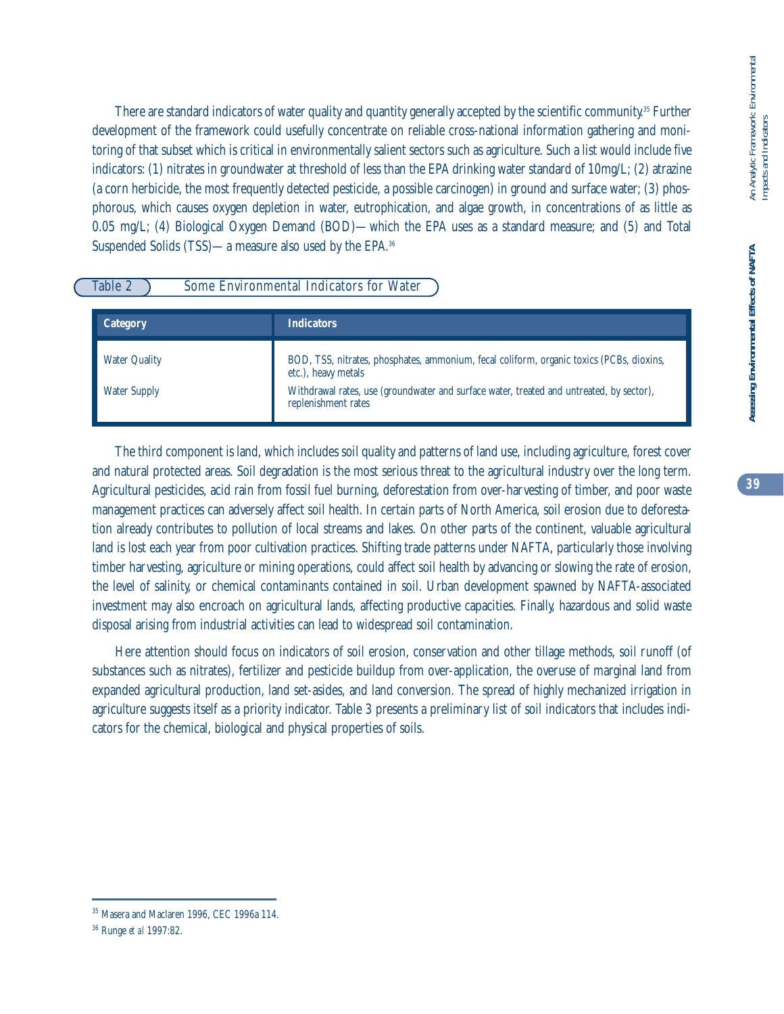There are standard indicators of water quality and quantity generally accepted by the scientific community. <sup>35</sup> Further development of the framework could usefully concentrate on reliable cross-national information gathering and monitoring of that subset which is critical in environmentally salient sectors such as agriculture. Such a list would include five indicators: (1) nitrates in groundwater at threshold of less than the EPA drinking water standard of 10mg/L; (2) atrazine (a corn herbicide, the most frequently detected pesticide, a possible carcinogen) in ground and surface water; (3) phosphorous, which causes oxygen depletion in water, eutrophication, and algae growth, in concentrations of as little as 0.05 mg/L; (4) Biological Oxygen Demand (BOD)—which the EPA uses as a standard measure; and (5) and Total Suspended Solids (TSS)—a measure also used by the EPA.36

# Table 2 Some Environmental Indicators for Water

| <b>Category</b>      | <b>Indicators</b>                                                                                               |
|----------------------|-----------------------------------------------------------------------------------------------------------------|
| <b>Water Quality</b> | BOD, TSS, nitrates, phosphates, ammonium, fecal coliform, organic toxics (PCBs, dioxins,<br>etc.), heavy metals |
| <b>Water Supply</b>  | Withdrawal rates, use (groundwater and surface water, treated and untreated, by sector),<br>replenishment rates |

The third component is land, which includes soil quality and patterns of land use, including agriculture, forest cover and natural protected areas. Soil degradation is the most serious threat to the agricultural industry over the long term. Agricultural pesticides, acid rain from fossil fuel burning, deforestation from over-harvesting of timber, and poor waste management practices can adversely affect soil health. In certain parts of North America, soil erosion due to deforestation already contributes to pollution of local streams and lakes. On other parts of the continent, valuable agricultural land is lost each year from poor cultivation practices. Shifting trade patterns under NAFTA, particularly those involving timber harvesting, agriculture or mining operations, could affect soil health by advancing or slowing the rate of erosion, the level of salinity, or chemical contaminants contained in soil. Urban development spawned by NAFTA-associated investment may also encroach on agricultural lands, affecting productive capacities. Finally, hazardous and solid waste disposal arising from industrial activities can lead to widespread soil contamination.

Here attention should focus on indicators of soil erosion, conservation and other tillage methods, soil runoff (of substances such as nitrates), fertilizer and pesticide buildup from over-application, the overuse of marginal land from expanded agricultural production, land set-asides, and land conversion. The spread of highly mechanized irrigation in agriculture suggests itself as a priority indicator. Table 3 presents a preliminary list of soil indicators that includes indicators for the chemical, biological and physical properties of soils.

<sup>35</sup> Masera and Maclaren 1996, CEC 1996a 114.

<sup>36</sup> Runge *et al* 1997:82.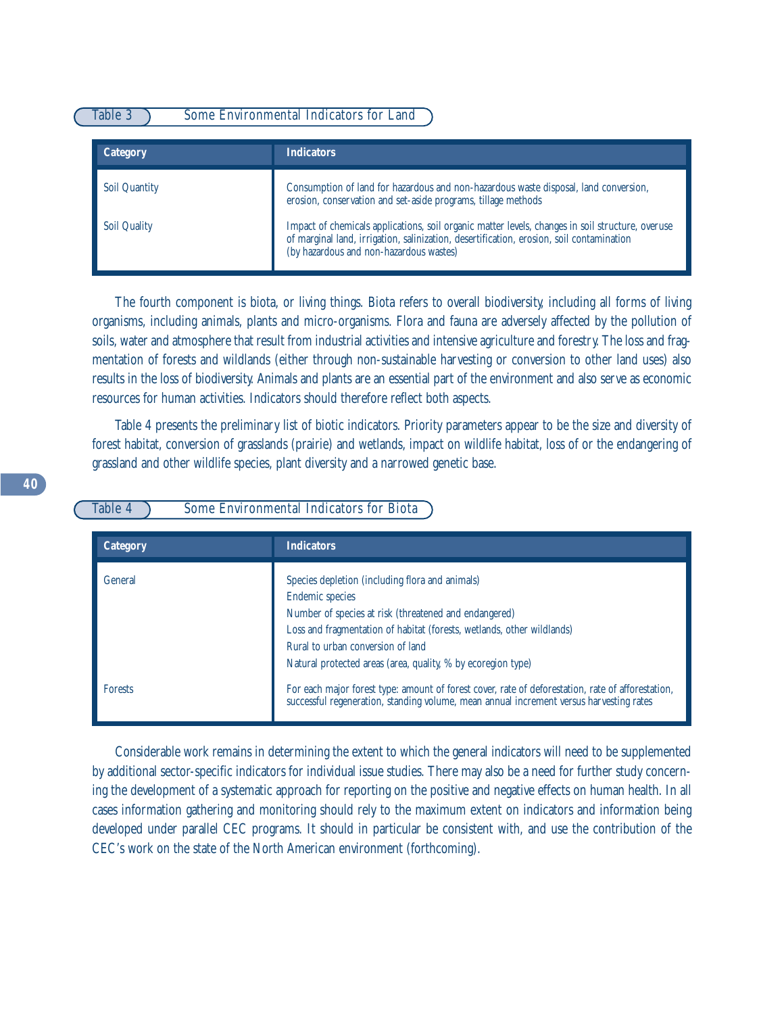# Table 3 Some Environmental Indicators for Land

| <b>Category</b>      | <b>Indicators</b>                                                                                                                                                                                                                       |
|----------------------|-----------------------------------------------------------------------------------------------------------------------------------------------------------------------------------------------------------------------------------------|
| <b>Soil Quantity</b> | Consumption of land for hazardous and non-hazardous waste disposal, land conversion,<br>erosion, conservation and set-aside programs, tillage methods                                                                                   |
| <b>Soil Quality</b>  | Impact of chemicals applications, soil organic matter levels, changes in soil structure, overuse<br>of marginal land, irrigation, salinization, desertification, erosion, soil contamination<br>(by hazardous and non-hazardous wastes) |

The fourth component is biota, or living things. Biota refers to overall biodiversity, including all forms of living organisms, including animals, plants and micro-organisms. Flora and fauna are adversely affected by the pollution of soils, water and atmosphere that result from industrial activities and intensive agriculture and forestry. The loss and fragmentation of forests and wildlands (either through non-sustainable harvesting or conversion to other land uses) also results in the loss of biodiversity. Animals and plants are an essential part of the environment and also serve as economic resources for human activities. Indicators should therefore reflect both aspects.

Table 4 presents the preliminary list of biotic indicators. Priority parameters appear to be the size and diversity of forest habitat, conversion of grasslands (prairie) and wetlands, impact on wildlife habitat, loss of or the endangering of grassland and other wildlife species, plant diversity and a narrowed genetic base.

Table 4 Some Environmental Indicators for Biota

| <b>Category</b> | <b>Indicators</b>                                                                                                                                                                                                                                                                                                 |
|-----------------|-------------------------------------------------------------------------------------------------------------------------------------------------------------------------------------------------------------------------------------------------------------------------------------------------------------------|
| General         | Species depletion (including flora and animals)<br><b>Endemic species</b><br>Number of species at risk (threatened and endangered)<br>Loss and fragmentation of habitat (forests, wetlands, other wildlands)<br>Rural to urban conversion of land<br>Natural protected areas (area, quality, % by ecoregion type) |
| <b>Forests</b>  | For each major forest type: amount of forest cover, rate of deforestation, rate of afforestation,<br>successful regeneration, standing volume, mean annual increment versus harvesting rates                                                                                                                      |

Considerable work remains in determining the extent to which the general indicators will need to be supplemented by additional sector-specific indicators for individual issue studies. There may also be a need for further study concerning the development of a systematic approach for reporting on the positive and negative effects on human health. In all cases information gathering and monitoring should rely to the maximum extent on indicators and information being developed under parallel CEC programs. It should in particular be consistent with, and use the contribution of the CEC's work on the state of the North American environment (forthcoming).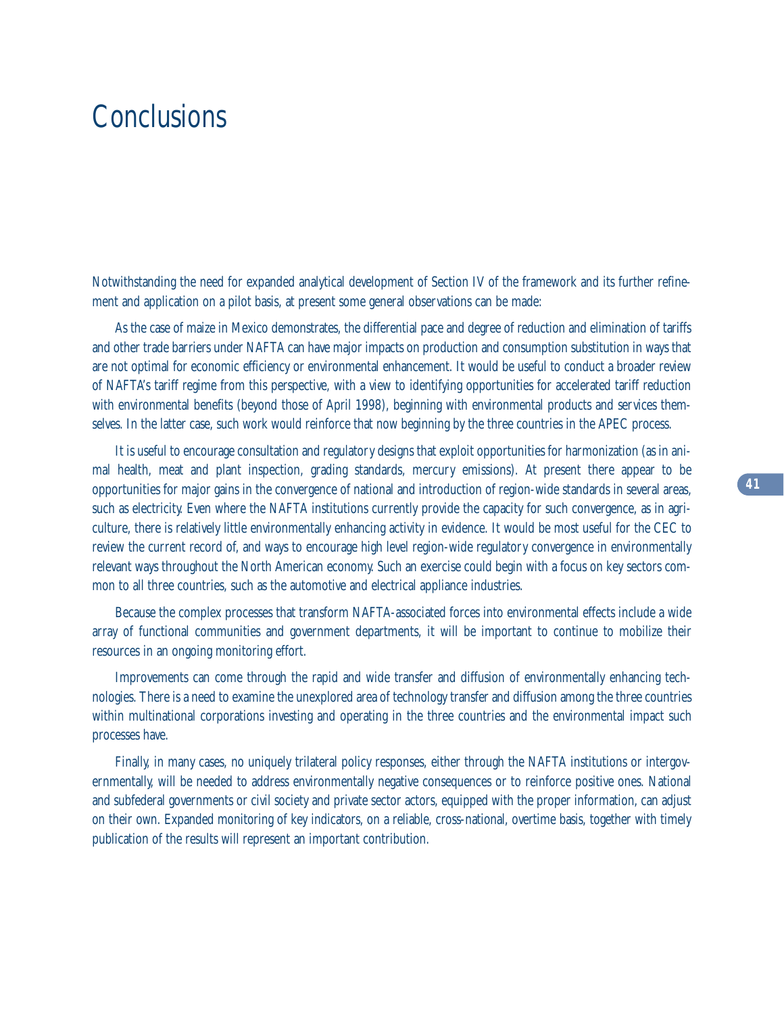# **Conclusions**

Notwithstanding the need for expanded analytical development of Section IV of the framework and its further refinement and application on a pilot basis, at present some general observations can be made:

As the case of maize in Mexico demonstrates, the differential pace and degree of reduction and elimination of tariffs and other trade barriers under NAFTA can have major impacts on production and consumption substitution in ways that are not optimal for economic efficiency or environmental enhancement. It would be useful to conduct a broader review of NAFTA's tariff regime from this perspective, with a view to identifying opportunities for accelerated tariff reduction with environmental benefits (beyond those of April 1998), beginning with environmental products and services themselves. In the latter case, such work would reinforce that now beginning by the three countries in the APEC process.

It is useful to encourage consultation and regulatory designs that exploit opportunities for harmonization (as in animal health, meat and plant inspection, grading standards, mercury emissions). At present there appear to be opportunities for major gains in the convergence of national and introduction of region-wide standards in several areas, such as electricity. Even where the NAFTA institutions currently provide the capacity for such convergence, as in agriculture, there is relatively little environmentally enhancing activity in evidence. It would be most useful for the CEC to review the current record of, and ways to encourage high level region-wide regulatory convergence in environmentally relevant ways throughout the North American economy. Such an exercise could begin with a focus on key sectors common to all three countries, such as the automotive and electrical appliance industries.

Because the complex processes that transform NAFTA-associated forces into environmental effects include a wide array of functional communities and government departments, it will be important to continue to mobilize their resources in an ongoing monitoring effort.

Improvements can come through the rapid and wide transfer and diffusion of environmentally enhancing technologies. There is a need to examine the unexplored area of technology transfer and diffusion among the three countries within multinational corporations investing and operating in the three countries and the environmental impact such processes have.

Finally, in many cases, no uniquely trilateral policy responses, either through the NAFTA institutions or intergovernmentally, will be needed to address environmentally negative consequences or to reinforce positive ones. National and subfederal governments or civil society and private sector actors, equipped with the proper information, can adjust on their own. Expanded monitoring of key indicators, on a reliable, cross-national, overtime basis, together with timely publication of the results will represent an important contribution.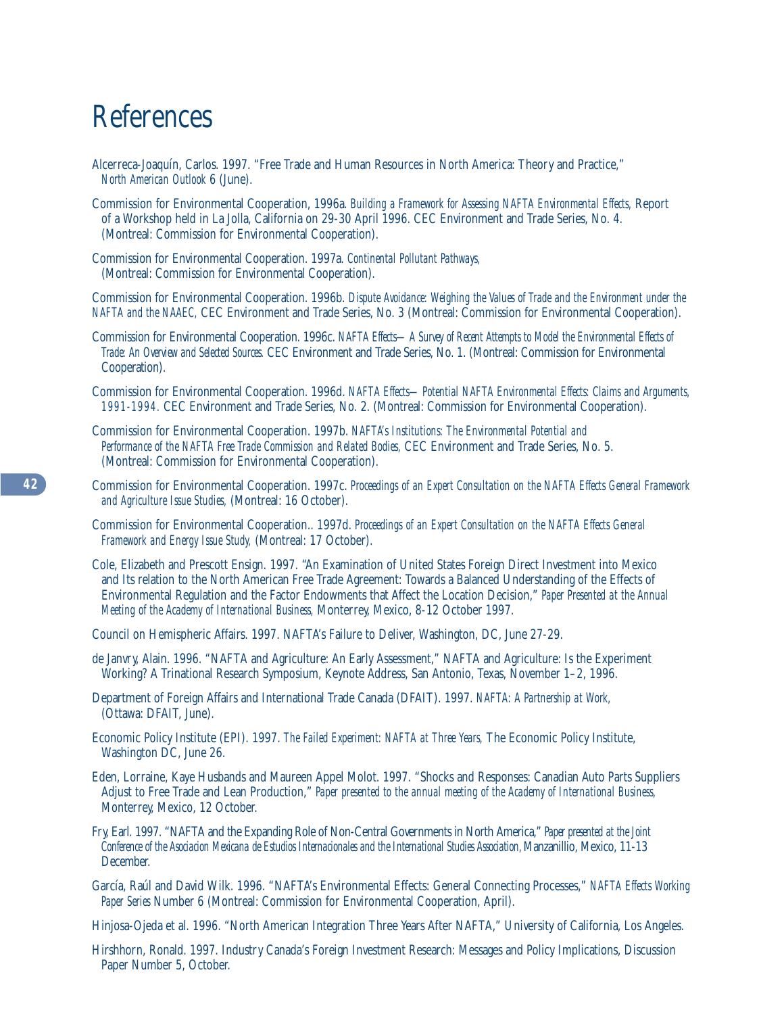# References

- Alcerreca-Joaquín, Carlos. 1997. "Free Trade and Human Resources in North America: Theory and Practice," *North American Outlook* 6 (June).
- Commission for Environmental Cooperation, 1996a. *Building a Framework for Assessing NAFTA Environmental Effects,* Report of a Workshop held in La Jolla, California on 29-30 April 1996. CEC Environment and Trade Series, No. 4. (Montreal: Commission for Environmental Cooperation).
- Commission for Environmental Cooperation. 1997a. *Continental Pollutant Pathways,*  (Montreal: Commission for Environmental Cooperation).

Commission for Environmental Cooperation. 1996b. *Dispute Avoidance: Weighing the Values of Trade and the Environment under the NAFTA and the NAAEC,* CEC Environment and Trade Series, No. 3 (Montreal: Commission for Environmental Cooperation).

Commission for Environmental Cooperation. 1996c. *NAFTA Effects—A Survey of Recent Attempts to Model the Environmental Effects of Trade: An Overview and Selected Sources.* CEC Environment and Trade Series, No. 1. (Montreal: Commission for Environmental Cooperation).

Commission for Environmental Cooperation. 1996d. *NAFTA Effects—Potential NAFTA Environmental Effects: Claims and Arguments, 1991-1994.* CEC Environment and Trade Series, No. 2. (Montreal: Commission for Environmental Cooperation).

- Commission for Environmental Cooperation. 1997b. *NAFTA's Institutions: The Environmental Potential and Performance of the NAFTA Free Trade Commission and Related Bodies,* CEC Environment and Trade Series, No. 5. (Montreal: Commission for Environmental Cooperation).
- Commission for Environmental Cooperation. 1997c. *Proceedings of an Expert Consultation on the NAFTA Effects General Framework and Agriculture Issue Studies,* (Montreal: 16 October).
- Commission for Environmental Cooperation.. 1997d. *Proceedings of an Expert Consultation on the NAFTA Effects General Framework and Energy Issue Study,* (Montreal: 17 October).
- Cole, Elizabeth and Prescott Ensign. 1997. "An Examination of United States Foreign Direct Investment into Mexico and Its relation to the North American Free Trade Agreement: Towards a Balanced Understanding of the Effects of Environmental Regulation and the Factor Endowments that Affect the Location Decision," *Paper Presented at the Annual Meeting of the Academy of International Business,* Monterrey, Mexico, 8-12 October 1997.
- Council on Hemispheric Affairs. 1997. NAFTA's Failure to Deliver, Washington, DC, June 27-29.
- de Janvry, Alain. 1996. "NAFTA and Agriculture: An Early Assessment," NAFTA and Agriculture: Is the Experiment Working? A Trinational Research Symposium, Keynote Address, San Antonio, Texas, November 1–2, 1996.
- Department of Foreign Affairs and International Trade Canada (DFAIT). 1997. *NAFTA: A Partnership at Work,* (Ottawa: DFAIT, June).
- Economic Policy Institute (EPI). 1997. *The Failed Experiment: NAFTA at Three Years,* The Economic Policy Institute, Washington DC, June 26.
- Eden, Lorraine, Kaye Husbands and Maureen Appel Molot. 1997. "Shocks and Responses: Canadian Auto Parts Suppliers Adjust to Free Trade and Lean Production," *Paper presented to the annual meeting of the Academy of International Business,*  Monterrey, Mexico, 12 October.
- Fry, Earl. 1997. "NAFTA and the Expanding Role of Non-Central Governments in North America," *Paper presented at the Joint Conference of the Asociacion Mexicana de Estudios Internacionales and the International Studies Association,* Manzanillio, Mexico, 11-13 December.
- García, Raúl and David Wilk. 1996. "NAFTA's Environmental Effects: General Connecting Processes," *NAFTA Effects Working Paper Series* Number 6 (Montreal: Commission for Environmental Cooperation, April).
- Hinjosa-Ojeda et al. 1996. "North American Integration Three Years After NAFTA," University of California, Los Angeles.
- Hirshhorn, Ronald. 1997. Industry Canada's Foreign Investment Research: Messages and Policy Implications, Discussion Paper Number 5, October.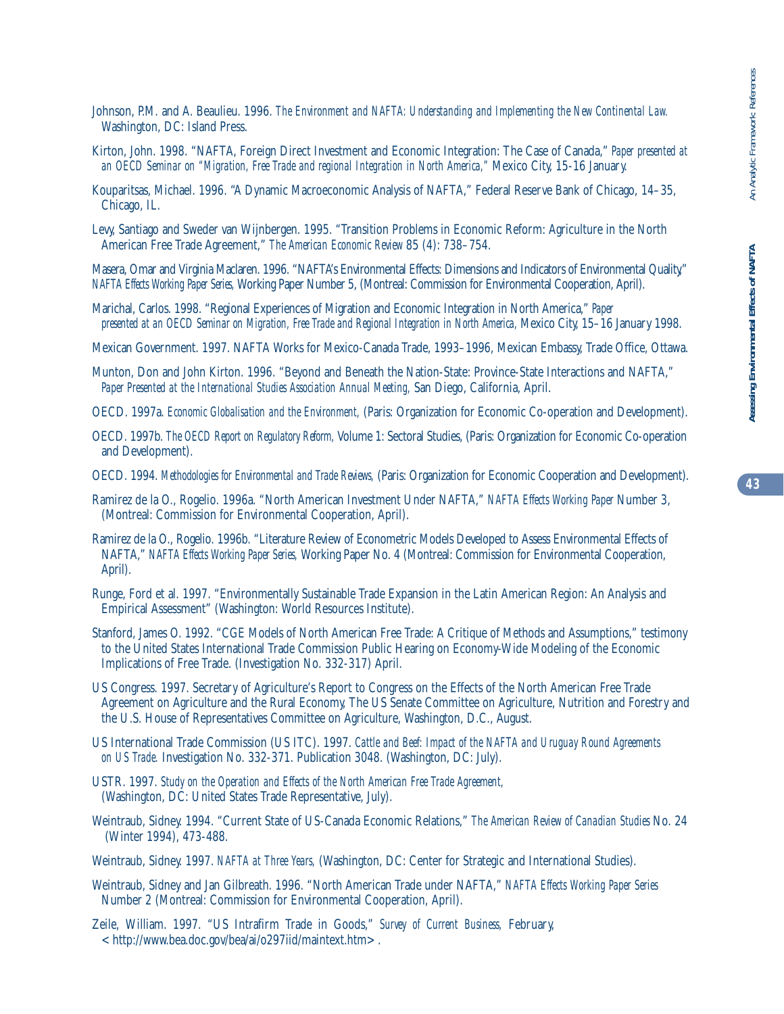- Johnson, P.M. and A. Beaulieu. 1996. *The Environment and NAFTA: Understanding and Implementing the New Continental Law.*  Washington, DC: Island Press.
- Kirton, John. 1998. "NAFTA, Foreign Direct Investment and Economic Integration: The Case of Canada," *Paper presented at an OECD Seminar on "Migration, Free Trade and regional Integration in North America,"* Mexico City, 15-16 January.
- Kouparitsas, Michael. 1996. "A Dynamic Macroeconomic Analysis of NAFTA," Federal Reserve Bank of Chicago, 14–35, Chicago, IL.
- Levy, Santiago and Sweder van Wijnbergen. 1995. "Transition Problems in Economic Reform: Agriculture in the North American Free Trade Agreement," *The American Economic Review* 85 (4): 738–754.

Masera, Omar and Virginia Maclaren. 1996. "NAFTA's Environmental Effects: Dimensions and Indicators of Environmental Quality," *NAFTA Effects Working Paper Series,* Working Paper Number 5, (Montreal: Commission for Environmental Cooperation, April).

- Marichal, Carlos. 1998. "Regional Experiences of Migration and Economic Integration in North America," *Paper presented at an OECD Seminar on Migration, Free Trade and Regional Integration in North America,* Mexico City, 15–16 January 1998.
- Mexican Government. 1997. NAFTA Works for Mexico-Canada Trade, 1993–1996, Mexican Embassy, Trade Office, Ottawa.
- Munton, Don and John Kirton. 1996. "Beyond and Beneath the Nation-State: Province-State Interactions and NAFTA," *Paper Presented at the International Studies Association Annual Meeting,* San Diego, California, April.
- OECD. 1997a. *Economic Globalisation and the Environment,* (Paris: Organization for Economic Co-operation and Development).
- OECD. 1997b. *The OECD Report on Regulatory Reform,* Volume 1: Sectoral Studies, (Paris: Organization for Economic Co-operation and Development).
- OECD. 1994. *Methodologies for Environmental and Trade Reviews,* (Paris: Organization for Economic Cooperation and Development).
- Ramirez de la O., Rogelio. 1996a. "North American Investment Under NAFTA," *NAFTA Effects Working Paper* Number 3, (Montreal: Commission for Environmental Cooperation, April).
- Ramirez de la O., Rogelio. 1996b. "Literature Review of Econometric Models Developed to Assess Environmental Effects of NAFTA," *NAFTA Effects Working Paper Series,* Working Paper No. 4 (Montreal: Commission for Environmental Cooperation, April).
- Runge, Ford et al. 1997. "Environmentally Sustainable Trade Expansion in the Latin American Region: An Analysis and Empirical Assessment" (Washington: World Resources Institute).
- Stanford, James O. 1992. "CGE Models of North American Free Trade: A Critique of Methods and Assumptions," testimony to the United States International Trade Commission Public Hearing on Economy-Wide Modeling of the Economic Implications of Free Trade. (Investigation No. 332-317) April.
- US Congress. 1997. Secretary of Agriculture's Report to Congress on the Effects of the North American Free Trade Agreement on Agriculture and the Rural Economy, The US Senate Committee on Agriculture, Nutrition and Forestry and the U.S. House of Representatives Committee on Agriculture, Washington, D.C., August.
- US International Trade Commission (US ITC). 1997. *Cattle and Beef: Impact of the NAFTA and Uruguay Round Agreements on US Trade.* Investigation No. 332-371. Publication 3048. (Washington, DC: July).
- USTR. 1997. *Study on the Operation and Effects of the North American Free Trade Agreement,*  (Washington, DC: United States Trade Representative, July).
- Weintraub, Sidney. 1994. "Current State of US-Canada Economic Relations," *The American Review of Canadian Studies* No. 24 (Winter 1994), 473-488.
- Weintraub, Sidney. 1997. *NAFTA at Three Years,* (Washington, DC: Center for Strategic and International Studies).
- Weintraub, Sidney and Jan Gilbreath. 1996. "North American Trade under NAFTA," *NAFTA Effects Working Paper Series*  Number 2 (Montreal: Commission for Environmental Cooperation, April).
- Zeile, William. 1997. "US Intrafirm Trade in Goods," *Survey of Current Business,* February,  $\langle$ http://www.bea.doc.gov/bea/ai/o297iid/maintext.htm>.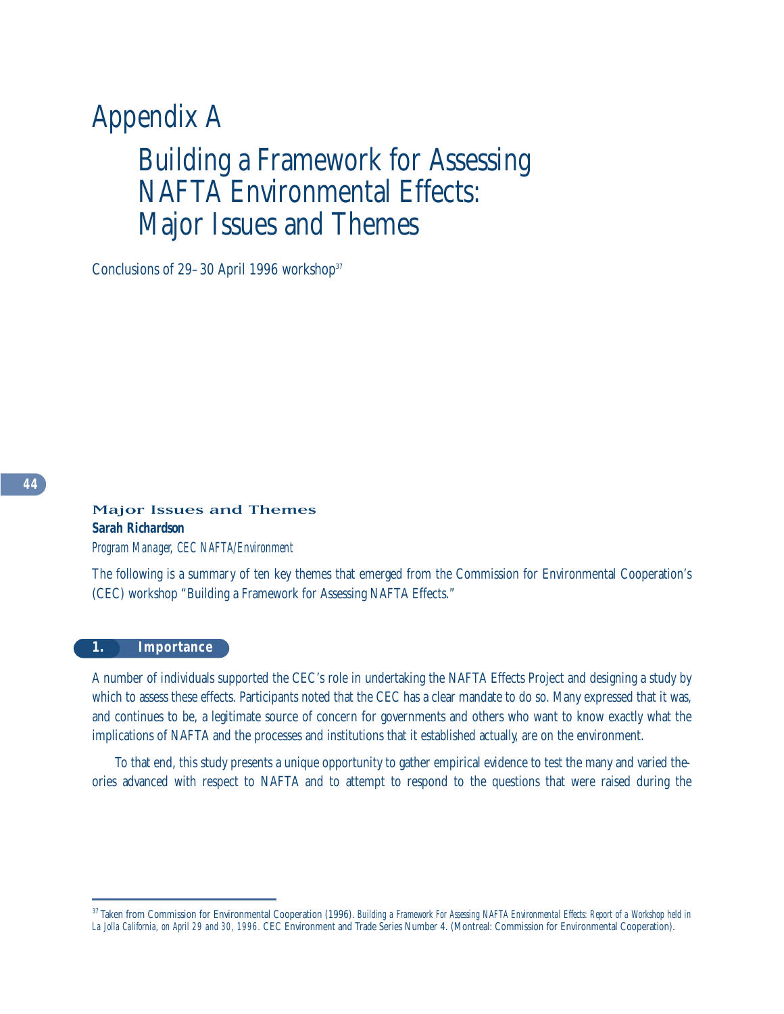# Appendix A Building a Framework for Assessing NAFTA Environmental Effects: Major Issues and Themes

Conclusions of 29–30 April 1996 workshop<sup>37</sup>

# Major Issues and Themes *Sarah Richardson Program Manager, CEC NAFTA/Environment*

The following is a summary of ten key themes that emerged from the Commission for Environmental Cooperation's (CEC) workshop "Building a Framework for Assessing NAFTA Effects."

# **1. Importance**

A number of individuals supported the CEC's role in undertaking the NAFTA Effects Project and designing a study by which to assess these effects. Participants noted that the CEC has a clear mandate to do so. Many expressed that it was, and continues to be, a legitimate source of concern for governments and others who want to know exactly what the implications of NAFTA and the processes and institutions that it established actually, are on the environment.

To that end, this study presents a unique opportunity to gather empirical evidence to test the many and varied theories advanced with respect to NAFTA and to attempt to respond to the questions that were raised during the

<sup>37</sup> Taken from Commission for Environmental Cooperation (1996). *Building a Framework For Assessing NAFTA Environmental Effects: Report of a Workshop held in La Jolla California, on April 29 and 30, 1996.* CEC Environment and Trade Series Number 4. (Montreal: Commission for Environmental Cooperation).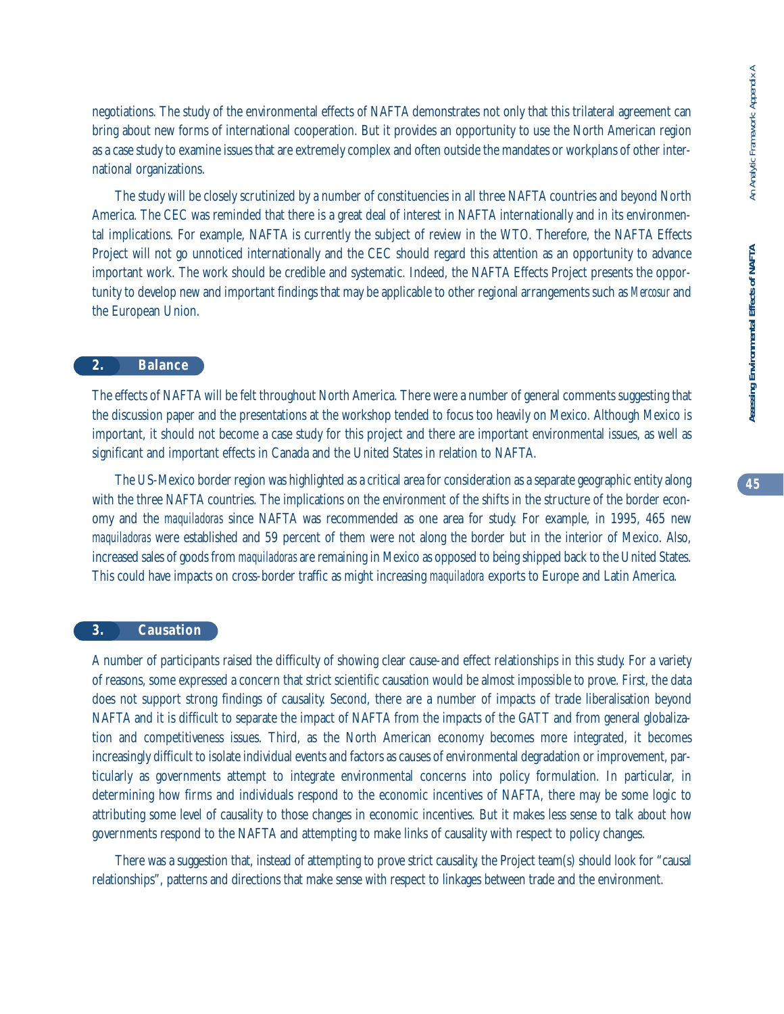negotiations. The study of the environmental effects of NAFTA demonstrates not only that this trilateral agreement can bring about new forms of international cooperation. But it provides an opportunity to use the North American region as a case study to examine issues that are extremely complex and often outside the mandates or workplans of other international organizations.

The study will be closely scrutinized by a number of constituencies in all three NAFTA countries and beyond North America. The CEC was reminded that there is a great deal of interest in NAFTA internationally and in its environmental implications. For example, NAFTA is currently the subject of review in the WTO. Therefore, the NAFTA Effects Project will not go unnoticed internationally and the CEC should regard this attention as an opportunity to advance important work. The work should be credible and systematic. Indeed, the NAFTA Effects Project presents the opportunity to develop new and important findings that may be applicable to other regional arrangements such as *Mercosur* and the European Union.

# **2. Balance**

The effects of NAFTA will be felt throughout North America. There were a number of general comments suggesting that the discussion paper and the presentations at the workshop tended to focus too heavily on Mexico. Although Mexico is important, it should not become a case study for this project and there are important environmental issues, as well as significant and important effects in Canada and the United States in relation to NAFTA.

The US-Mexico border region was highlighted as a critical area for consideration as a separate geographic entity along with the three NAFTA countries. The implications on the environment of the shifts in the structure of the border economy and the *maquiladoras* since NAFTA was recommended as one area for study. For example, in 1995, 465 new *maquiladoras* were established and 59 percent of them were not along the border but in the interior of Mexico. Also, increased sales of goods from *maquiladoras* are remaining in Mexico as opposed to being shipped back to the United States. This could have impacts on cross-border traffic as might increasing *maquiladora* exports to Europe and Latin America.

# **3. Causation**

A number of participants raised the difficulty of showing clear cause-and effect relationships in this study. For a variety of reasons, some expressed a concern that strict scientific causation would be almost impossible to prove. First, the data does not support strong findings of causality. Second, there are a number of impacts of trade liberalisation beyond NAFTA and it is difficult to separate the impact of NAFTA from the impacts of the GATT and from general globalization and competitiveness issues. Third, as the North American economy becomes more integrated, it becomes increasingly difficult to isolate individual events and factors as causes of environmental degradation or improvement, particularly as governments attempt to integrate environmental concerns into policy formulation. In particular, in determining how firms and individuals respond to the economic incentives of NAFTA, there may be some logic to attributing some level of causality to those changes in economic incentives. But it makes less sense to talk about how governments respond to the NAFTA and attempting to make links of causality with respect to policy changes.

There was a suggestion that, instead of attempting to prove strict causality, the Project team(s) should look for "causal relationships", patterns and directions that make sense with respect to linkages between trade and the environment.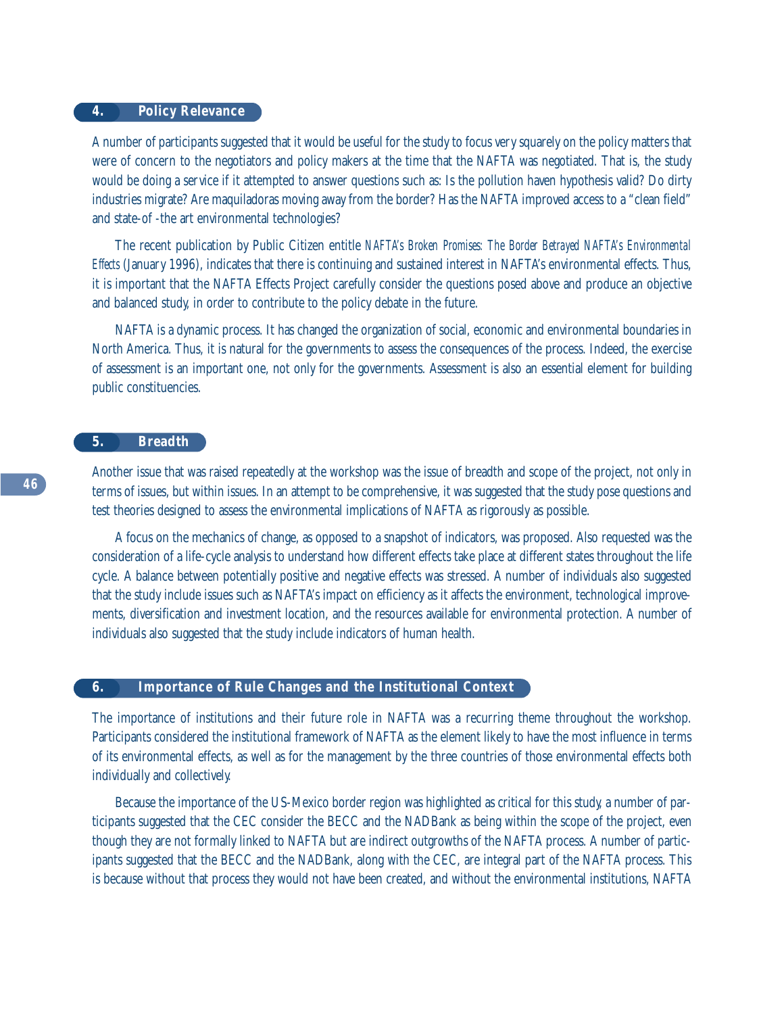# **4. Policy Relevance**

A number of participants suggested that it would be useful for the study to focus very squarely on the policy matters that were of concern to the negotiators and policy makers at the time that the NAFTA was negotiated. That is, the study would be doing a service if it attempted to answer questions such as: Is the pollution haven hypothesis valid? Do dirty industries migrate? Are maquiladoras moving away from the border? Has the NAFTA improved access to a "clean field" and state-of -the art environmental technologies?

The recent publication by Public Citizen entitle *NAFTA's Broken Promises: The Border Betrayed NAFTA's Environmental Effects* (January 1996), indicates that there is continuing and sustained interest in NAFTA's environmental effects. Thus, it is important that the NAFTA Effects Project carefully consider the questions posed above and produce an objective and balanced study, in order to contribute to the policy debate in the future.

NAFTA is a dynamic process. It has changed the organization of social, economic and environmental boundaries in North America. Thus, it is natural for the governments to assess the consequences of the process. Indeed, the exercise of assessment is an important one, not only for the governments. Assessment is also an essential element for building public constituencies.

# **5. Breadth**

Another issue that was raised repeatedly at the workshop was the issue of breadth and scope of the project, not only in terms of issues, but within issues. In an attempt to be comprehensive, it was suggested that the study pose questions and test theories designed to assess the environmental implications of NAFTA as rigorously as possible.

A focus on the mechanics of change, as opposed to a snapshot of indicators, was proposed. Also requested was the consideration of a life-cycle analysis to understand how different effects take place at different states throughout the life cycle. A balance between potentially positive and negative effects was stressed. A number of individuals also suggested that the study include issues such as NAFTA's impact on efficiency as it affects the environment, technological improvements, diversification and investment location, and the resources available for environmental protection. A number of individuals also suggested that the study include indicators of human health.

## **6. Importance of Rule Changes and the Institutional Context**

The importance of institutions and their future role in NAFTA was a recurring theme throughout the workshop. Participants considered the institutional framework of NAFTA as the element likely to have the most influence in terms of its environmental effects, as well as for the management by the three countries of those environmental effects both individually and collectively.

Because the importance of the US-Mexico border region was highlighted as critical for this study, a number of participants suggested that the CEC consider the BECC and the NADBank as being within the scope of the project, even though they are not formally linked to NAFTA but are indirect outgrowths of the NAFTA process. A number of participants suggested that the BECC and the NADBank, along with the CEC, are integral part of the NAFTA process. This is because without that process they would not have been created, and without the environmental institutions, NAFTA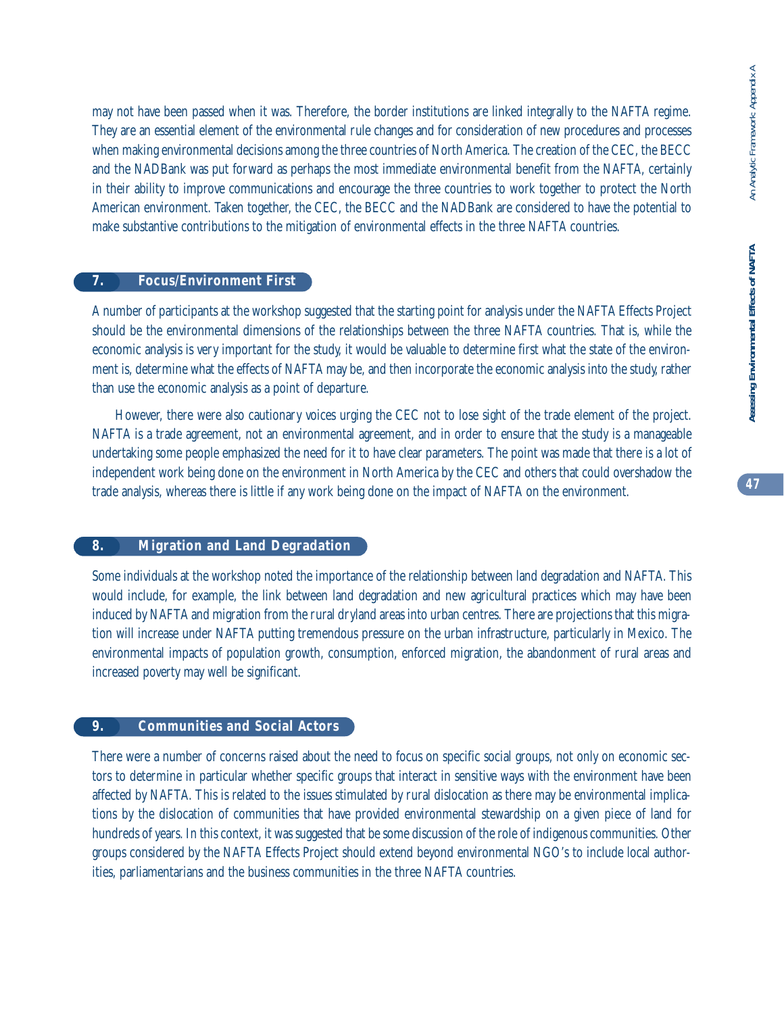may not have been passed when it was. Therefore, the border institutions are linked integrally to the NAFTA regime. They are an essential element of the environmental rule changes and for consideration of new procedures and processes when making environmental decisions among the three countries of North America. The creation of the CEC, the BECC and the NADBank was put forward as perhaps the most immediate environmental benefit from the NAFTA, certainly in their ability to improve communications and encourage the three countries to work together to protect the North American environment. Taken together, the CEC, the BECC and the NADBank are considered to have the potential to make substantive contributions to the mitigation of environmental effects in the three NAFTA countries.

# **7. Focus/Environment First**

A number of participants at the workshop suggested that the starting point for analysis under the NAFTA Effects Project should be the environmental dimensions of the relationships between the three NAFTA countries. That is, while the economic analysis is very important for the study, it would be valuable to determine first what the state of the environment is, determine what the effects of NAFTA may be, and then incorporate the economic analysis into the study, rather than use the economic analysis as a point of departure.

However, there were also cautionary voices urging the CEC not to lose sight of the trade element of the project. NAFTA is a trade agreement, not an environmental agreement, and in order to ensure that the study is a manageable undertaking some people emphasized the need for it to have clear parameters. The point was made that there is a lot of independent work being done on the environment in North America by the CEC and others that could overshadow the trade analysis, whereas there is little if any work being done on the impact of NAFTA on the environment.

# **8. Migration and Land Degradation**

Some individuals at the workshop noted the importance of the relationship between land degradation and NAFTA. This would include, for example, the link between land degradation and new agricultural practices which may have been induced by NAFTA and migration from the rural dryland areas into urban centres. There are projections that this migration will increase under NAFTA putting tremendous pressure on the urban infrastructure, particularly in Mexico. The environmental impacts of population growth, consumption, enforced migration, the abandonment of rural areas and increased poverty may well be significant.

# **9. Communities and Social Actors**

There were a number of concerns raised about the need to focus on specific social groups, not only on economic sectors to determine in particular whether specific groups that interact in sensitive ways with the environment have been affected by NAFTA. This is related to the issues stimulated by rural dislocation as there may be environmental implications by the dislocation of communities that have provided environmental stewardship on a given piece of land for hundreds of years. In this context, it was suggested that be some discussion of the role of indigenous communities. Other groups considered by the NAFTA Effects Project should extend beyond environmental NGO's to include local authorities, parliamentarians and the business communities in the three NAFTA countries.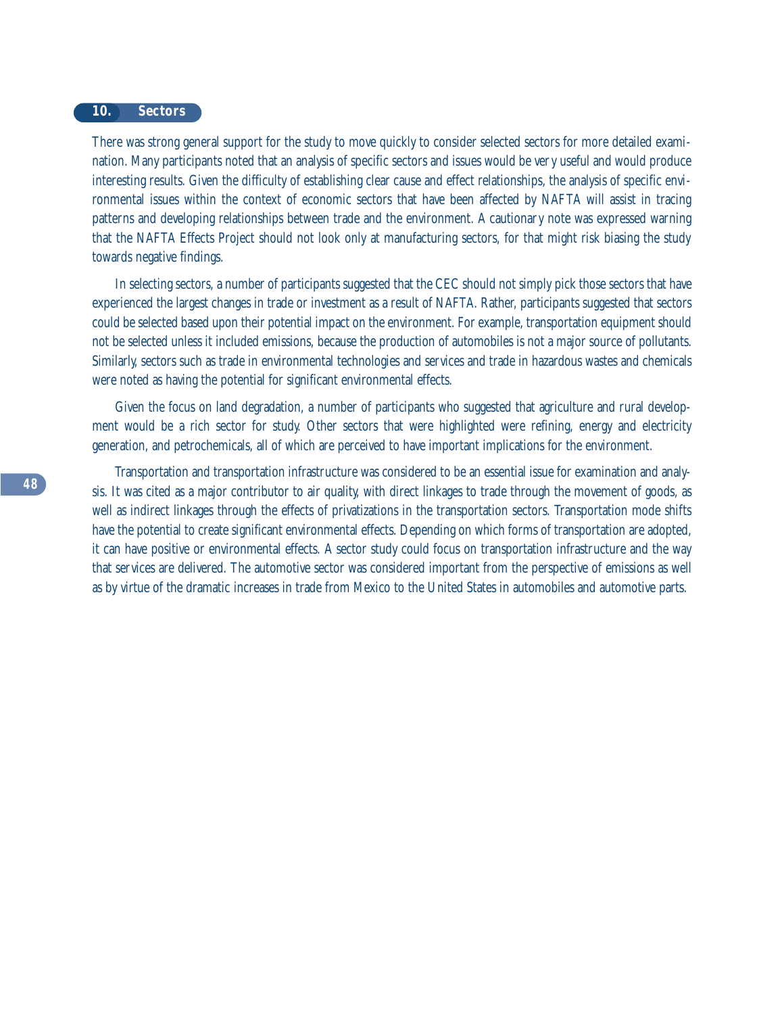#### **10. Sectors**

There was strong general support for the study to move quickly to consider selected sectors for more detailed examination. Many participants noted that an analysis of specific sectors and issues would be very useful and would produce interesting results. Given the difficulty of establishing clear cause and effect relationships, the analysis of specific environmental issues within the context of economic sectors that have been affected by NAFTA will assist in tracing patterns and developing relationships between trade and the environment. A cautionary note was expressed warning that the NAFTA Effects Project should not look only at manufacturing sectors, for that might risk biasing the study towards negative findings.

In selecting sectors, a number of participants suggested that the CEC should not simply pick those sectors that have experienced the largest changes in trade or investment as a result of NAFTA. Rather, participants suggested that sectors could be selected based upon their potential impact on the environment. For example, transportation equipment should not be selected unless it included emissions, because the production of automobiles is not a major source of pollutants. Similarly, sectors such as trade in environmental technologies and services and trade in hazardous wastes and chemicals were noted as having the potential for significant environmental effects.

Given the focus on land degradation, a number of participants who suggested that agriculture and rural development would be a rich sector for study. Other sectors that were highlighted were refining, energy and electricity generation, and petrochemicals, all of which are perceived to have important implications for the environment.

Transportation and transportation infrastructure was considered to be an essential issue for examination and analysis. It was cited as a major contributor to air quality, with direct linkages to trade through the movement of goods, as well as indirect linkages through the effects of privatizations in the transportation sectors. Transportation mode shifts have the potential to create significant environmental effects. Depending on which forms of transportation are adopted, it can have positive or environmental effects. A sector study could focus on transportation infrastructure and the way that services are delivered. The automotive sector was considered important from the perspective of emissions as well as by virtue of the dramatic increases in trade from Mexico to the United States in automobiles and automotive parts.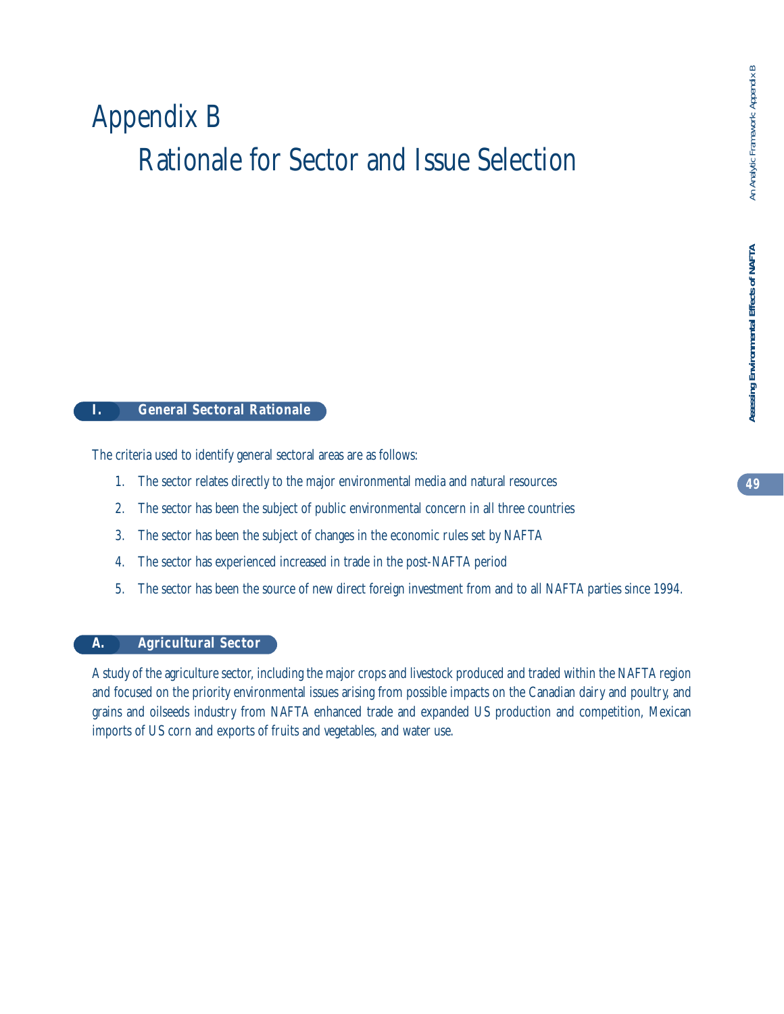# Appendix B Rationale for Sector and Issue Selection

# **I. General Sectoral Rationale**

The criteria used to identify general sectoral areas are as follows:

- 1. The sector relates directly to the major environmental media and natural resources
- 2. The sector has been the subject of public environmental concern in all three countries
- 3. The sector has been the subject of changes in the economic rules set by NAFTA
- 4. The sector has experienced increased in trade in the post-NAFTA period
- 5. The sector has been the source of new direct foreign investment from and to all NAFTA parties since 1994.

# **A. Agricultural Sector**

A study of the agriculture sector, including the major crops and livestock produced and traded within the NAFTA region and focused on the priority environmental issues arising from possible impacts on the Canadian dairy and poultry, and grains and oilseeds industry from NAFTA enhanced trade and expanded US production and competition, Mexican imports of US corn and exports of fruits and vegetables, and water use.

Assessing Environmental Effects of NAFTA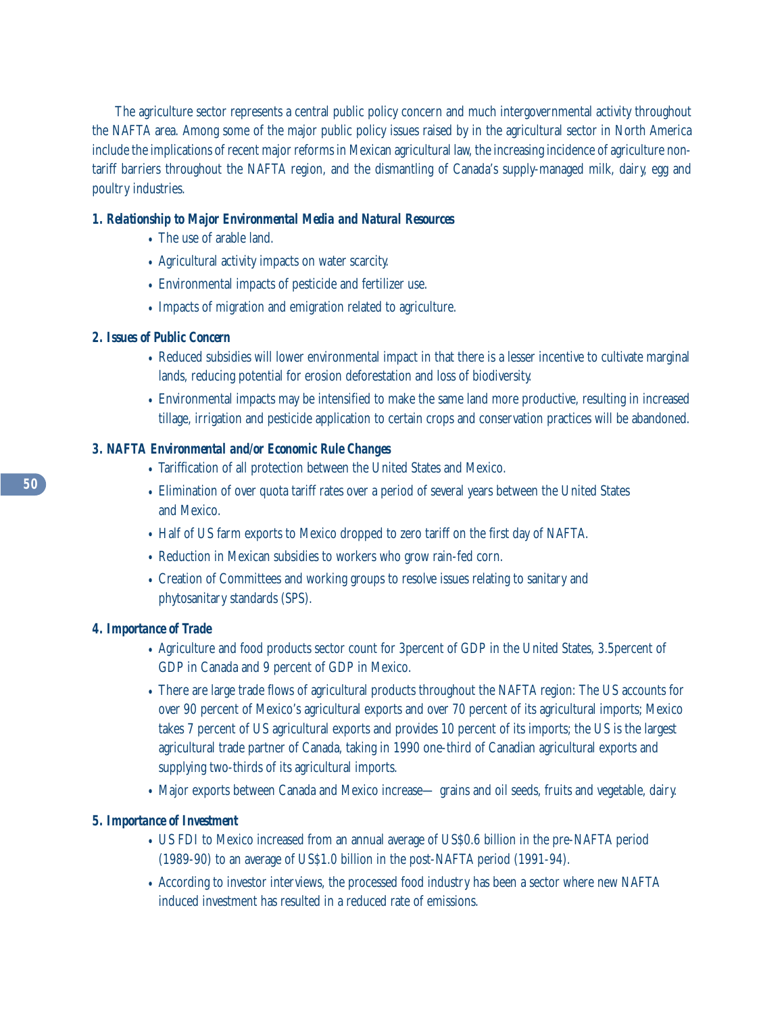The agriculture sector represents a central public policy concern and much intergovernmental activity throughout the NAFTA area. Among some of the major public policy issues raised by in the agricultural sector in North America include the implications of recent major reforms in Mexican agricultural law, the increasing incidence of agriculture nontariff barriers throughout the NAFTA region, and the dismantling of Canada's supply-managed milk, dairy, egg and poultry industries.

# *1. Relationship to Major Environmental Media and Natural Resources*

- The use of arable land.
- Agricultural activity impacts on water scarcity.
- Environmental impacts of pesticide and fertilizer use.
- Impacts of migration and emigration related to agriculture.

# *2. Issues of Public Concern*

- Reduced subsidies will lower environmental impact in that there is a lesser incentive to cultivate marginal lands, reducing potential for erosion deforestation and loss of biodiversity.
- Environmental impacts may be intensified to make the same land more productive, resulting in increased tillage, irrigation and pesticide application to certain crops and conservation practices will be abandoned.

# *3. NAFTA Environmental and/or Economic Rule Changes*

- Tariffication of all protection between the United States and Mexico.
- Elimination of over quota tariff rates over a period of several years between the United States and Mexico.
- Half of US farm exports to Mexico dropped to zero tariff on the first day of NAFTA.
- Reduction in Mexican subsidies to workers who grow rain-fed corn.
- Creation of Committees and working groups to resolve issues relating to sanitary and phytosanitary standards (SPS).

# *4. Importance of Trade*

- Agriculture and food products sector count for 3percent of GDP in the United States, 3.5percent of GDP in Canada and 9 percent of GDP in Mexico.
- There are large trade flows of agricultural products throughout the NAFTA region: The US accounts for over 90 percent of Mexico's agricultural exports and over 70 percent of its agricultural imports; Mexico takes 7 percent of US agricultural exports and provides 10 percent of its imports; the US is the largest agricultural trade partner of Canada, taking in 1990 one-third of Canadian agricultural exports and supplying two-thirds of its agricultural imports.
- Major exports between Canada and Mexico increase— grains and oil seeds, fruits and vegetable, dairy.

# *5. Importance of Investment*

- US FDI to Mexico increased from an annual average of US\$0.6 billion in the pre-NAFTA period (1989-90) to an average of US\$1.0 billion in the post-NAFTA period (1991-94).
- According to investor interviews, the processed food industry has been a sector where new NAFTA induced investment has resulted in a reduced rate of emissions.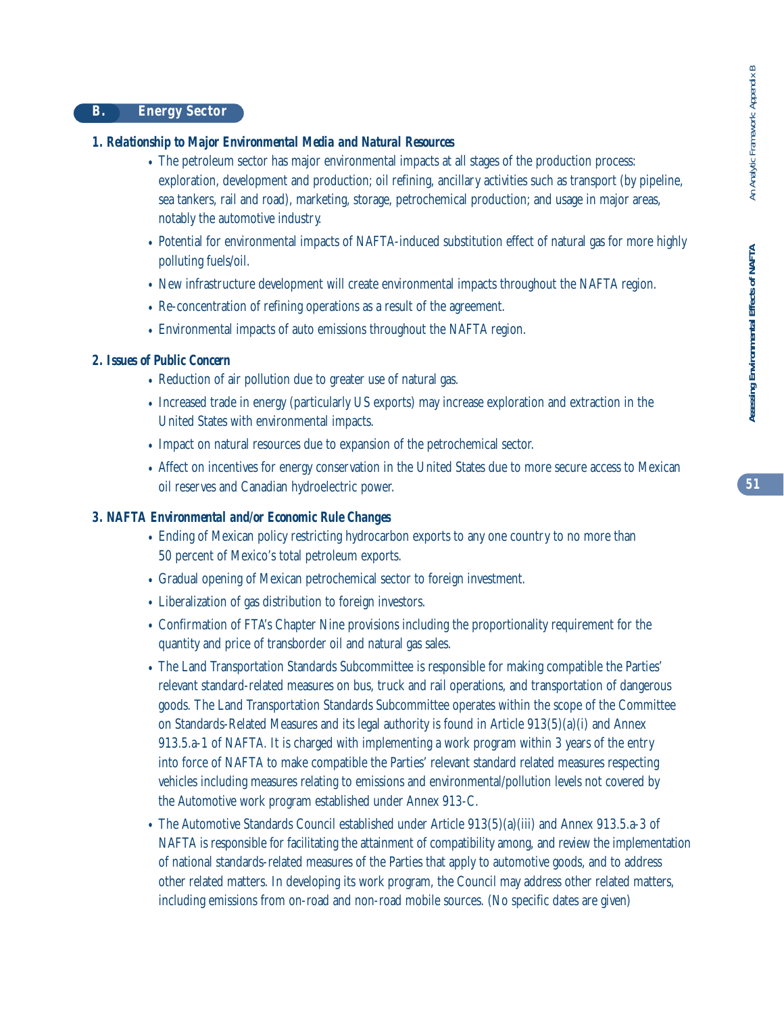# *1. Relationship to Major Environmental Media and Natural Resources*

- The petroleum sector has major environmental impacts at all stages of the production process: exploration, development and production; oil refining, ancillary activities such as transport (by pipeline, sea tankers, rail and road), marketing, storage, petrochemical production; and usage in major areas, notably the automotive industry.
- Potential for environmental impacts of NAFTA-induced substitution effect of natural gas for more highly polluting fuels/oil.
- New infrastructure development will create environmental impacts throughout the NAFTA region.
- Re-concentration of refining operations as a result of the agreement.
- Environmental impacts of auto emissions throughout the NAFTA region.

# *2. Issues of Public Concern*

- Reduction of air pollution due to greater use of natural gas.
- Increased trade in energy (particularly US exports) may increase exploration and extraction in the United States with environmental impacts.
- Impact on natural resources due to expansion of the petrochemical sector.
- Affect on incentives for energy conservation in the United States due to more secure access to Mexican oil reserves and Canadian hydroelectric power.

# *3. NAFTA Environmental and/or Economic Rule Changes*

- Ending of Mexican policy restricting hydrocarbon exports to any one country to no more than 50 percent of Mexico's total petroleum exports.
- Gradual opening of Mexican petrochemical sector to foreign investment.
- Liberalization of gas distribution to foreign investors.
- Confirmation of FTA's Chapter Nine provisions including the proportionality requirement for the quantity and price of transborder oil and natural gas sales.
- The Land Transportation Standards Subcommittee is responsible for making compatible the Parties' relevant standard-related measures on bus, truck and rail operations, and transportation of dangerous goods. The Land Transportation Standards Subcommittee operates within the scope of the Committee on Standards-Related Measures and its legal authority is found in Article 913(5)(a)(i) and Annex 913.5.a-1 of NAFTA. It is charged with implementing a work program within 3 years of the entry into force of NAFTA to make compatible the Parties' relevant standard related measures respecting vehicles including measures relating to emissions and environmental/pollution levels not covered by the Automotive work program established under Annex 913-C.
- The Automotive Standards Council established under Article 913(5)(a)(iii) and Annex 913.5.a-3 of NAFTA is responsible for facilitating the attainment of compatibility among, and review the implementation of national standards-related measures of the Parties that apply to automotive goods, and to address other related matters. In developing its work program, the Council may address other related matters, including emissions from on-road and non-road mobile sources. (No specific dates are given)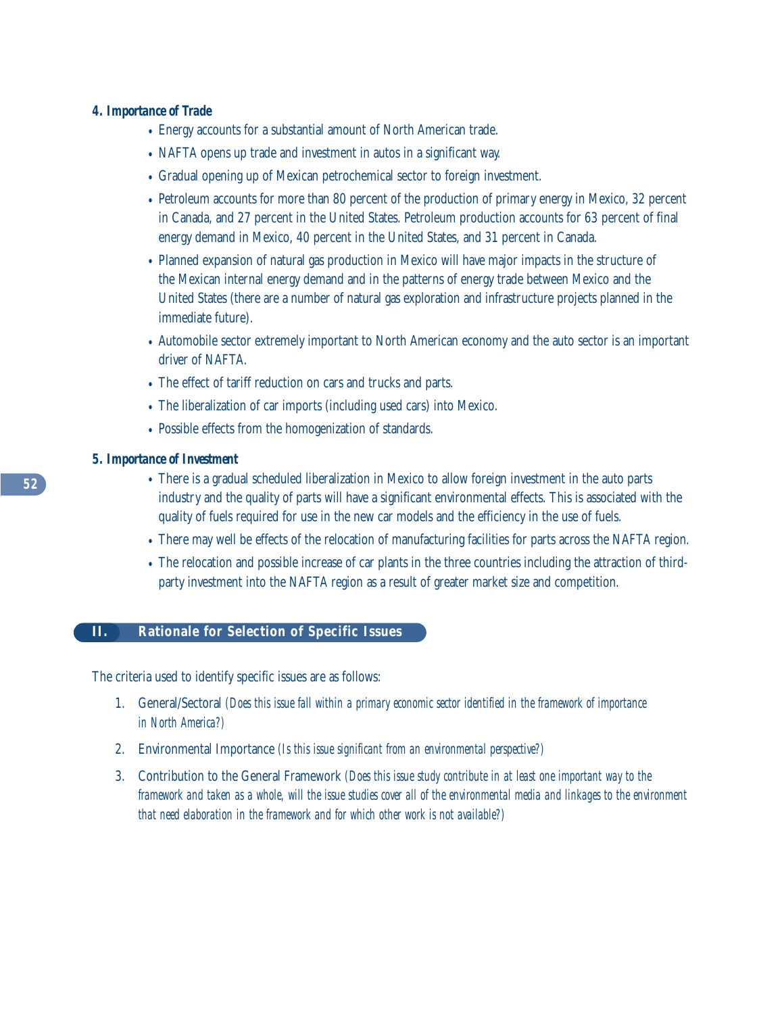# *4. Importance of Trade*

- Energy accounts for a substantial amount of North American trade.
- NAFTA opens up trade and investment in autos in a significant way.
- Gradual opening up of Mexican petrochemical sector to foreign investment.
- Petroleum accounts for more than 80 percent of the production of primary energy in Mexico, 32 percent in Canada, and 27 percent in the United States. Petroleum production accounts for 63 percent of final energy demand in Mexico, 40 percent in the United States, and 31 percent in Canada.
- Planned expansion of natural gas production in Mexico will have major impacts in the structure of the Mexican internal energy demand and in the patterns of energy trade between Mexico and the United States (there are a number of natural gas exploration and infrastructure projects planned in the immediate future).
- Automobile sector extremely important to North American economy and the auto sector is an important driver of NAFTA.
- The effect of tariff reduction on cars and trucks and parts.
- The liberalization of car imports (including used cars) into Mexico.
- Possible effects from the homogenization of standards.

## *5. Importance of Investment*

- There is a gradual scheduled liberalization in Mexico to allow foreign investment in the auto parts industry and the quality of parts will have a significant environmental effects. This is associated with the quality of fuels required for use in the new car models and the efficiency in the use of fuels.
- There may well be effects of the relocation of manufacturing facilities for parts across the NAFTA region.
- The relocation and possible increase of car plants in the three countries including the attraction of thirdparty investment into the NAFTA region as a result of greater market size and competition.

# **II. Rationale for Selection of Specific Issues**

The criteria used to identify specific issues are as follows:

- 1. General/Sectoral *(Does this issue fall within a primary economic sector identified in the framework of importance in North America?)*
- 2. Environmental Importance *(Is this issue significant from an environmental perspective?)*
- 3. Contribution to the General Framework *(Does this issue study contribute in at least one important way to the framework and taken as a whole, will the issue studies cover all of the environmental media and linkages to the environment that need elaboration in the framework and for which other work is not available?)*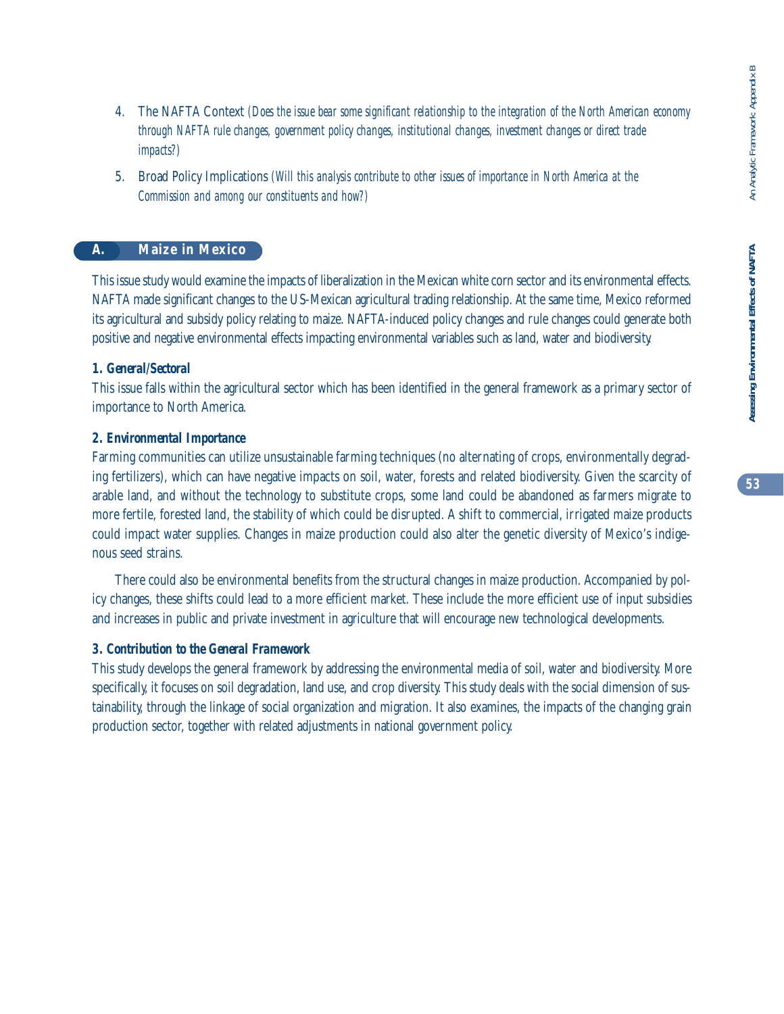- 4. The NAFTA Context *(Does the issue bear some significant relationship to the integration of the North American economy through NAFTA rule changes, government policy changes, institutional changes, investment changes or direct trade impacts?)*
- 5. Broad Policy Implications *(Will this analysis contribute to other issues of importance in North America at the Commission and among our constituents and how?)*

# **A. Maize in Mexico**

This issue study would examine the impacts of liberalization in the Mexican white corn sector and its environmental effects. NAFTA made significant changes to the US-Mexican agricultural trading relationship. At the same time, Mexico reformed its agricultural and subsidy policy relating to maize. NAFTA-induced policy changes and rule changes could generate both positive and negative environmental effects impacting environmental variables such as land, water and biodiversity.

# *1. General/Sectoral*

This issue falls within the agricultural sector which has been identified in the general framework as a primary sector of importance to North America.

# *2. Environmental Importance*

Farming communities can utilize unsustainable farming techniques (no alternating of crops, environmentally degrading fertilizers), which can have negative impacts on soil, water, forests and related biodiversity. Given the scarcity of arable land, and without the technology to substitute crops, some land could be abandoned as farmers migrate to more fertile, forested land, the stability of which could be disrupted. A shift to commercial, irrigated maize products could impact water supplies. Changes in maize production could also alter the genetic diversity of Mexico's indigenous seed strains.

There could also be environmental benefits from the structural changes in maize production. Accompanied by policy changes, these shifts could lead to a more efficient market. These include the more efficient use of input subsidies and increases in public and private investment in agriculture that will encourage new technological developments.

# *3. Contribution to the General Framework*

This study develops the general framework by addressing the environmental media of soil, water and biodiversity. More specifically, it focuses on soil degradation, land use, and crop diversity. This study deals with the social dimension of sustainability, through the linkage of social organization and migration. It also examines, the impacts of the changing grain production sector, together with related adjustments in national government policy.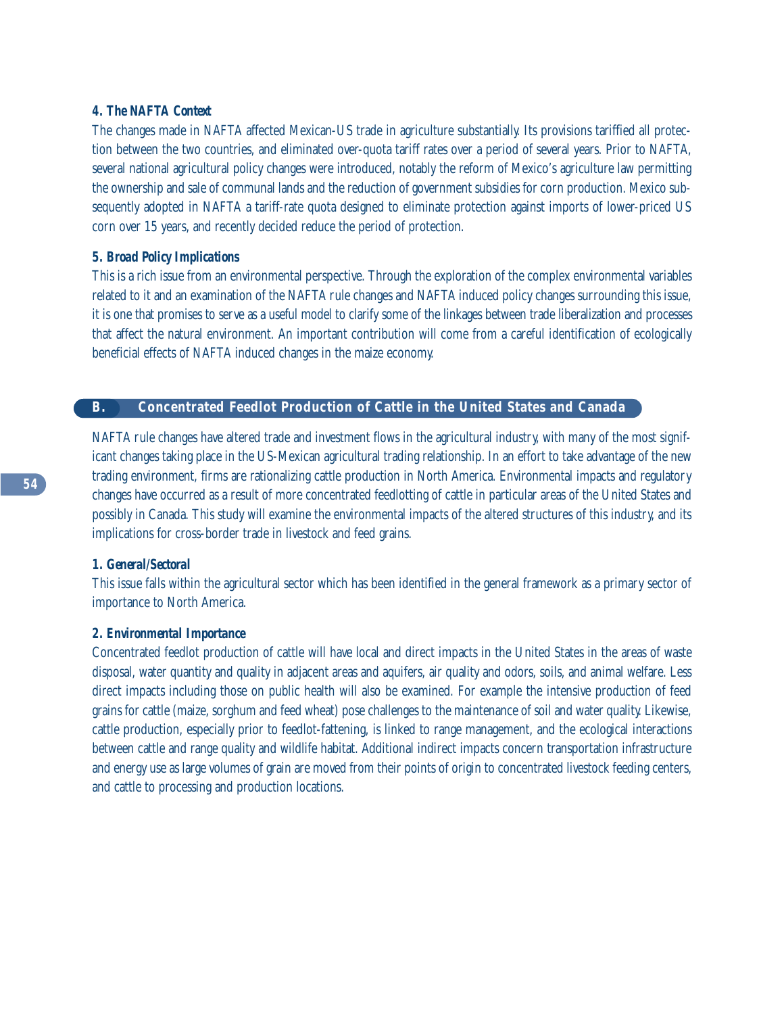#### *4. The NAFTA Context*

The changes made in NAFTA affected Mexican-US trade in agriculture substantially. Its provisions tariffied all protection between the two countries, and eliminated over-quota tariff rates over a period of several years. Prior to NAFTA, several national agricultural policy changes were introduced, notably the reform of Mexico's agriculture law permitting the ownership and sale of communal lands and the reduction of government subsidies for corn production. Mexico subsequently adopted in NAFTA a tariff-rate quota designed to eliminate protection against imports of lower-priced US corn over 15 years, and recently decided reduce the period of protection.

# *5. Broad Policy Implications*

This is a rich issue from an environmental perspective. Through the exploration of the complex environmental variables related to it and an examination of the NAFTA rule changes and NAFTA induced policy changes surrounding this issue, it is one that promises to serve as a useful model to clarify some of the linkages between trade liberalization and processes that affect the natural environment. An important contribution will come from a careful identification of ecologically beneficial effects of NAFTA induced changes in the maize economy.

# **B. Concentrated Feedlot Production of Cattle in the United States and Canada**

NAFTA rule changes have altered trade and investment flows in the agricultural industry, with many of the most significant changes taking place in the US-Mexican agricultural trading relationship. In an effort to take advantage of the new trading environment, firms are rationalizing cattle production in North America. Environmental impacts and regulatory changes have occurred as a result of more concentrated feedlotting of cattle in particular areas of the United States and possibly in Canada. This study will examine the environmental impacts of the altered structures of this industry, and its implications for cross-border trade in livestock and feed grains.

## *1. General/Sectoral*

This issue falls within the agricultural sector which has been identified in the general framework as a primary sector of importance to North America.

# *2. Environmental Importance*

Concentrated feedlot production of cattle will have local and direct impacts in the United States in the areas of waste disposal, water quantity and quality in adjacent areas and aquifers, air quality and odors, soils, and animal welfare. Less direct impacts including those on public health will also be examined. For example the intensive production of feed grains for cattle (maize, sorghum and feed wheat) pose challenges to the maintenance of soil and water quality. Likewise, cattle production, especially prior to feedlot-fattening, is linked to range management, and the ecological interactions between cattle and range quality and wildlife habitat. Additional indirect impacts concern transportation infrastructure and energy use as large volumes of grain are moved from their points of origin to concentrated livestock feeding centers, and cattle to processing and production locations.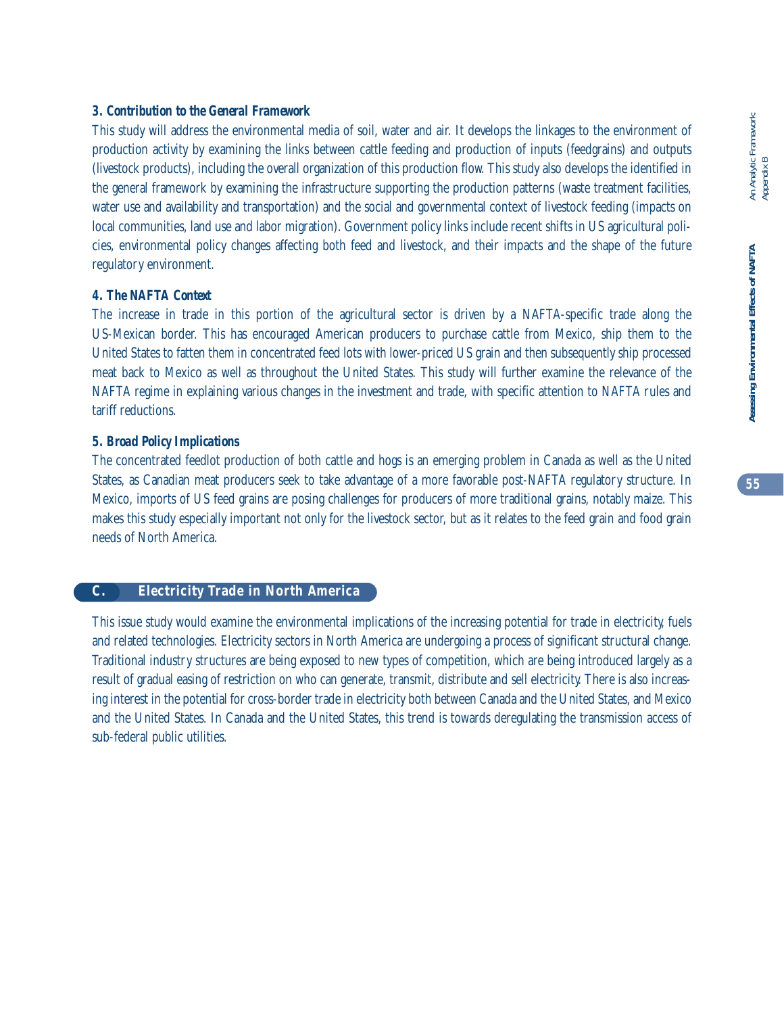# *3. Contribution to the General Framework*

This study will address the environmental media of soil, water and air. It develops the linkages to the environment of production activity by examining the links between cattle feeding and production of inputs (feedgrains) and outputs (livestock products), including the overall organization of this production flow. This study also develops the identified in the general framework by examining the infrastructure supporting the production patterns (waste treatment facilities, water use and availability and transportation) and the social and governmental context of livestock feeding (impacts on local communities, land use and labor migration). Government policy links include recent shifts in US agricultural policies, environmental policy changes affecting both feed and livestock, and their impacts and the shape of the future regulatory environment.

# *4. The NAFTA Context*

The increase in trade in this portion of the agricultural sector is driven by a NAFTA-specific trade along the US-Mexican border. This has encouraged American producers to purchase cattle from Mexico, ship them to the United States to fatten them in concentrated feed lots with lower-priced US grain and then subsequently ship processed meat back to Mexico as well as throughout the United States. This study will further examine the relevance of the NAFTA regime in explaining various changes in the investment and trade, with specific attention to NAFTA rules and tariff reductions.

# *5. Broad Policy Implications*

The concentrated feedlot production of both cattle and hogs is an emerging problem in Canada as well as the United States, as Canadian meat producers seek to take advantage of a more favorable post-NAFTA regulatory structure. In Mexico, imports of US feed grains are posing challenges for producers of more traditional grains, notably maize. This makes this study especially important not only for the livestock sector, but as it relates to the feed grain and food grain needs of North America.

# **C. Electricity Trade in North America**

This issue study would examine the environmental implications of the increasing potential for trade in electricity, fuels and related technologies. Electricity sectors in North America are undergoing a process of significant structural change. Traditional industry structures are being exposed to new types of competition, which are being introduced largely as a result of gradual easing of restriction on who can generate, transmit, distribute and sell electricity. There is also increasing interest in the potential for cross-border trade in electricity both between Canada and the United States, and Mexico and the United States. In Canada and the United States, this trend is towards deregulating the transmission access of sub-federal public utilities.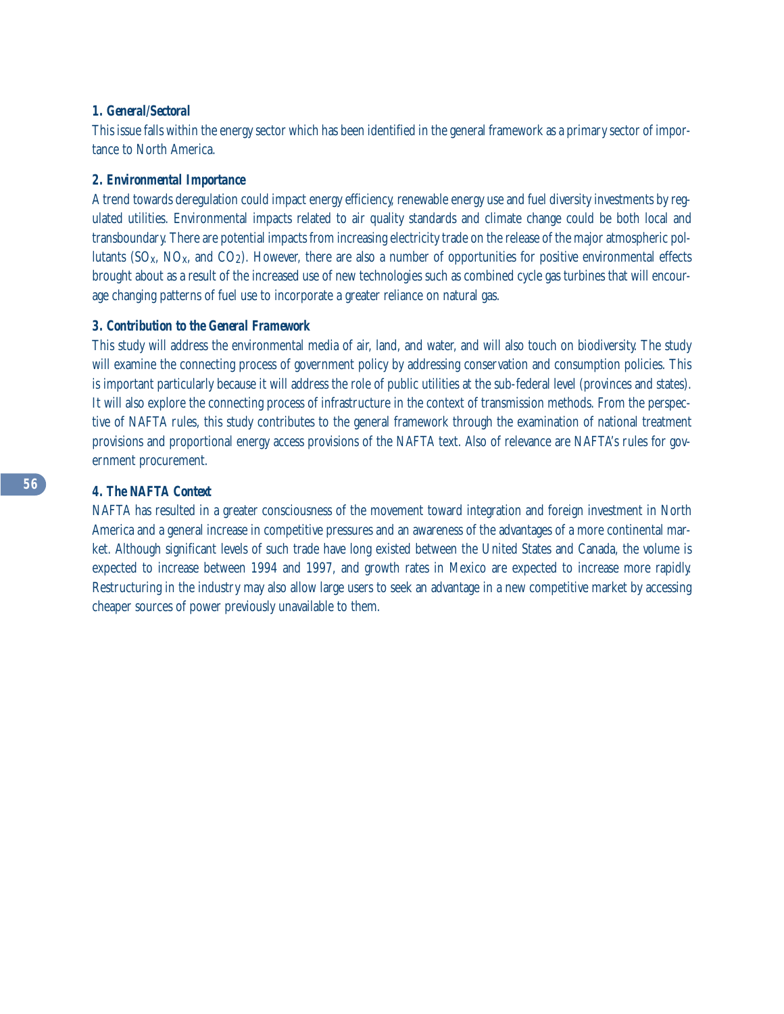## *1. General/Sectoral*

This issue falls within the energy sector which has been identified in the general framework as a primary sector of importance to North America.

# *2. Environmental Importance*

A trend towards deregulation could impact energy efficiency, renewable energy use and fuel diversity investments by regulated utilities. Environmental impacts related to air quality standards and climate change could be both local and transboundary. There are potential impacts from increasing electricity trade on the release of the major atmospheric pollutants ( $SO_{x}$ ,  $NO_{x}$ , and  $CO_{z}$ ). However, there are also a number of opportunities for positive environmental effects brought about as a result of the increased use of new technologies such as combined cycle gas turbines that will encourage changing patterns of fuel use to incorporate a greater reliance on natural gas.

# *3. Contribution to the General Framework*

This study will address the environmental media of air, land, and water, and will also touch on biodiversity. The study will examine the connecting process of government policy by addressing conservation and consumption policies. This is important particularly because it will address the role of public utilities at the sub-federal level (provinces and states). It will also explore the connecting process of infrastructure in the context of transmission methods. From the perspective of NAFTA rules, this study contributes to the general framework through the examination of national treatment provisions and proportional energy access provisions of the NAFTA text. Also of relevance are NAFTA's rules for government procurement.

# *4. The NAFTA Context*

NAFTA has resulted in a greater consciousness of the movement toward integration and foreign investment in North America and a general increase in competitive pressures and an awareness of the advantages of a more continental market. Although significant levels of such trade have long existed between the United States and Canada, the volume is expected to increase between 1994 and 1997, and growth rates in Mexico are expected to increase more rapidly. Restructuring in the industry may also allow large users to seek an advantage in a new competitive market by accessing cheaper sources of power previously unavailable to them.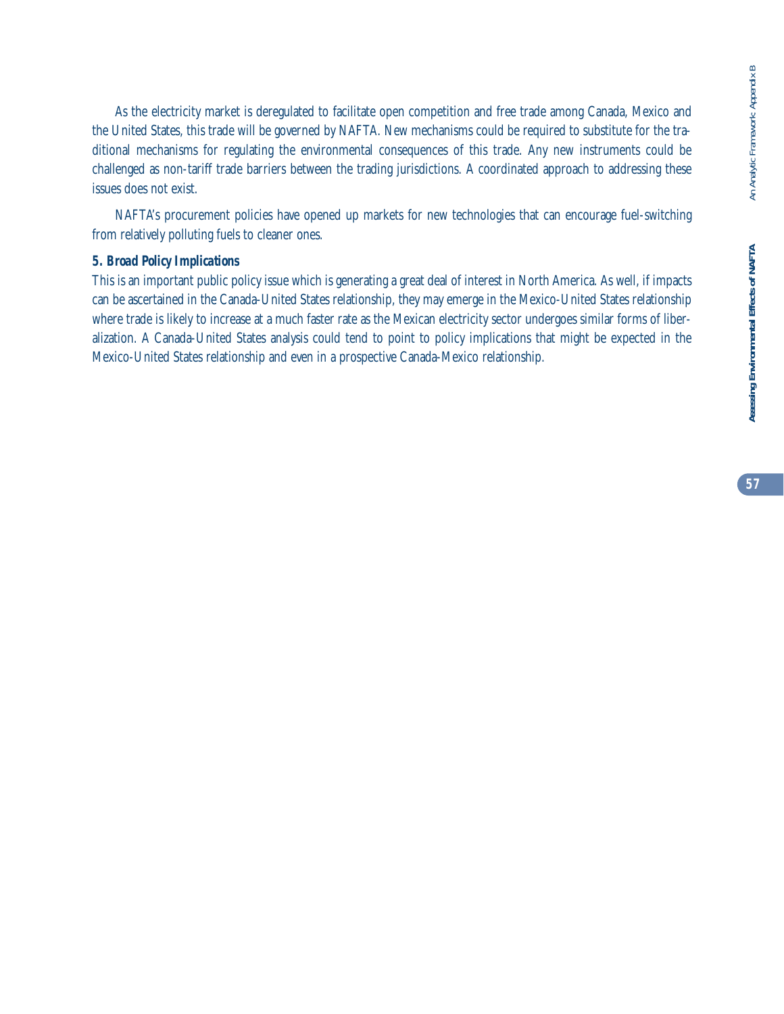As the electricity market is deregulated to facilitate open competition and free trade among Canada, Mexico and the United States, this trade will be governed by NAFTA. New mechanisms could be required to substitute for the traditional mechanisms for regulating the environmental consequences of this trade. Any new instruments could be challenged as non-tariff trade barriers between the trading jurisdictions. A coordinated approach to addressing these issues does not exist.

NAFTA's procurement policies have opened up markets for new technologies that can encourage fuel-switching from relatively polluting fuels to cleaner ones.

# *5. Broad Policy Implications*

This is an important public policy issue which is generating a great deal of interest in North America. As well, if impacts can be ascertained in the Canada-United States relationship, they may emerge in the Mexico-United States relationship where trade is likely to increase at a much faster rate as the Mexican electricity sector undergoes similar forms of liberalization. A Canada-United States analysis could tend to point to policy implications that might be expected in the Mexico-United States relationship and even in a prospective Canada-Mexico relationship.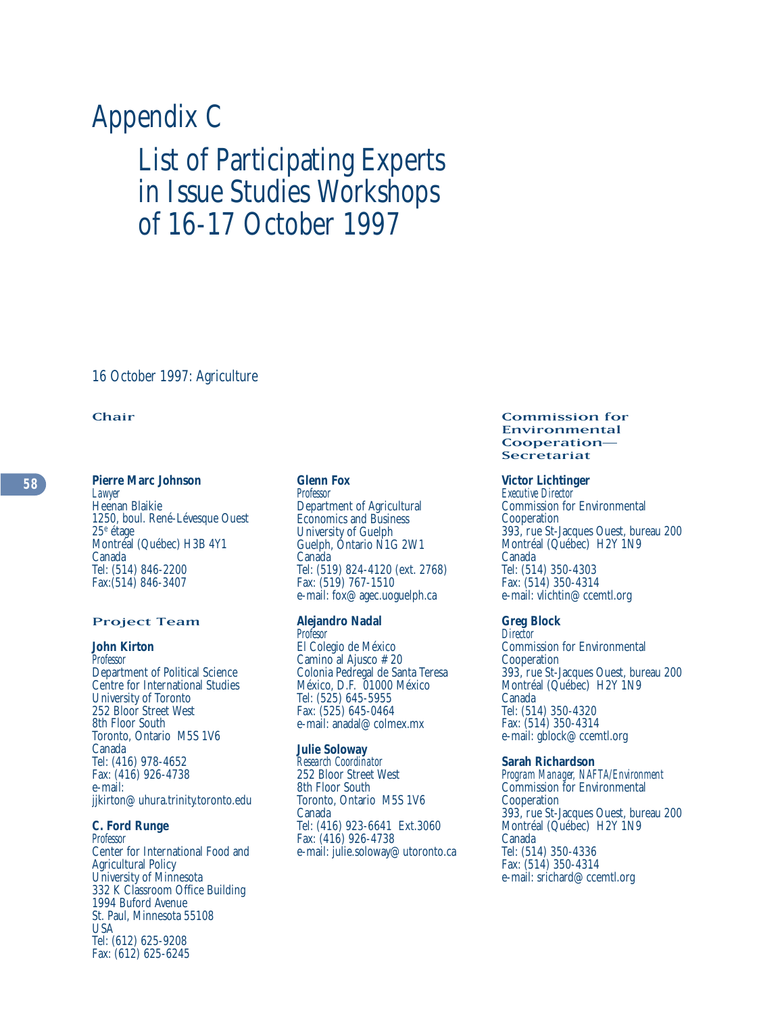# Appendix C

# List of Participating Experts in Issue Studies Workshops of 16-17 October 1997

16 October 1997: Agriculture

## Chair

#### **Pierre Marc Johnson**

*Lawyer* Heenan Blaikie 1250, boul. René-Lévesque Ouest 25e étage Montréal (Québec) H3B 4Y1 Canada Tel: (514) 846-2200 Fax:(514) 846-3407

#### Project Team

#### **John Kirton**

*Professor* Department of Political Science Centre for International Studies University of Toronto 252 Bloor Street West 8th Floor South Toronto, Ontario M5S 1V6 Canada Tel: (416) 978-4652 Fax: (416) 926-4738 e-mail: jjkirton@uhura.trinity.toronto.edu

# **C. Ford Runge**

*Professor* Center for International Food and Agricultural Policy University of Minnesota 332 K Classroom Office Building 1994 Buford Avenue St. Paul, Minnesota 55108 USA Tel: (612) 625-9208 Fax: (612) 625-6245

#### **Glenn Fox**

*Professor* Department of Agricultural Economics and Business University of Guelph Guelph, Ontario N1G 2W1 Canada Tel: (519) 824-4120 (ext. 2768) Fax: (519) 767-1510 e-mail: fox@agec.uoguelph.ca

# **Alejandro Nadal**

*Profesor* El Colegio de México Camino al Ajusco #20 Colonia Pedregal de Santa Teresa México, D.F. 01000 México Tel: (525) 645-5955 Fax: (525) 645-0464 e-mail: anadal@colmex.mx

#### **Julie Soloway**

*Research Coordinator* 252 Bloor Street West 8th Floor South Toronto, Ontario M5S 1V6 Canada Tel: (416) 923-6641 Ext.3060 Fax: (416) 926-4738 e-mail: julie.soloway@utoronto.ca

#### Commission for Environmental Cooperation— Secretariat

#### **Victor Lichtinger**

*Executive Director* Commission for Environmental Cooperation 393, rue St-Jacques Ouest, bureau 200 Montréal (Québec) H2Y 1N9 Canada Tel: (514) 350-4303 Fax: (514) 350-4314 e-mail: vlichtin@ccemtl.org

#### **Greg Block**

*Director* Commission for Environmental Cooperation 393, rue St-Jacques Ouest, bureau 200 Montréal (Québec) H2Y 1N9 Canada Tel: (514) 350-4320 Fax: (514) 350-4314 e-mail: gblock@ccemtl.org

#### **Sarah Richardson**

*Program Manager, NAFTA/Environment* Commission for Environmental Cooperation 393, rue St-Jacques Ouest, bureau 200 Montréal (Québec) H2Y 1N9 Canada Tel: (514) 350-4336 Fax: (514) 350-4314 e-mail: srichard@ccemtl.org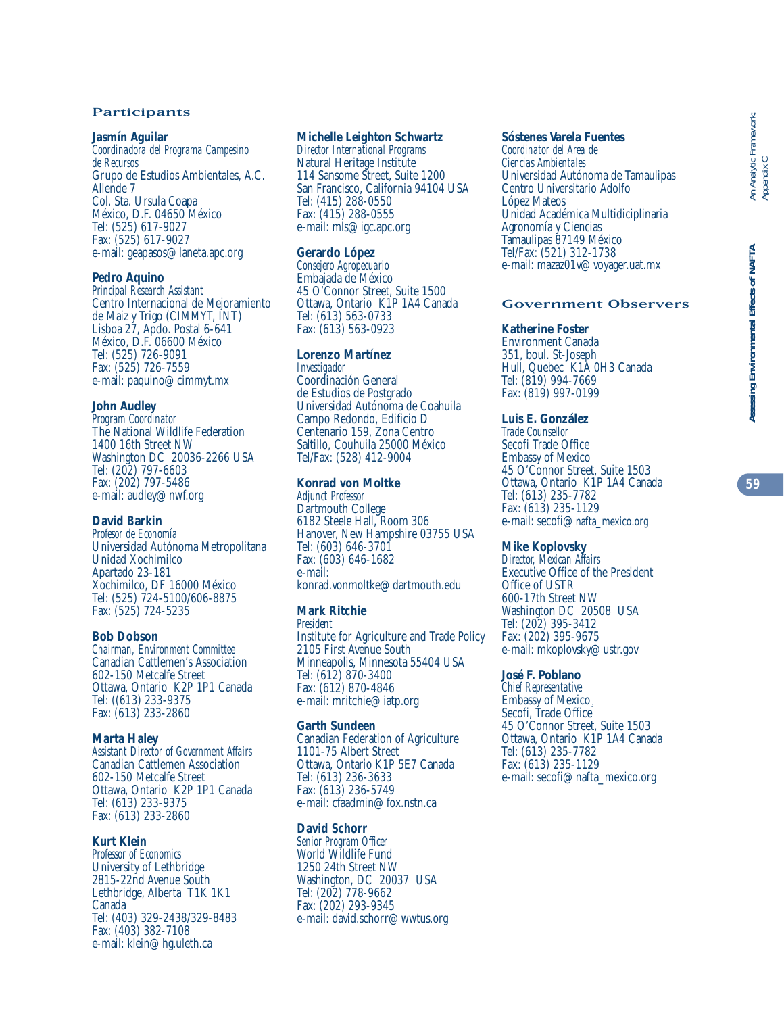#### Participants

#### **Jasmín Aguilar**

*Coordinadora del Programa Campesino de Recursos*  Grupo de Estudios Ambientales, A.C. Allende 7 Col. Sta. Ursula Coapa México, D.F. 04650 México Tel: (525) 617-9027 Fax: (525) 617-9027 e-mail: geapasos@laneta.apc.org

#### **Pedro Aquino**

*Principal Research Assistant* Centro Internacional de Mejoramiento de Maiz y Trigo (CIMMYT, INT) Lisboa 27, Apdo. Postal 6-641 México, D.F. 06600 México Tel: (525) 726-9091 Fax: (525) 726-7559 e-mail: paquino@cimmyt.mx

#### **John Audley**

*Program Coordinator* The National Wildlife Federation 1400 16th Street NW Washington DC 20036-2266 USA Tel: (202) 797-6603 Fax: (202) 797-5486 e-mail: audley@nwf.org

#### **David Barkin**

*Profesor de Economía* Universidad Autónoma Metropolitana Unidad Xochimilco Apartado 23-181 Xochimilco, DF 16000 México Tel: (525) 724-5100/606-8875 Fax: (525) 724-5235

#### **Bob Dobson**

*Chairman, Environment Committee* Canadian Cattlemen's Association 602-150 Metcalfe Street Ottawa, Ontario K2P 1P1 Canada Tel: ((613) 233-9375 Fax: (613) 233-2860

#### **Marta Haley**

*Assistant Director of Government Affairs* Canadian Cattlemen Association 602-150 Metcalfe Street Ottawa, Ontario K2P 1P1 Canada Tel: (613) 233-9375 Fax: (613) 233-2860

# **Kurt Klein**

*Professor of Economics* University of Lethbridge 2815-22nd Avenue South Lethbridge, Alberta T1K 1K1 Canada Tel: (403) 329-2438/329-8483 Fax: (403) 382-7108 e-mail: klein@hg.uleth.ca

#### **Michelle Leighton Schwartz**

*Director International Programs* Natural Heritage Institute 114 Sansome Street, Suite 1200 San Francisco, California 94104 USA Tel: (415) 288-0550 Fax: (415) 288-0555 e-mail: mls@igc.apc.org

#### **Gerardo López**

*Consejero Agropecuario* Embajada de México 45 O'Connor Street, Suite 1500 Ottawa, Ontario K1P 1A4 Canada Tel: (613) 563-0733 Fax: (613) 563-0923

#### **Lorenzo Martínez**

*Investigador* Coordinación General de Estudios de Postgrado Universidad Autónoma de Coahuila Campo Redondo, Edificio D Centenario 159, Zona Centro Saltillo, Couhuila 25000 México Tel/Fax: (528) 412-9004

#### **Konrad von Moltke**

*Adjunct Professor* Dartmouth College 6182 Steele Hall, Room 306 Hanover, New Hampshire 03755 USA Tel: (603) 646-3701 Fax: (603) 646-1682 e-mail: konrad.vonmoltke@dartmouth.edu

#### **Mark Ritchie**  *President*

Institute for Agriculture and Trade Policy 2105 First Avenue South Minneapolis, Minnesota 55404 USA Tel: (612) 870-3400 Fax: (612) 870-4846 e-mail: mritchie@iatp.org

#### **Garth Sundeen**

Canadian Federation of Agriculture 1101-75 Albert Street Ottawa, Ontario K1P 5E7 Canada Tel: (613) 236-3633 Fax: (613) 236-5749 e-mail: cfaadmin@fox.nstn.ca

#### **David Schorr**

*Senior Program Officer* World Wildlife Fund 1250 24th Street NW Washington, DC 20037 USA Tel: (202) 778-9662 Fax: (202) 293-9345 e-mail: david.schorr@wwtus.org

#### **Sóstenes Varela Fuentes**

*Coordinator del Area de Ciencias Ambientales* Universidad Autónoma de Tamaulipas Centro Universitario Adolfo López Mateos Unidad Académica Multidiciplinaria Agronomía y Ciencias Tamaulipas 87149 México Tel/Fax: (521) 312-1738 e-mail: mazaz01v@voyager.uat.mx

#### Government Observers

#### **Katherine Foster**

Environment Canada 351, boul. St-Joseph Hull, Quebec K1A 0H3 Canada Tel: (819) 994-7669 Fax: (819) 997-0199

#### **Luis E. González**

*Trade Counsellor* Secofi Trade Office Embassy of Mexico 45 O'Connor Street, Suite 1503 Ottawa, Ontario K1P 1A4 Canada Tel: (613) 235-7782 Fax: (613) 235-1129 e-mail: secofi@nafta\_mexico.org

#### **Mike Koplovsky**

*Director, Mexican Affairs* Executive Office of the President Office of USTR 600-17th Street NW Washington DC 20508 USA Tel: (202) 395-3412 Fax: (202) 395-9675 e-mail: mkoplovsky@ustr.gov

## **José F. Poblano**

*Chief Representative* Embassy of Mexico¸ Secofi, Trade Office 45 O'Connor Street, Suite 1503 Ottawa, Ontario K1P 1A4 Canada Tel: (613) 235-7782 Fax: (613) 235-1129 e-mail: secofi@nafta\_mexico.org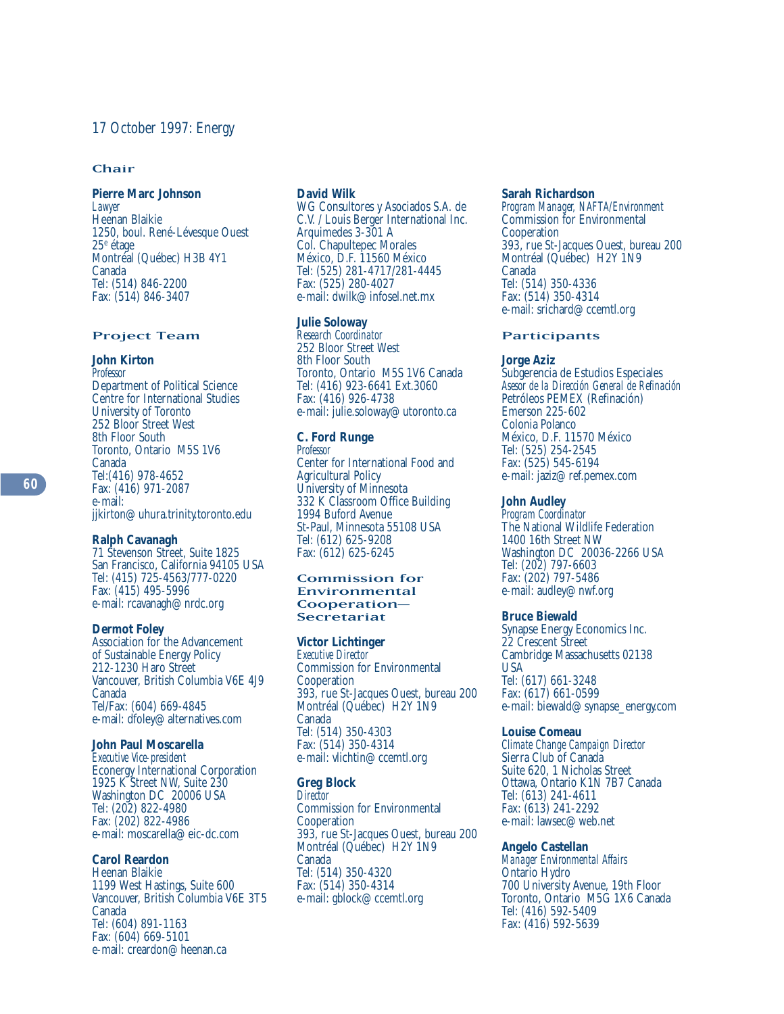#### Chair

#### **Pierre Marc Johnson**

*Lawyer* Heenan Blaikie 1250, boul. René-Lévesque Ouest 25e étage Montréal (Québec) H3B 4Y1 Canada Tel: (514) 846-2200 Fax: (514) 846-3407

#### Project Team

# **John Kirton**

*Professor* Department of Political Science Centre for International Studies University of Toronto 252 Bloor Street West 8th Floor South Toronto, Ontario M5S 1V6 Canada Tel:(416) 978-4652 Fax: (416) 971-2087 e-mail: jjkirton@uhura.trinity.toronto.edu

#### **Ralph Cavanagh**

71 Stevenson Street, Suite 1825 San Francisco, California 94105 USA Tel: (415) 725-4563/777-0220 Fax: (415) 495-5996 e-mail: rcavanagh@nrdc.org

#### **Dermot Foley**

Association for the Advancement of Sustainable Energy Policy 212-1230 Haro Street Vancouver, British Columbia V6E 4J9 Canada Tel/Fax: (604) 669-4845 e-mail: dfoley@alternatives.com

#### **John Paul Moscarella**

*Executive Vice-president* Econergy International Corporation 1925 K Street NW, Suite 230 Washington DC 20006 USA Tel: (202) 822-4980 Fax: (202) 822-4986 e-mail: moscarella@eic-dc.com

#### **Carol Reardon**

Heenan Blaikie 1199 West Hastings, Suite 600 Vancouver, British Columbia V6E 3T5 Canada Tel: (604) 891-1163 Fax: (604) 669-5101 e-mail: creardon@heenan.ca

#### **David Wilk**

WG Consultores y Asociados S.A. de C.V. / Louis Berger International Inc. Arquimedes 3-301 A Col. Chapultepec Morales México, D.F. 11560 México Tel: (525) 281-4717/281-4445 Fax: (525) 280-4027 e-mail: dwilk@infosel.net.mx

#### **Julie Soloway**

*Research Coordinator* 252 Bloor Street West 8th Floor South Toronto, Ontario M5S 1V6 Canada Tel: (416) 923-6641 Ext.3060 Fax: (416) 926-4738 e-mail: julie.soloway@utoronto.ca

## **C. Ford Runge**

*Professor* Center for International Food and Agricultural Policy University of Minnesota 332 K Classroom Office Building 1994 Buford Avenue St-Paul, Minnesota 55108 USA Tel: (612) 625-9208 Fax: (612) 625-6245

#### Commission for Environmental Cooperation– Secretariat

#### **Victor Lichtinger**

*Executive Director* Commission for Environmental **Cooperation** 393, rue St-Jacques Ouest, bureau 200 Montréal (Québec) H2Y 1N9 Canada Tel: (514) 350-4303 Fax: (514) 350-4314 e-mail: vlichtin@ccemtl.org

#### **Greg Block**

*Director* Commission for Environmental **Cooperation** 393, rue St-Jacques Ouest, bureau 200 Montréal (Québec) H2Y 1N9 Canada Tel: (514) 350-4320 Fax: (514) 350-4314 e-mail: gblock@ccemtl.org

#### **Sarah Richardson**

*Program Manager, NAFTA/Environment* Commission for Environmental Cooperation 393, rue St-Jacques Ouest, bureau 200 Montréal (Québec) H2Y 1N9 Canada Tel: (514) 350-4336 Fax: (514) 350-4314 e-mail: srichard@ccemtl.org

#### **Participants**

#### **Jorge Aziz**

Subgerencia de Estudios Especiales *Asesor de la Dirección General de Refinación* Petróleos PEMEX (Refinación) Emerson 225-602 Colonia Polanco México, D.F. 11570 México Tel: (525) 254-2545 Fax: (525) 545-6194 e-mail: jaziz@ref.pemex.com

#### **John Audley**

*Program Coordinator* The National Wildlife Federation 1400 16th Street NW Washington DC 20036-2266 USA Tel: (202) 797-6603 Fax: (202) 797-5486 e-mail: audley@nwf.org

#### **Bruce Biewald**

Synapse Energy Economics Inc. 22 Crescent Street Cambridge Massachusetts 02138 USA Tel: (617) 661-3248 Fax: (617) 661-0599 e-mail: biewald@synapse\_energy.com

#### **Louise Comeau**

*Climate Change Campaign Director* Sierra Club of Canada Suite 620, 1 Nicholas Street Ottawa, Ontario K1N 7B7 Canada Tel: (613) 241-4611 Fax: (613) 241-2292 e-mail: lawsec@web.net

#### **Angelo Castellan**

*Manager Environmental Affairs* Ontario Hydro 700 University Avenue, 19th Floor Toronto, Ontario M5G 1X6 Canada Tel: (416) 592-5409 Fax: (416) 592-5639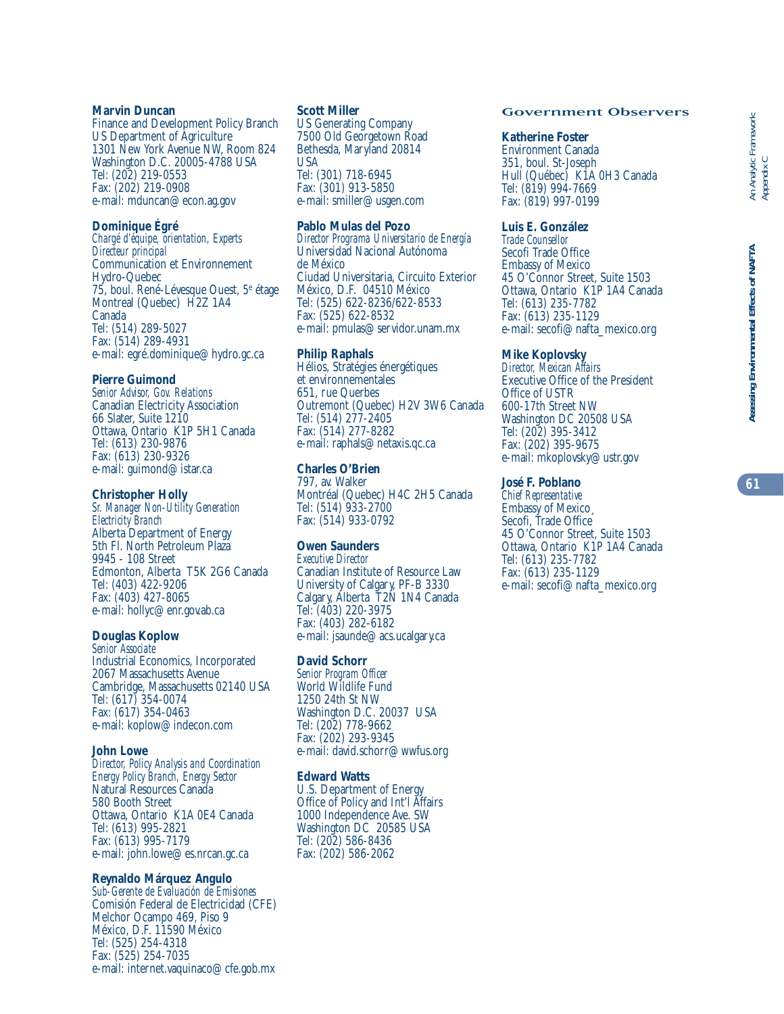#### **Marvin Duncan**

Finance and Development Policy Branch US Department of Agriculture 1301 New York Avenue NW, Room 824 Washington D.C. 20005-4788 USA Tel: (202) 219-0553 Fax: (202) 219-0908 e-mail: mduncan@econ.ag.gov

#### **Dominique Égré**

*Chargé d'équipe, orientation, Experts Directeur principal* Communication et Environnement Hydro-Quebec 75, boul. René-Lévesque Ouest, 5e étage Montreal (Quebec) H2Z 1A4 Canada Tel: (514) 289-5027 Fax: (514) 289-4931 e-mail: egré.dominique@hydro.gc.ca

#### **Pierre Guimond**

*Senior Advisor, Gov. Relations* Canadian Electricity Association 66 Slater, Suite 1210 Ottawa, Ontario K1P 5H1 Canada Tel: (613) 230-9876 Fax: (613) 230-9326 e-mail: guimond@istar.ca

#### **Christopher Holly**

*Sr. Manager Non-Utility Generation Electricity Branch* Alberta Department of Energy 5th Fl. North Petroleum Plaza 9945 - 108 Street Edmonton, Alberta T5K 2G6 Canada Tel: (403) 422-9206 Fax: (403) 427-8065 e-mail: hollyc@enr.gov.ab.ca

## **Douglas Koplow**

*Senior Associate* Industrial Economics, Incorporated 2067 Massachusetts Avenue Cambridge, Massachusetts 02140 USA Tel: (617) 354-0074 Fax: (617) 354-0463 e-mail: koplow@indecon.com

#### **John Lowe**

*Director, Policy Analysis and Coordination Energy Policy Branch, Energy Sector* Natural Resources Canada 580 Booth Street Ottawa, Ontario K1A 0E4 Canada Tel: (613) 995-2821 Fax: (613) 995-7179 e-mail: john.lowe@es.nrcan.gc.ca

# **Reynaldo Márquez Angulo**

*Sub-Gerente de Evaluación de Emisiones* Comisión Federal de Electricidad (CFE) Melchor Ocampo 469, Piso 9 México, D.F. 11590 México Tel: (525) 254-4318 Fax: (525) 254-7035 e-mail: internet.vaquinaco@cfe.gob.mx

#### **Scott Miller**

US Generating Company 7500 Old Georgetown Road Bethesda, Maryland 20814 USA Tel: (301) 718-6945 Fax: (301) 913-5850 e-mail: smiller@usgen.com

#### **Pablo Mulas del Pozo**

*Director Programa Universitario de Energía* Universidad Nacional Autónoma de México Ciudad Universitaria, Circuito Exterior México, D.F. 04510 México Tel: (525) 622-8236/622-8533 Fax: (525) 622-8532 e-mail: pmulas@servidor.unam.mx

#### **Philip Raphals**

Hélios, Stratégies énergétiques et environnementales 651, rue Querbes Outremont (Quebec) H2V 3W6 Canada Tel: (514) 277-2405 Fax: (514) 277-8282 e-mail: raphals@netaxis.qc.ca

#### **Charles O'Brien**

797, av. Walker Montréal (Quebec) H4C 2H5 Canada Tel: (514) 933-2700 Fax: (514) 933-0792

## **Owen Saunders**

*Executive Director* Canadian Institute of Resource Law University of Calgary, PF-B 3330 Calgary, Alberta T2N 1N4 Canada Tel: (403) 220-3975 Fax: (403) 282-6182 e-mail: jsaunde@acs.ucalgary.ca

#### **David Schorr**

*Senior Program Officer* World Wildlife Fund 1250 24th St NW Washington D.C. 20037 USA Tel: (202) 778-9662 Fax: (202) 293-9345 e-mail: david.schorr@wwfus.org

#### **Edward Watts**

U.S. Department of Energy Office of Policy and Int'l Affairs 1000 Independence Ave. SW Washington DC 20585 USA Tel: (202) 586-8436 Fax: (202) 586-2062

#### Government Observers

#### **Katherine Foster**

Environment Canada 351, boul. St-Joseph Hull (Québec) K1A 0H3 Canada Tel: (819) 994-7669 Fax: (819) 997-0199

#### **Luis E. González**

*Trade Counsellor* Secofi Trade Office Embassy of Mexico 45 O'Connor Street, Suite 1503 Ottawa, Ontario K1P 1A4 Canada Tel: (613) 235-7782 Fax: (613) 235-1129 e-mail: secofi@nafta\_mexico.org

#### **Mike Koplovsky**

*Director, Mexican Affairs* Executive Office of the President Office of USTR 600-17th Street NW Washington DC 20508 USA Tel: (202) 395-3412 Fax: (202) 395-9675 e-mail: mkoplovsky@ustr.gov

#### **José F. Poblano**

*Chief Representative* Embassy of Mexico¸ Secofi, Trade Office 45 O'Connor Street, Suite 1503 Ottawa, Ontario K1P 1A4 Canada Tel: (613) 235-7782 Fax: (613) 235-1129 e-mail: secofi@nafta\_mexico.org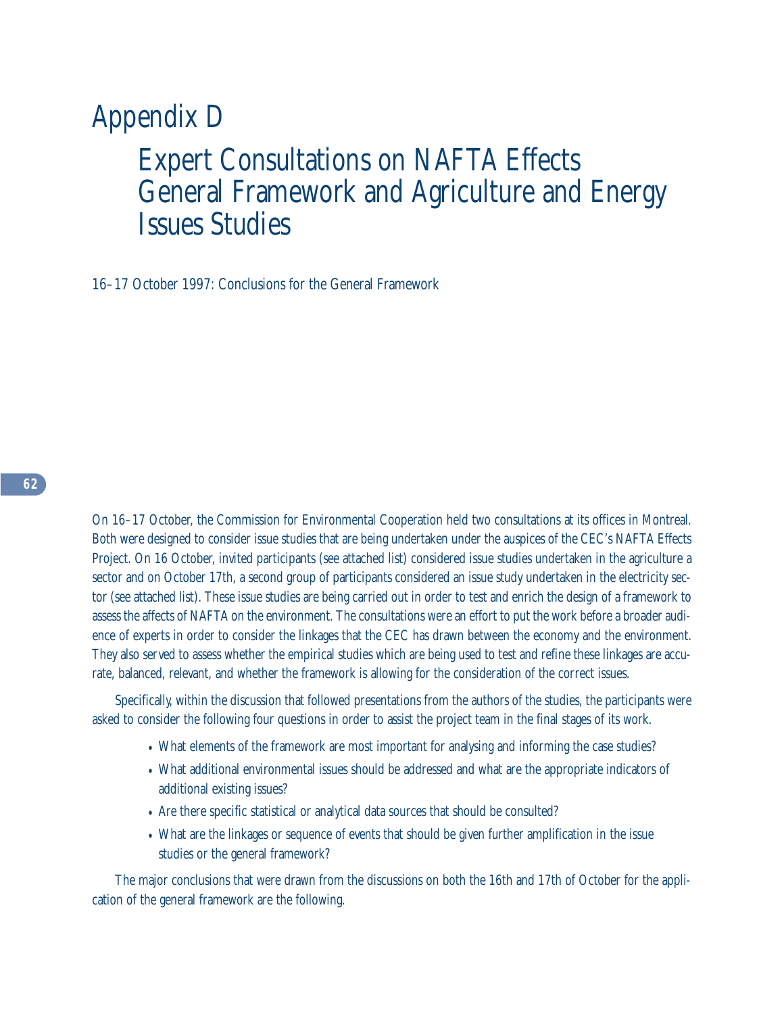# Appendix D Expert Consultations on NAFTA Effects General Framework and Agriculture and Energy Issues Studies

16–17 October 1997: Conclusions for the General Framework

On 16–17 October, the Commission for Environmental Cooperation held two consultations at its offices in Montreal. Both were designed to consider issue studies that are being undertaken under the auspices of the CEC's NAFTA Effects Project. On 16 October, invited participants (see attached list) considered issue studies undertaken in the agriculture a sector and on October 17th, a second group of participants considered an issue study undertaken in the electricity sector (see attached list). These issue studies are being carried out in order to test and enrich the design of a framework to assess the affects of NAFTA on the environment. The consultations were an effort to put the work before a broader audience of experts in order to consider the linkages that the CEC has drawn between the economy and the environment. They also served to assess whether the empirical studies which are being used to test and refine these linkages are accurate, balanced, relevant, and whether the framework is allowing for the consideration of the correct issues.

Specifically, within the discussion that followed presentations from the authors of the studies, the participants were asked to consider the following four questions in order to assist the project team in the final stages of its work.

- What elements of the framework are most important for analysing and informing the case studies?
- What additional environmental issues should be addressed and what are the appropriate indicators of additional existing issues?
- Are there specific statistical or analytical data sources that should be consulted?
- What are the linkages or sequence of events that should be given further amplification in the issue studies or the general framework?

The major conclusions that were drawn from the discussions on both the 16th and 17th of October for the application of the general framework are the following.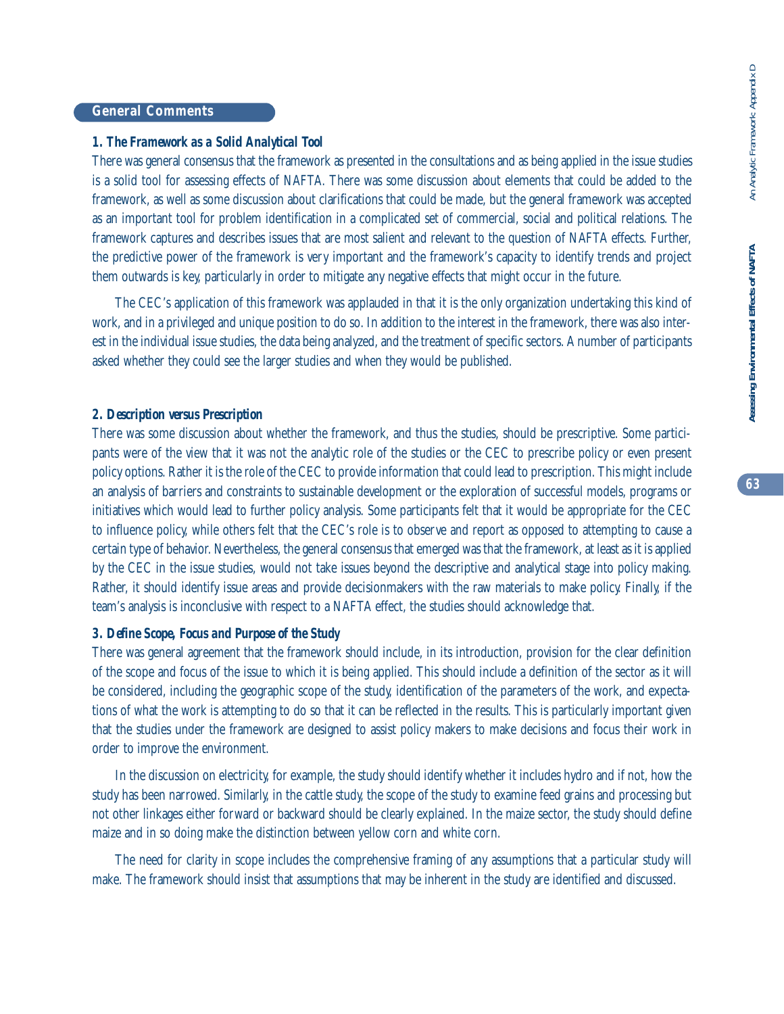# Assessing Environmental Effects of NAFTA

# **General Comments**

# *1. The Framework as a Solid Analytical Tool*

There was general consensus that the framework as presented in the consultations and as being applied in the issue studies is a solid tool for assessing effects of NAFTA. There was some discussion about elements that could be added to the framework, as well as some discussion about clarifications that could be made, but the general framework was accepted as an important tool for problem identification in a complicated set of commercial, social and political relations. The framework captures and describes issues that are most salient and relevant to the question of NAFTA effects. Further, the predictive power of the framework is very important and the framework's capacity to identify trends and project them outwards is key, particularly in order to mitigate any negative effects that might occur in the future.

The CEC's application of this framework was applauded in that it is the only organization undertaking this kind of work, and in a privileged and unique position to do so. In addition to the interest in the framework, there was also interest in the individual issue studies, the data being analyzed, and the treatment of specific sectors. A number of participants asked whether they could see the larger studies and when they would be published.

# *2. Description versus Prescription*

There was some discussion about whether the framework, and thus the studies, should be prescriptive. Some participants were of the view that it was not the analytic role of the studies or the CEC to prescribe policy or even present policy options. Rather it is the role of the CEC to provide information that could lead to prescription. This might include an analysis of barriers and constraints to sustainable development or the exploration of successful models, programs or initiatives which would lead to further policy analysis. Some participants felt that it would be appropriate for the CEC to influence policy, while others felt that the CEC's role is to observe and report as opposed to attempting to cause a certain type of behavior. Nevertheless, the general consensus that emerged was that the framework, at least as it is applied by the CEC in the issue studies, would not take issues beyond the descriptive and analytical stage into policy making. Rather, it should identify issue areas and provide decisionmakers with the raw materials to make policy. Finally, if the team's analysis is inconclusive with respect to a NAFTA effect, the studies should acknowledge that.

# *3. Define Scope, Focus and Purpose of the Study*

There was general agreement that the framework should include, in its introduction, provision for the clear definition of the scope and focus of the issue to which it is being applied. This should include a definition of the sector as it will be considered, including the geographic scope of the study, identification of the parameters of the work, and expectations of what the work is attempting to do so that it can be reflected in the results. This is particularly important given that the studies under the framework are designed to assist policy makers to make decisions and focus their work in order to improve the environment.

In the discussion on electricity, for example, the study should identify whether it includes hydro and if not, how the study has been narrowed. Similarly, in the cattle study, the scope of the study to examine feed grains and processing but not other linkages either forward or backward should be clearly explained. In the maize sector, the study should define maize and in so doing make the distinction between yellow corn and white corn.

The need for clarity in scope includes the comprehensive framing of any assumptions that a particular study will make. The framework should insist that assumptions that may be inherent in the study are identified and discussed.